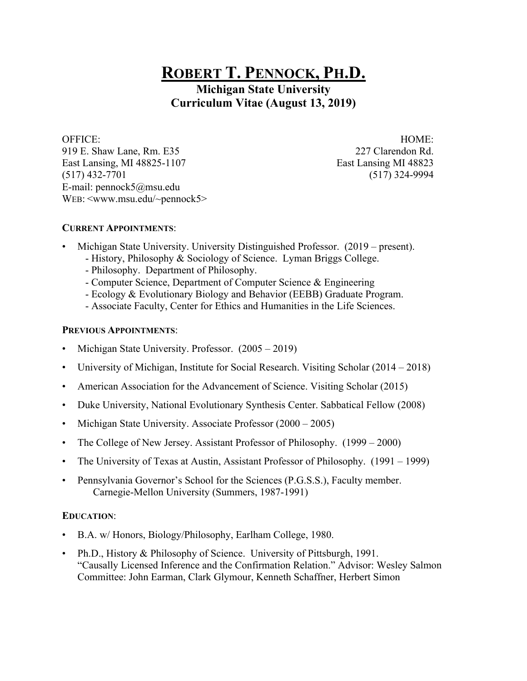# **ROBERT T. PENNOCK, PH.D.**

**Michigan State University Curriculum Vitae (August 13, 2019)**

OFFICE: HOME: 919 E. Shaw Lane, Rm. E35 227 Clarendon Rd. East Lansing, MI 48825-1107 East Lansing MI 48823 (517) 432-7701 (517) 324-9994 E-mail: pennock5@msu.edu WEB: <www.msu.edu/~pennock5>

## **CURRENT APPOINTMENTS**:

- Michigan State University. University Distinguished Professor. (2019 present).
	- History, Philosophy & Sociology of Science. Lyman Briggs College.
	- Philosophy. Department of Philosophy.
	- Computer Science, Department of Computer Science & Engineering
	- Ecology & Evolutionary Biology and Behavior (EEBB) Graduate Program.
	- Associate Faculty, Center for Ethics and Humanities in the Life Sciences.

## **PREVIOUS APPOINTMENTS**:

- Michigan State University. Professor. (2005 2019)
- University of Michigan, Institute for Social Research. Visiting Scholar (2014 2018)
- American Association for the Advancement of Science. Visiting Scholar (2015)
- Duke University, National Evolutionary Synthesis Center. Sabbatical Fellow (2008)
- Michigan State University. Associate Professor (2000 2005)
- The College of New Jersey. Assistant Professor of Philosophy. (1999 2000)
- The University of Texas at Austin, Assistant Professor of Philosophy. (1991 1999)
- Pennsylvania Governor's School for the Sciences (P.G.S.S.), Faculty member. Carnegie-Mellon University (Summers, 1987-1991)

## **EDUCATION**:

- B.A. w/ Honors, Biology/Philosophy, Earlham College, 1980.
- Ph.D., History & Philosophy of Science. University of Pittsburgh, 1991. "Causally Licensed Inference and the Confirmation Relation." Advisor: Wesley Salmon Committee: John Earman, Clark Glymour, Kenneth Schaffner, Herbert Simon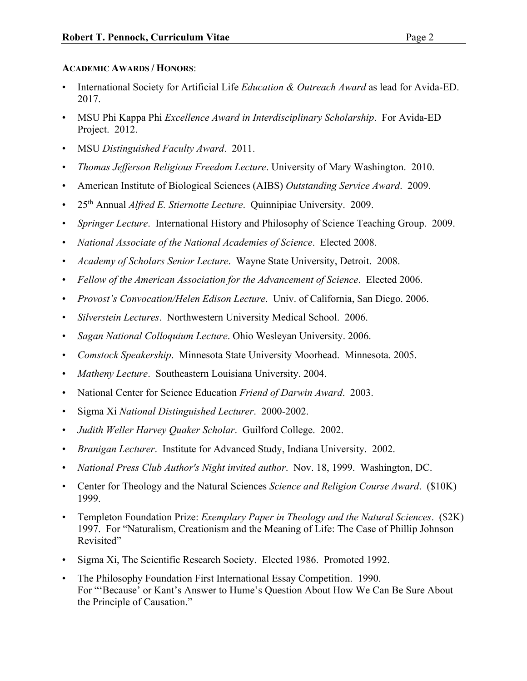## **ACADEMIC AWARDS / HONORS**:

- International Society for Artificial Life *Education & Outreach Award* as lead for Avida-ED. 2017.
- MSU Phi Kappa Phi *Excellence Award in Interdisciplinary Scholarship*. For Avida-ED Project. 2012.
- MSU *Distinguished Faculty Award*. 2011.
- *Thomas Jefferson Religious Freedom Lecture*. University of Mary Washington. 2010.
- American Institute of Biological Sciences (AIBS) *Outstanding Service Award*. 2009.
- 25th Annual *Alfred E. Stiernotte Lecture*. Quinnipiac University. 2009.
- *Springer Lecture*. International History and Philosophy of Science Teaching Group. 2009.
- *National Associate of the National Academies of Science*. Elected 2008.
- *Academy of Scholars Senior Lecture*. Wayne State University, Detroit. 2008.
- *Fellow of the American Association for the Advancement of Science*. Elected 2006.
- *Provost's Convocation/Helen Edison Lecture*. Univ. of California, San Diego. 2006.
- *Silverstein Lectures*. Northwestern University Medical School. 2006.
- *Sagan National Colloquium Lecture*. Ohio Wesleyan University. 2006.
- *Comstock Speakership*. Minnesota State University Moorhead. Minnesota. 2005.
- *Matheny Lecture*. Southeastern Louisiana University. 2004.
- National Center for Science Education *Friend of Darwin Award*. 2003.
- Sigma Xi *National Distinguished Lecturer*. 2000-2002.
- *Judith Weller Harvey Quaker Scholar*. Guilford College. 2002.
- *Branigan Lecturer*. Institute for Advanced Study, Indiana University. 2002.
- *National Press Club Author's Night invited author*. Nov. 18, 1999. Washington, DC.
- Center for Theology and the Natural Sciences *Science and Religion Course Award*. (\$10K) 1999.
- Templeton Foundation Prize: *Exemplary Paper in Theology and the Natural Sciences*. (\$2K) 1997. For "Naturalism, Creationism and the Meaning of Life: The Case of Phillip Johnson Revisited"
- Sigma Xi, The Scientific Research Society. Elected 1986. Promoted 1992.
- The Philosophy Foundation First International Essay Competition. 1990. For "'Because' or Kant's Answer to Hume's Question About How We Can Be Sure About the Principle of Causation."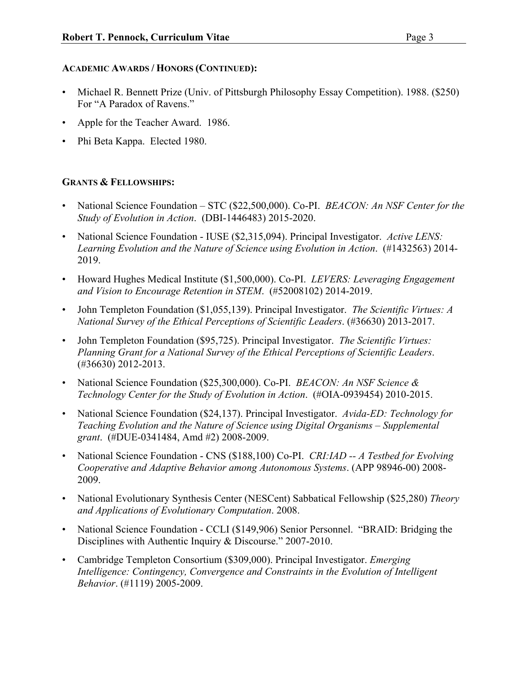## **ACADEMIC AWARDS / HONORS (CONTINUED):**

- Michael R. Bennett Prize (Univ. of Pittsburgh Philosophy Essay Competition). 1988. (\$250) For "A Paradox of Ravens."
- Apple for the Teacher Award. 1986.
- Phi Beta Kappa. Elected 1980.

## **GRANTS & FELLOWSHIPS:**

- National Science Foundation STC (\$22,500,000). Co-PI. *BEACON: An NSF Center for the Study of Evolution in Action*. (DBI-1446483) 2015-2020.
- National Science Foundation IUSE (\$2,315,094). Principal Investigator. *Active LENS: Learning Evolution and the Nature of Science using Evolution in Action*. (#1432563) 2014- 2019.
- Howard Hughes Medical Institute (\$1,500,000). Co-PI. *LEVERS: Leveraging Engagement and Vision to Encourage Retention in STEM*. (#52008102) 2014-2019.
- John Templeton Foundation (\$1,055,139). Principal Investigator. *The Scientific Virtues: A National Survey of the Ethical Perceptions of Scientific Leaders*. (#36630) 2013-2017.
- John Templeton Foundation (\$95,725). Principal Investigator. *The Scientific Virtues: Planning Grant for a National Survey of the Ethical Perceptions of Scientific Leaders*. (#36630) 2012-2013.
- National Science Foundation (\$25,300,000). Co-PI. *BEACON: An NSF Science & Technology Center for the Study of Evolution in Action*. (#OIA-0939454) 2010-2015.
- National Science Foundation (\$24,137). Principal Investigator. *Avida-ED: Technology for Teaching Evolution and the Nature of Science using Digital Organisms – Supplemental grant*. (#DUE-0341484, Amd #2) 2008-2009.
- National Science Foundation CNS (\$188,100) Co-PI. *CRI:IAD -- A Testbed for Evolving Cooperative and Adaptive Behavior among Autonomous Systems*. (APP 98946-00) 2008- 2009.
- National Evolutionary Synthesis Center (NESCent) Sabbatical Fellowship (\$25,280) *Theory and Applications of Evolutionary Computation*. 2008.
- National Science Foundation CCLI (\$149,906) Senior Personnel. "BRAID: Bridging the Disciplines with Authentic Inquiry & Discourse." 2007-2010.
- Cambridge Templeton Consortium (\$309,000). Principal Investigator. *Emerging Intelligence: Contingency, Convergence and Constraints in the Evolution of Intelligent Behavior*. (#1119) 2005-2009.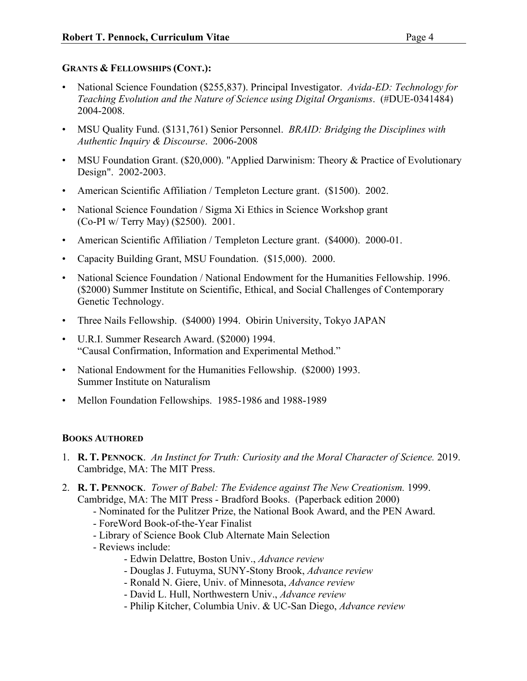## **GRANTS & FELLOWSHIPS (CONT.):**

- National Science Foundation (\$255,837). Principal Investigator. *Avida-ED: Technology for Teaching Evolution and the Nature of Science using Digital Organisms*. (#DUE-0341484) 2004-2008.
- MSU Quality Fund. (\$131,761) Senior Personnel. *BRAID: Bridging the Disciplines with Authentic Inquiry & Discourse*. 2006-2008
- MSU Foundation Grant. (\$20,000). "Applied Darwinism: Theory & Practice of Evolutionary Design". 2002-2003.
- American Scientific Affiliation / Templeton Lecture grant. (\$1500). 2002.
- National Science Foundation / Sigma Xi Ethics in Science Workshop grant (Co-PI w/ Terry May) (\$2500). 2001.
- American Scientific Affiliation / Templeton Lecture grant. (\$4000). 2000-01.
- Capacity Building Grant, MSU Foundation. (\$15,000). 2000.
- National Science Foundation / National Endowment for the Humanities Fellowship. 1996. (\$2000) Summer Institute on Scientific, Ethical, and Social Challenges of Contemporary Genetic Technology.
- Three Nails Fellowship. (\$4000) 1994. Obirin University, Tokyo JAPAN
- U.R.I. Summer Research Award. (\$2000) 1994. "Causal Confirmation, Information and Experimental Method."
- National Endowment for the Humanities Fellowship. (\$2000) 1993. Summer Institute on Naturalism
- Mellon Foundation Fellowships. 1985-1986 and 1988-1989

## **BOOKS AUTHORED**

- 1. **R. T. PENNOCK**. *An Instinct for Truth: Curiosity and the Moral Character of Science.* 2019. Cambridge, MA: The MIT Press.
- 2. **R. T. PENNOCK**. *Tower of Babel: The Evidence against The New Creationism.* 1999. Cambridge, MA: The MIT Press - Bradford Books. (Paperback edition 2000)
	- Nominated for the Pulitzer Prize, the National Book Award, and the PEN Award.
	- ForeWord Book-of-the-Year Finalist
	- Library of Science Book Club Alternate Main Selection
	- Reviews include:
		- Edwin Delattre, Boston Univ., *Advance review*
		- Douglas J. Futuyma, SUNY-Stony Brook, *Advance review*
		- Ronald N. Giere, Univ. of Minnesota, *Advance review*
		- David L. Hull, Northwestern Univ., *Advance review*
		- Philip Kitcher, Columbia Univ. & UC-San Diego, *Advance review*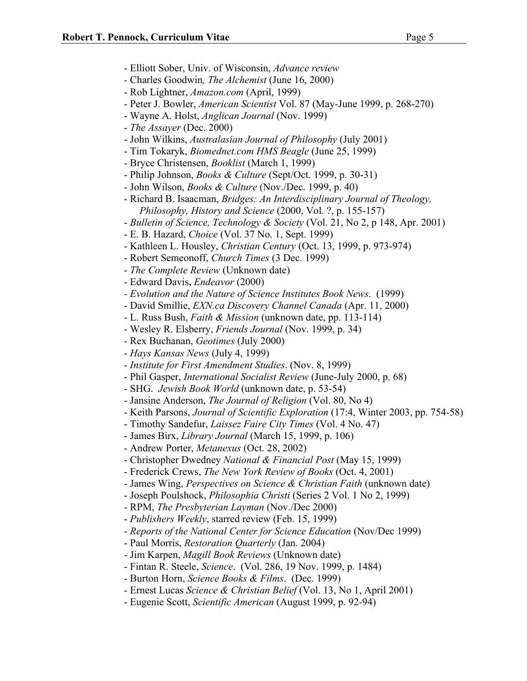- Elliott Sober, Univ. of Wisconsin, *Advance review*
- *-* Charles Goodwin*, The Alchemist* (June 16, 2000)
- Rob Lightner, *Amazon.com* (April, 1999)
- Peter J. Bowler, *American Scientist* Vol. 87 (May-June 1999, p. 268-270)
- Wayne A. Holst, *Anglican Journal* (Nov. 1999)
- *The Assayer* (Dec. 2000)
- John Wilkins, *Australasian Journal of Philosophy* (July 2001)
- Tim Tokaryk, *Biomednet.com HMS Beagle* (June 25, 1999)
- Bryce Christensen, *Booklist* (March 1, 1999)
- Philip Johnson, *Books & Culture* (Sept/Oct. 1999, p. 30-31)
- John Wilson, *Books & Culture* (Nov./Dec. 1999, p. 40)
- Richard B. Isaacman, *Bridges: An Interdisciplinary Journal of Theology, Philosophy, History and Science* (2000, Vol. ?, p. 155-157)
- *Bulletin of Science, Technology & Society* (Vol. 21, No 2, p 148, Apr. 2001)
- E. B. Hazard, *Choice* (Vol. 37 No. 1, Sept. 1999)
- Kathleen L. Housley, *Christian Century* (Oct. 13, 1999, p. 973-974)
- Robert Semeonoff, *Church Times* (3 Dec. 1999)
- *The Complete Review* (Unknown date)
- Edward Davis, *Endeavor* (2000)
- *- Evolution and the Nature of Science Institutes Book News*. (1999)
- David Smillie, *EXN.ca Discovery Channel Canada* (Apr. 11, 2000)
- L. Russ Bush, *Faith & Mission* (unknown date, pp. 113-114)
- Wesley R. Elsberry, *Friends Journal* (Nov. 1999, p. 34)
- Rex Buchanan, *Geotimes* (July 2000)
- *Hays Kansas News* (July 4, 1999)
- *Institute for First Amendment Studies*. (Nov. 8, 1999)
- Phil Gasper, *International Socialist Review* (June-July 2000, p. 68)
- SHG. *Jewish Book World* (unknown date, p. 53-54)
- Jansine Anderson, *The Journal of Religion* (Vol. 80, No 4)
- Keith Parsons, *Journal of Scientific Exploration* (17:4, Winter 2003, pp. 754-58)
- Timothy Sandefur, *Laissez Faire City Times* (Vol. 4 No. 47)
- James Birx, *Library Journal* (March 15, 1999, p. 106)
- Andrew Porter, *Metanexus* (Oct. 28, 2002)
- Christopher Dwedney *National & Financial Post* (May 15, 1999)
- Frederick Crews, *The New York Review of Books* (Oct. 4, 2001)
- James Wing, *Perspectives on Science & Christian Faith* (unknown date)
- Joseph Poulshock, *Philosophia Christi* (Series 2 Vol. 1 No 2, 1999)
- RPM, *The Presbyterian Layman* (Nov./Dec 2000)
- *Publishers Weekly*, starred review (Feb. 15, 1999)
- *Reports of the National Center for Science Education* (Nov/Dec 1999)
- Paul Morris, *Restoration Quarterly* (Jan. 2004)
- *-* Jim Karpen, *Magill Book Reviews* (Unknown date)
- Fintan R. Steele, *Science*. (Vol. 286, 19 Nov. 1999, p. 1484)
- Burton Horn, *Science Books & Films*. (Dec. 1999)
- Ernest Lucas *Science & Christian Belief* (Vol. 13, No 1, April 2001)
- Eugenie Scott, *Scientific American* (August 1999, p. 92-94)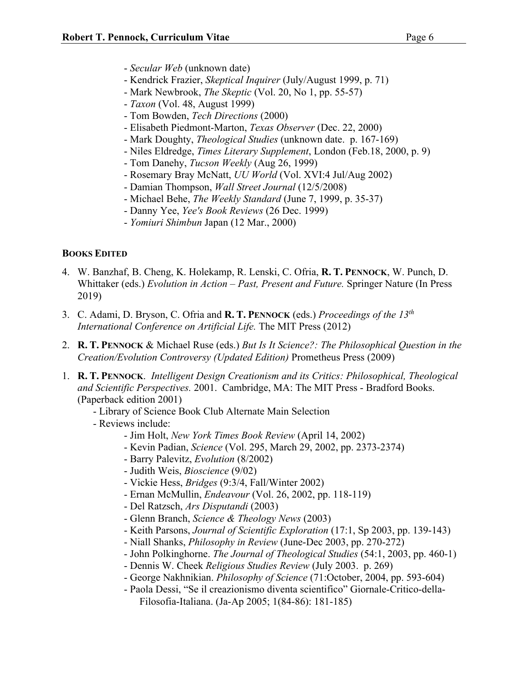- Kendrick Frazier, *Skeptical Inquirer* (July/August 1999, p. 71)
- Mark Newbrook, *The Skeptic* (Vol. 20, No 1, pp. 55-57)
- *Taxon* (Vol. 48, August 1999)
- Tom Bowden, *Tech Directions* (2000)
- Elisabeth Piedmont-Marton, *Texas Observer* (Dec. 22, 2000)
- Mark Doughty, *Theological Studies* (unknown date. p. 167-169)
- Niles Eldredge, *Times Literary Supplement*, London (Feb.18, 2000, p. 9)
- Tom Danehy, *Tucson Weekly* (Aug 26, 1999)
- Rosemary Bray McNatt, *UU World* (Vol. XVI:4 Jul/Aug 2002)
- Damian Thompson, *Wall Street Journal* (12/5/2008)
- Michael Behe, *The Weekly Standard* (June 7, 1999, p. 35-37)
- Danny Yee, *Yee's Book Reviews* (26 Dec. 1999)
- *Yomiuri Shimbun* Japan (12 Mar., 2000)

## **BOOKS EDITED**

- 4. W. Banzhaf, B. Cheng, K. Holekamp, R. Lenski, C. Ofria, **R. T. PENNOCK**, W. Punch, D. Whittaker (eds.) *Evolution in Action – Past, Present and Future.* Springer Nature (In Press 2019)
- 3. C. Adami, D. Bryson, C. Ofria and **R. T. PENNOCK** (eds.) *Proceedings of the 13th International Conference on Artificial Life.* The MIT Press (2012)
- 2. **R. T. PENNOCK** & Michael Ruse (eds.) *But Is It Science?: The Philosophical Question in the Creation/Evolution Controversy (Updated Edition)* Prometheus Press (2009)
- 1. **R. T. PENNOCK**. *Intelligent Design Creationism and its Critics: Philosophical, Theological and Scientific Perspectives.* 2001. Cambridge, MA: The MIT Press - Bradford Books. (Paperback edition 2001)
	- Library of Science Book Club Alternate Main Selection
	- Reviews include:
		- Jim Holt, *New York Times Book Review* (April 14, 2002)
		- Kevin Padian, *Science* (Vol. 295, March 29, 2002, pp. 2373-2374)
		- Barry Palevitz, *Evolution* (8/2002)
		- Judith Weis, *Bioscience* (9/02)
		- Vickie Hess, *Bridges* (9:3/4, Fall/Winter 2002)
		- Ernan McMullin, *Endeavour* (Vol. 26, 2002, pp. 118-119)
		- Del Ratzsch, *Ars Disputandi* (2003)
		- Glenn Branch, *Science & Theology News* (2003)
		- Keith Parsons, *Journal of Scientific Exploration* (17:1, Sp 2003, pp. 139-143)
		- Niall Shanks, *Philosophy in Review* (June-Dec 2003, pp. 270-272)
		- John Polkinghorne. *The Journal of Theological Studies* (54:1, 2003, pp. 460-1)
		- Dennis W. Cheek *Religious Studies Review* (July 2003. p. 269)
		- George Nakhnikian. *Philosophy of Science* (71:October, 2004, pp. 593-604)
		- Paola Dessi, "Se il creazionismo diventa scientifico" Giornale-Critico-della-Filosofia-Italiana. (Ja-Ap 2005; 1(84-86): 181-185)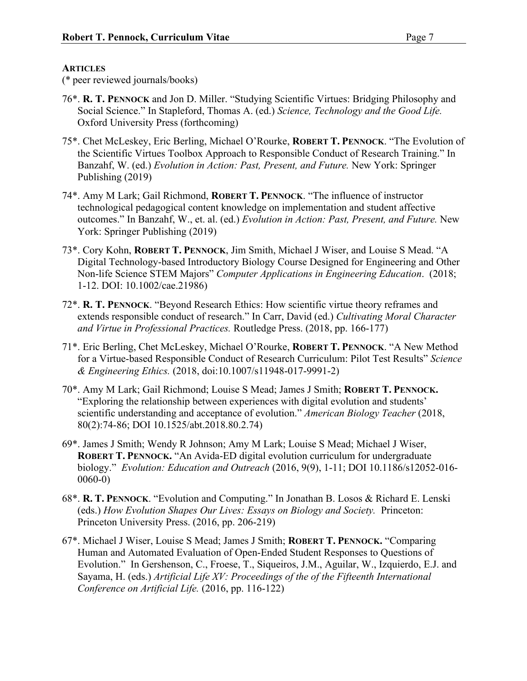## **ARTICLES**

(\* peer reviewed journals/books)

- 76\*. **R. T. PENNOCK** and Jon D. Miller. "Studying Scientific Virtues: Bridging Philosophy and Social Science." In Stapleford, Thomas A. (ed.) *Science, Technology and the Good Life.* Oxford University Press (forthcoming)
- 75\*. Chet McLeskey, Eric Berling, Michael O'Rourke, **ROBERT T. PENNOCK**. "The Evolution of the Scientific Virtues Toolbox Approach to Responsible Conduct of Research Training." In Banzahf, W. (ed.) *Evolution in Action: Past, Present, and Future.* New York: Springer Publishing (2019)
- 74\*. Amy M Lark; Gail Richmond, **ROBERT T. PENNOCK**. "The influence of instructor technological pedagogical content knowledge on implementation and student affective outcomes." In Banzahf, W., et. al. (ed.) *Evolution in Action: Past, Present, and Future.* New York: Springer Publishing (2019)
- 73\*. Cory Kohn, **ROBERT T. PENNOCK**, Jim Smith, Michael J Wiser, and Louise S Mead. "A Digital Technology-based Introductory Biology Course Designed for Engineering and Other Non-life Science STEM Majors" *Computer Applications in Engineering Education*. (2018; 1-12. DOI: 10.1002/cae.21986)
- 72\*. **R. T. PENNOCK**. "Beyond Research Ethics: How scientific virtue theory reframes and extends responsible conduct of research." In Carr, David (ed.) *Cultivating Moral Character and Virtue in Professional Practices.* Routledge Press. (2018, pp. 166-177)
- 71\*. Eric Berling, Chet McLeskey, Michael O'Rourke, **ROBERT T. PENNOCK**. "A New Method for a Virtue-based Responsible Conduct of Research Curriculum: Pilot Test Results" *Science & Engineering Ethics.* (2018, doi:10.1007/s11948-017-9991-2)
- 70\*. Amy M Lark; Gail Richmond; Louise S Mead; James J Smith; **ROBERT T. PENNOCK.** "Exploring the relationship between experiences with digital evolution and students' scientific understanding and acceptance of evolution." *American Biology Teacher* (2018, 80(2):74-86; DOI 10.1525/abt.2018.80.2.74)
- 69\*. James J Smith; Wendy R Johnson; Amy M Lark; Louise S Mead; Michael J Wiser, **ROBERT T. PENNOCK.** "An Avida-ED digital evolution curriculum for undergraduate biology." *Evolution: Education and Outreach* (2016, 9(9), 1-11; DOI 10.1186/s12052-016- 0060-0)
- 68\*. **R. T. PENNOCK**. "Evolution and Computing." In Jonathan B. Losos & Richard E. Lenski (eds.) *How Evolution Shapes Our Lives: Essays on Biology and Society.* Princeton: Princeton University Press. (2016, pp. 206-219)
- 67\*. Michael J Wiser, Louise S Mead; James J Smith; **ROBERT T. PENNOCK.** "Comparing Human and Automated Evaluation of Open-Ended Student Responses to Questions of Evolution." In Gershenson, C., Froese, T., Siqueiros, J.M., Aguilar, W., Izquierdo, E.J. and Sayama, H. (eds.) *Artificial Life XV: Proceedings of the of the Fifteenth International Conference on Artificial Life.* (2016, pp. 116-122)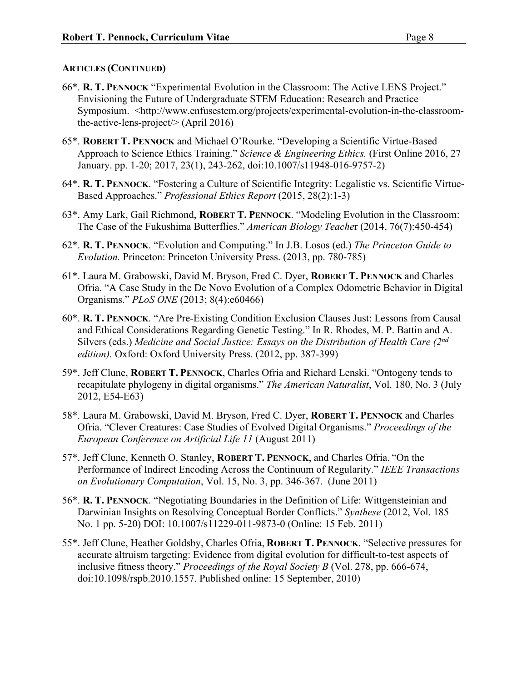- 66\*. **R. T. PENNOCK** "Experimental Evolution in the Classroom: The Active LENS Project." Envisioning the Future of Undergraduate STEM Education: Research and Practice Symposium. <http://www.enfusestem.org/projects/experimental-evolution-in-the-classroomthe-active-lens-project/> (April 2016)
- 65\*. **ROBERT T. PENNOCK** and Michael O'Rourke. "Developing a Scientific Virtue-Based Approach to Science Ethics Training." *Science & Engineering Ethics.* (First Online 2016, 27 January. pp. 1-20; 2017, 23(1), 243-262, doi:10.1007/s11948-016-9757-2)
- 64\*. **R. T. PENNOCK**. "Fostering a Culture of Scientific Integrity: Legalistic vs. Scientific Virtue-Based Approaches." *Professional Ethics Report* (2015, 28(2):1-3)
- 63\*. Amy Lark, Gail Richmond, **ROBERT T. PENNOCK**. "Modeling Evolution in the Classroom: The Case of the Fukushima Butterflies." *American Biology Teache*r (2014, 76(7):450-454)
- 62\*. **R. T. PENNOCK**. "Evolution and Computing." In J.B. Losos (ed.) *The Princeton Guide to Evolution.* Princeton: Princeton University Press. (2013, pp. 780-785)
- 61\*. Laura M. Grabowski, David M. Bryson, Fred C. Dyer, **ROBERT T. PENNOCK** and Charles Ofria. "A Case Study in the De Novo Evolution of a Complex Odometric Behavior in Digital Organisms." *PLoS ONE* (2013; 8(4):e60466)
- 60\*. **R. T. PENNOCK**. "Are Pre-Existing Condition Exclusion Clauses Just: Lessons from Causal and Ethical Considerations Regarding Genetic Testing." In R. Rhodes, M. P. Battin and A. Silvers (eds.) *Medicine and Social Justice: Essays on the Distribution of Health Care (2nd edition).* Oxford: Oxford University Press. (2012, pp. 387-399)
- 59\*. Jeff Clune, **ROBERT T. PENNOCK**, Charles Ofria and Richard Lenski. "Ontogeny tends to recapitulate phylogeny in digital organisms." *The American Naturalist*, Vol. 180, No. 3 (July 2012, E54-E63)
- 58\*. Laura M. Grabowski, David M. Bryson, Fred C. Dyer, **ROBERT T. PENNOCK** and Charles Ofria. "Clever Creatures: Case Studies of Evolved Digital Organisms." *Proceedings of the European Conference on Artificial Life 11* (August 2011)
- 57\*. Jeff Clune, Kenneth O. Stanley, **ROBERT T. PENNOCK**, and Charles Ofria. "On the Performance of Indirect Encoding Across the Continuum of Regularity." *IEEE Transactions on Evolutionary Computation*, Vol. 15, No. 3, pp. 346-367. (June 2011)
- 56\*. **R. T. PENNOCK**. "Negotiating Boundaries in the Definition of Life: Wittgensteinian and Darwinian Insights on Resolving Conceptual Border Conflicts." *Synthese* (2012, Vol. 185 No. 1 pp. 5-20) DOI: 10.1007/s11229-011-9873-0 (Online: 15 Feb. 2011)
- 55\*. Jeff Clune, Heather Goldsby, Charles Ofria, **ROBERT T. PENNOCK**. "Selective pressures for accurate altruism targeting: Evidence from digital evolution for difficult-to-test aspects of inclusive fitness theory." *Proceedings of the Royal Society B* (Vol. 278, pp. 666-674, doi:10.1098/rspb.2010.1557. Published online: 15 September, 2010)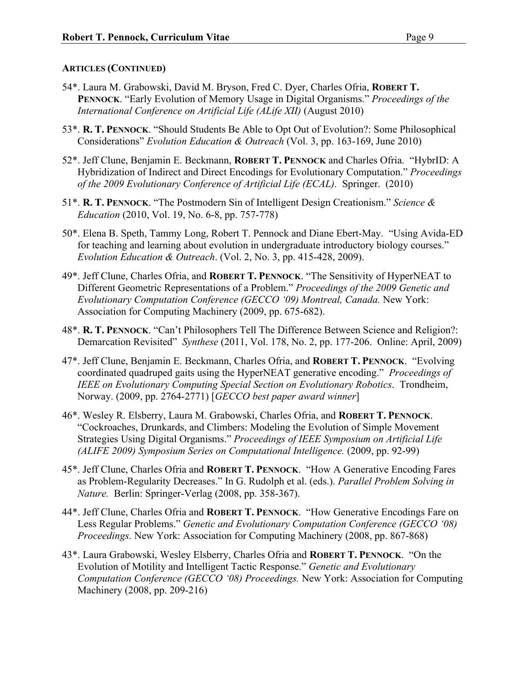- 54\*. Laura M. Grabowski, David M. Bryson, Fred C. Dyer, Charles Ofria, **ROBERT T. PENNOCK**. "Early Evolution of Memory Usage in Digital Organisms." *Proceedings of the International Conference on Artificial Life (ALife XII)* (August 2010)
- 53\*. **R. T. PENNOCK**. "Should Students Be Able to Opt Out of Evolution?: Some Philosophical Considerations" *Evolution Education & Outreach* (Vol. 3, pp. 163-169, June 2010)
- 52\*. Jeff Clune, Benjamin E. Beckmann, **ROBERT T. PENNOCK** and Charles Ofria. "HybrID: A Hybridization of Indirect and Direct Encodings for Evolutionary Computation." *Proceedings of the 2009 Evolutionary Conference of Artificial Life (ECAL).* Springer. (2010)
- 51\*. **R. T. PENNOCK**. "The Postmodern Sin of Intelligent Design Creationism." *Science & Education* (2010, Vol. 19, No. 6-8, pp. 757-778)
- 50\*. Elena B. Speth, Tammy Long, Robert T. Pennock and Diane Ebert-May. "Using Avida-ED for teaching and learning about evolution in undergraduate introductory biology courses." *Evolution Education & Outreach*. (Vol. 2, No. 3, pp. 415-428, 2009).
- 49\*. Jeff Clune, Charles Ofria, and **ROBERT T. PENNOCK**. "The Sensitivity of HyperNEAT to Different Geometric Representations of a Problem." *Proceedings of the 2009 Genetic and Evolutionary Computation Conference (GECCO '09) Montreal, Canada.* New York: Association for Computing Machinery (2009, pp. 675-682).
- 48\*. **R. T. PENNOCK**. "Can't Philosophers Tell The Difference Between Science and Religion?: Demarcation Revisited" *Synthese* (2011, Vol. 178, No. 2, pp. 177-206. Online: April, 2009)
- 47\*. Jeff Clune, Benjamin E. Beckmann, Charles Ofria, and **ROBERT T. PENNOCK**. "Evolving coordinated quadruped gaits using the HyperNEAT generative encoding." *Proceedings of IEEE on Evolutionary Computing Special Section on Evolutionary Robotics*. Trondheim, Norway. (2009, pp. 2764-2771) [*GECCO best paper award winner*]
- 46\*. Wesley R. Elsberry, Laura M. Grabowski, Charles Ofria, and **ROBERT T. PENNOCK**. "Cockroaches, Drunkards, and Climbers: Modeling the Evolution of Simple Movement Strategies Using Digital Organisms." *Proceedings of IEEE Symposium on Artificial Life (ALIFE 2009) Symposium Series on Computational Intelligence.* (2009, pp. 92-99)
- 45\*. Jeff Clune, Charles Ofria and **ROBERT T. PENNOCK**. "How A Generative Encoding Fares as Problem-Regularity Decreases." In G. Rudolph et al. (eds.). *Parallel Problem Solving in Nature.* Berlin: Springer-Verlag (2008, pp. 358-367).
- 44\*. Jeff Clune, Charles Ofria and **ROBERT T. PENNOCK**. "How Generative Encodings Fare on Less Regular Problems." *Genetic and Evolutionary Computation Conference (GECCO '08) Proceedings.* New York: Association for Computing Machinery (2008, pp. 867-868)
- 43\*. Laura Grabowski, Wesley Elsberry, Charles Ofria and **ROBERT T. PENNOCK**. "On the Evolution of Motility and Intelligent Tactic Response." *Genetic and Evolutionary Computation Conference (GECCO '08) Proceedings.* New York: Association for Computing Machinery (2008, pp. 209-216)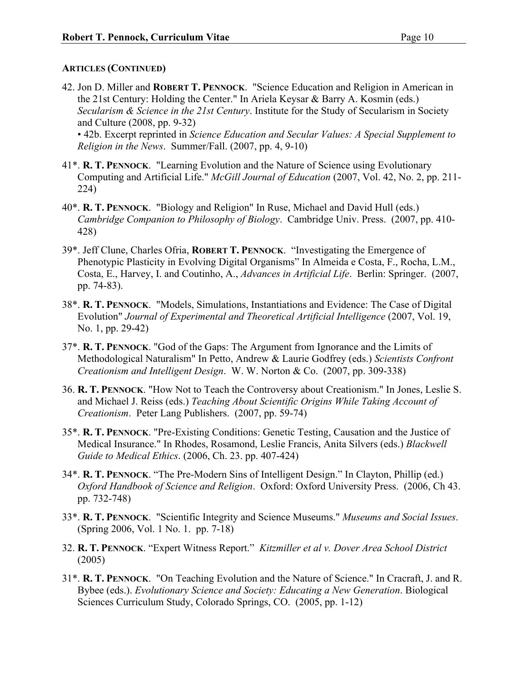42. Jon D. Miller and **ROBERT T. PENNOCK**. "Science Education and Religion in American in the 21st Century: Holding the Center." In Ariela Keysar & Barry A. Kosmin (eds.) *Secularism & Science in the 21st Century*. Institute for the Study of Secularism in Society and Culture (2008, pp. 9-32)

• 42b. Excerpt reprinted in *Science Education and Secular Values: A Special Supplement to Religion in the News*. Summer/Fall. (2007, pp. 4, 9-10)

- 41\*. **R. T. PENNOCK**. "Learning Evolution and the Nature of Science using Evolutionary Computing and Artificial Life." *McGill Journal of Education* (2007, Vol. 42, No. 2, pp. 211- 224)
- 40\*. **R. T. PENNOCK**. "Biology and Religion" In Ruse, Michael and David Hull (eds.) *Cambridge Companion to Philosophy of Biology*. Cambridge Univ. Press. (2007, pp. 410- 428)
- 39\*. Jeff Clune, Charles Ofria, **ROBERT T. PENNOCK**. "Investigating the Emergence of Phenotypic Plasticity in Evolving Digital Organisms" In Almeida e Costa, F., Rocha, L.M., Costa, E., Harvey, I. and Coutinho, A., *Advances in Artificial Life*. Berlin: Springer. (2007, pp. 74-83).
- 38\*. **R. T. PENNOCK**. "Models, Simulations, Instantiations and Evidence: The Case of Digital Evolution" *Journal of Experimental and Theoretical Artificial Intelligence* (2007, Vol. 19, No. 1, pp. 29-42)
- 37\*. **R. T. PENNOCK**. "God of the Gaps: The Argument from Ignorance and the Limits of Methodological Naturalism" In Petto, Andrew & Laurie Godfrey (eds.) *Scientists Confront Creationism and Intelligent Design*. W. W. Norton & Co. (2007, pp. 309-338)
- 36. **R. T. PENNOCK**. "How Not to Teach the Controversy about Creationism." In Jones, Leslie S. and Michael J. Reiss (eds.) *Teaching About Scientific Origins While Taking Account of Creationism*. Peter Lang Publishers. (2007, pp. 59-74)
- 35\*. **R. T. PENNOCK**. "Pre-Existing Conditions: Genetic Testing, Causation and the Justice of Medical Insurance." In Rhodes, Rosamond, Leslie Francis, Anita Silvers (eds.) *Blackwell Guide to Medical Ethics*. (2006, Ch. 23. pp. 407-424)
- 34\*. **R. T. PENNOCK**. "The Pre-Modern Sins of Intelligent Design." In Clayton, Phillip (ed.) *Oxford Handbook of Science and Religion*. Oxford: Oxford University Press. (2006, Ch 43. pp. 732-748)
- 33\*. **R. T. PENNOCK**. "Scientific Integrity and Science Museums." *Museums and Social Issues*. (Spring 2006, Vol. 1 No. 1. pp. 7-18)
- 32. **R. T. PENNOCK**. "Expert Witness Report." *Kitzmiller et al v. Dover Area School District* (2005)
- 31\*. **R. T. PENNOCK**. "On Teaching Evolution and the Nature of Science." In Cracraft, J. and R. Bybee (eds.). *Evolutionary Science and Society: Educating a New Generation*. Biological Sciences Curriculum Study, Colorado Springs, CO. (2005, pp. 1-12)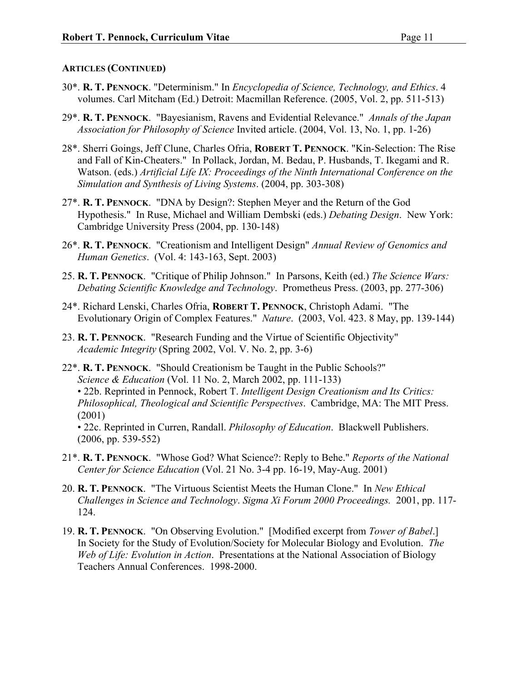- 30\*. **R. T. PENNOCK**. "Determinism." In *Encyclopedia of Science, Technology, and Ethics*. 4 volumes. Carl Mitcham (Ed.) Detroit: Macmillan Reference. (2005, Vol. 2, pp. 511-513)
- 29\*. **R. T. PENNOCK**. "Bayesianism, Ravens and Evidential Relevance." *Annals of the Japan Association for Philosophy of Science* Invited article. (2004, Vol. 13, No. 1, pp. 1-26)
- 28\*. Sherri Goings, Jeff Clune, Charles Ofria, **ROBERT T. PENNOCK**. "Kin-Selection: The Rise and Fall of Kin-Cheaters." In Pollack, Jordan, M. Bedau, P. Husbands, T. Ikegami and R. Watson. (eds.) *Artificial Life IX: Proceedings of the Ninth International Conference on the Simulation and Synthesis of Living Systems*. (2004, pp. 303-308)
- 27\*. **R. T. PENNOCK**. "DNA by Design?: Stephen Meyer and the Return of the God Hypothesis." In Ruse, Michael and William Dembski (eds.) *Debating Design*. New York: Cambridge University Press (2004, pp. 130-148)
- 26\*. **R. T. PENNOCK**. "Creationism and Intelligent Design" *Annual Review of Genomics and Human Genetics*. (Vol. 4: 143-163, Sept. 2003)
- 25. **R. T. PENNOCK**. "Critique of Philip Johnson." In Parsons, Keith (ed.) *The Science Wars: Debating Scientific Knowledge and Technology*. Prometheus Press. (2003, pp. 277-306)
- 24\*. Richard Lenski, Charles Ofria, **ROBERT T. PENNOCK**, Christoph Adami. "The Evolutionary Origin of Complex Features." *Nature*. (2003, Vol. 423. 8 May, pp. 139-144)
- 23. **R. T. PENNOCK**. "Research Funding and the Virtue of Scientific Objectivity" *Academic Integrity* (Spring 2002, Vol. V. No. 2, pp. 3-6)
- 22\*. **R. T. PENNOCK**. "Should Creationism be Taught in the Public Schools?" *Science & Education* (Vol. 11 No. 2, March 2002, pp. 111-133) • 22b. Reprinted in Pennock, Robert T. *Intelligent Design Creationism and Its Critics: Philosophical, Theological and Scientific Perspectives*. Cambridge, MA: The MIT Press. (2001) • 22c. Reprinted in Curren, Randall. *Philosophy of Education*. Blackwell Publishers.
	- (2006, pp. 539-552)
- 21\*. **R. T. PENNOCK**. "Whose God? What Science?: Reply to Behe." *Reports of the National Center for Science Education* (Vol. 21 No. 3-4 pp. 16-19, May-Aug. 2001)
- 20. **R. T. PENNOCK**. "The Virtuous Scientist Meets the Human Clone." In *New Ethical Challenges in Science and Technology*. *Sigma Xi Forum 2000 Proceedings.* 2001, pp. 117- 124.
- 19. **R. T. PENNOCK**. "On Observing Evolution." [Modified excerpt from *Tower of Babel*.] In Society for the Study of Evolution/Society for Molecular Biology and Evolution. *The Web of Life: Evolution in Action*. Presentations at the National Association of Biology Teachers Annual Conferences. 1998-2000.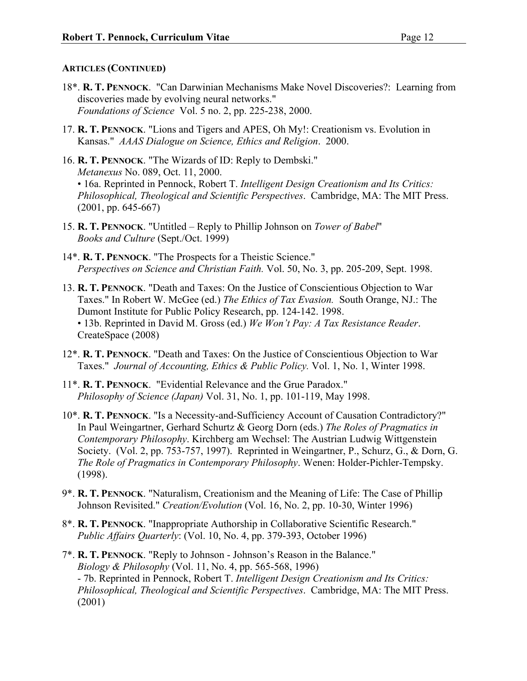- 18\*. **R. T. PENNOCK**. "Can Darwinian Mechanisms Make Novel Discoveries?: Learning from discoveries made by evolving neural networks." *Foundations of Science* Vol. 5 no. 2, pp. 225-238, 2000.
- 17. **R. T. PENNOCK**. "Lions and Tigers and APES, Oh My!: Creationism vs. Evolution in Kansas." *AAAS Dialogue on Science, Ethics and Religion*. 2000.
- 16. **R. T. PENNOCK**. "The Wizards of ID: Reply to Dembski." *Metanexus* No. 089, Oct. 11, 2000. • 16a. Reprinted in Pennock, Robert T. *Intelligent Design Creationism and Its Critics: Philosophical, Theological and Scientific Perspectives*. Cambridge, MA: The MIT Press. (2001, pp. 645-667)
- 15. **R. T. PENNOCK**. "Untitled Reply to Phillip Johnson on *Tower of Babel*" *Books and Culture* (Sept./Oct. 1999)
- 14\*. **R. T. PENNOCK**. "The Prospects for a Theistic Science." *Perspectives on Science and Christian Faith.* Vol. 50, No. 3, pp. 205-209, Sept. 1998.
- 13. **R. T. PENNOCK**. "Death and Taxes: On the Justice of Conscientious Objection to War Taxes." In Robert W. McGee (ed.) *The Ethics of Tax Evasion.* South Orange, NJ.: The Dumont Institute for Public Policy Research, pp. 124-142. 1998. • 13b. Reprinted in David M. Gross (ed.) *We Won't Pay: A Tax Resistance Reader*. CreateSpace (2008)
- 12\*. **R. T. PENNOCK**. "Death and Taxes: On the Justice of Conscientious Objection to War Taxes." *Journal of Accounting, Ethics & Public Policy.* Vol. 1, No. 1, Winter 1998.
- 11\*. **R. T. PENNOCK**. "Evidential Relevance and the Grue Paradox." *Philosophy of Science (Japan)* Vol. 31, No. 1, pp. 101-119, May 1998.
- 10\*. **R. T. PENNOCK**. "Is a Necessity-and-Sufficiency Account of Causation Contradictory?" In Paul Weingartner, Gerhard Schurtz & Georg Dorn (eds.) *The Roles of Pragmatics in Contemporary Philosophy*. Kirchberg am Wechsel: The Austrian Ludwig Wittgenstein Society. (Vol. 2, pp. 753-757, 1997). Reprinted in Weingartner, P., Schurz, G., & Dorn, G. *The Role of Pragmatics in Contemporary Philosophy*. Wenen: Holder-Pichler-Tempsky. (1998).
- 9\*. **R. T. PENNOCK**. "Naturalism, Creationism and the Meaning of Life: The Case of Phillip Johnson Revisited." *Creation/Evolution* (Vol. 16, No. 2, pp. 10-30, Winter 1996)
- 8\*. **R. T. PENNOCK**. "Inappropriate Authorship in Collaborative Scientific Research." *Public Affairs Quarterly*: (Vol. 10, No. 4, pp. 379-393, October 1996)
- 7\*. **R. T. PENNOCK**. "Reply to Johnson Johnson's Reason in the Balance." *Biology & Philosophy* (Vol. 11, No. 4, pp. 565-568, 1996) - 7b. Reprinted in Pennock, Robert T. *Intelligent Design Creationism and Its Critics: Philosophical, Theological and Scientific Perspectives*. Cambridge, MA: The MIT Press. (2001)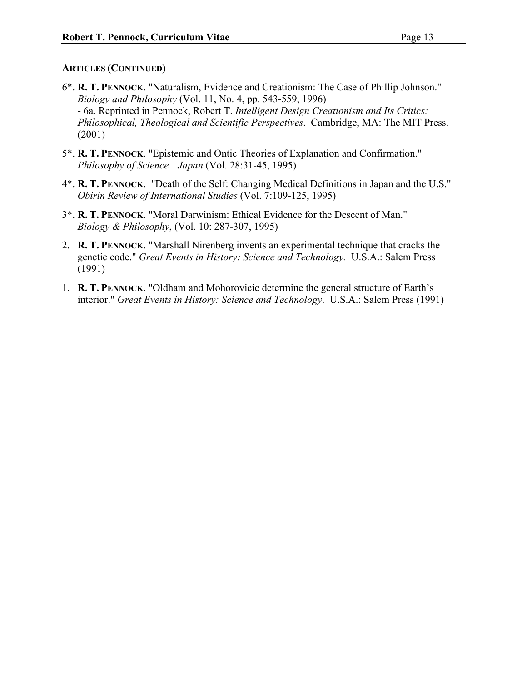- 6\*. **R. T. PENNOCK**. "Naturalism, Evidence and Creationism: The Case of Phillip Johnson." *Biology and Philosophy* (Vol. 11, No. 4, pp. 543-559, 1996) - 6a. Reprinted in Pennock, Robert T. *Intelligent Design Creationism and Its Critics: Philosophical, Theological and Scientific Perspectives*. Cambridge, MA: The MIT Press. (2001)
- 5\*. **R. T. PENNOCK**. "Epistemic and Ontic Theories of Explanation and Confirmation." *Philosophy of Science—Japan* (Vol. 28:31-45, 1995)
- 4\*. **R. T. PENNOCK**. "Death of the Self: Changing Medical Definitions in Japan and the U.S." *Obirin Review of International Studies* (Vol. 7:109-125, 1995)
- 3\*. **R. T. PENNOCK**. "Moral Darwinism: Ethical Evidence for the Descent of Man." *Biology & Philosophy*, (Vol. 10: 287-307, 1995)
- 2. **R. T. PENNOCK**. "Marshall Nirenberg invents an experimental technique that cracks the genetic code." *Great Events in History: Science and Technology.* U.S.A.: Salem Press (1991)
- 1. **R. T. PENNOCK**. "Oldham and Mohorovicic determine the general structure of Earth's interior." *Great Events in History: Science and Technology*. U.S.A.: Salem Press (1991)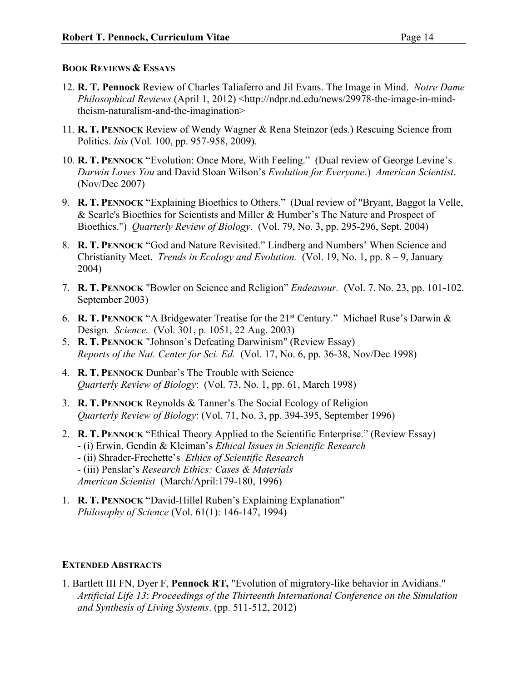## **BOOK REVIEWS & ESSAYS**

- 12. **R. T. Pennock** Review of Charles Taliaferro and Jil Evans. The Image in Mind. *Notre Dame Philosophical Reviews* (April 1, 2012) <http://ndpr.nd.edu/news/29978-the-image-in-mindtheism-naturalism-and-the-imagination>
- 11. **R. T. PENNOCK** Review of Wendy Wagner & Rena Steinzor (eds.) Rescuing Science from Politics. *Isis* (Vol. 100, pp. 957-958, 2009).
- 10. **R. T. PENNOCK** "Evolution: Once More, With Feeling." (Dual review of George Levine's *Darwin Loves You* and David Sloan Wilson's *Evolution for Everyone*.) *American Scientist*. (Nov/Dec 2007)
- 9. **R. T. PENNOCK** "Explaining Bioethics to Others." (Dual review of "Bryant, Baggot la Velle, & Searle's Bioethics for Scientists and Miller & Humber's The Nature and Prospect of Bioethics.") *Quarterly Review of Biology*. (Vol. 79, No. 3, pp. 295-296, Sept. 2004)
- 8. **R. T. PENNOCK** "God and Nature Revisited." Lindberg and Numbers' When Science and Christianity Meet. *Trends in Ecology and Evolution.* (Vol. 19, No. 1, pp. 8 – 9, January 2004)
- 7. **R. T. PENNOCK** "Bowler on Science and Religion" *Endeavour.* (Vol. 7. No. 23, pp. 101-102. September 2003)
- 6. **R. T. PENNOCK** "A Bridgewater Treatise for the 21st Century." Michael Ruse's Darwin & Design*. Science.* (Vol. 301, p. 1051, 22 Aug. 2003)
- 5. **R. T. PENNOCK** "Johnson's Defeating Darwinism" (Review Essay) *Reports of the Nat. Center for Sci. Ed.* (Vol. 17, No. 6, pp. 36-38, Nov/Dec 1998)
- 4. **R. T. PENNOCK** Dunbar's The Trouble with Science *Quarterly Review of Biology*: (Vol. 73, No. 1, pp. 61, March 1998)
- 3. **R. T. PENNOCK** Reynolds & Tanner's The Social Ecology of Religion *Quarterly Review of Biology*: (Vol. 71, No. 3, pp. 394-395, September 1996)
- 2. **R. T. PENNOCK** "Ethical Theory Applied to the Scientific Enterprise." (Review Essay) - (i) Erwin, Gendin & Kleiman's *Ethical Issues in Scientific Research* - (ii) Shrader-Frechette's *Ethics of Scientific Research* - (iii) Penslar's *Research Ethics: Cases & Materials American Scientist* (March/April:179-180, 1996)
- 1. **R. T. PENNOCK** "David-Hillel Ruben's Explaining Explanation" *Philosophy of Science* (Vol. 61(1): 146-147, 1994)

## **EXTENDED ABSTRACTS**

1. Bartlett III FN, Dyer F, **Pennock RT,** "Evolution of migratory-like behavior in Avidians." *Artificial Life 13*: *Proceedings of the Thirteenth International Conference on the Simulation and Synthesis of Living Systems*. (pp. 511-512, 2012)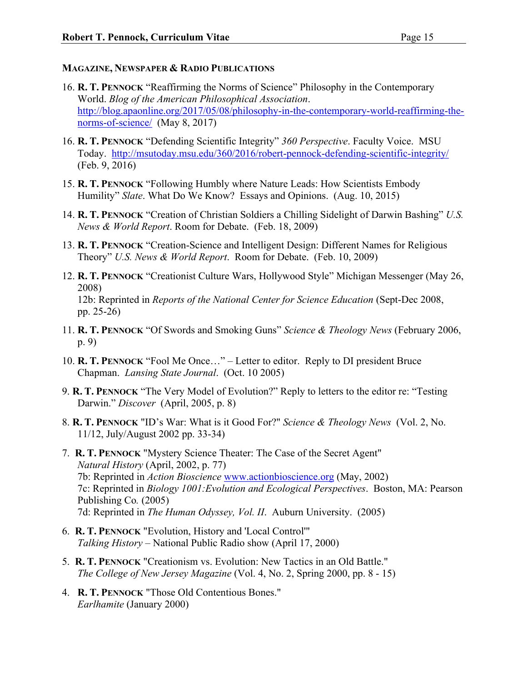## **MAGAZINE, NEWSPAPER & RADIO PUBLICATIONS**

- 16. **R. T. PENNOCK** "Reaffirming the Norms of Science" Philosophy in the Contemporary World. *Blog of the American Philosophical Association*. http://blog.apaonline.org/2017/05/08/philosophy-in-the-contemporary-world-reaffirming-thenorms-of-science/ (May 8, 2017)
- 16. **R. T. PENNOCK** "Defending Scientific Integrity" *360 Perspective*. Faculty Voice. MSU Today. http://msutoday.msu.edu/360/2016/robert-pennock-defending-scientific-integrity/ (Feb. 9, 2016)
- 15. **R. T. PENNOCK** "Following Humbly where Nature Leads: How Scientists Embody Humility" *Slate*. What Do We Know? Essays and Opinions. (Aug. 10, 2015)
- 14. **R. T. PENNOCK** "Creation of Christian Soldiers a Chilling Sidelight of Darwin Bashing" *U.S. News & World Report*. Room for Debate. (Feb. 18, 2009)
- 13. **R. T. PENNOCK** "Creation-Science and Intelligent Design: Different Names for Religious Theory" *U.S. News & World Report*. Room for Debate. (Feb. 10, 2009)
- 12. **R. T. PENNOCK** "Creationist Culture Wars, Hollywood Style" Michigan Messenger (May 26, 2008) 12b: Reprinted in *Reports of the National Center for Science Education* (Sept-Dec 2008, pp. 25-26)
- 11. **R. T. PENNOCK** "Of Swords and Smoking Guns" *Science & Theology News* (February 2006, p. 9)
- 10. **R. T. PENNOCK** "Fool Me Once…" Letter to editor. Reply to DI president Bruce Chapman. *Lansing State Journal*. (Oct. 10 2005)
- 9. **R. T. PENNOCK** "The Very Model of Evolution?" Reply to letters to the editor re: "Testing Darwin." *Discover* (April, 2005, p. 8)
- 8. **R. T. PENNOCK** "ID's War: What is it Good For?" *Science & Theology News* (Vol. 2, No. 11/12, July/August 2002 pp. 33-34)
- 7. **R. T. PENNOCK** "Mystery Science Theater: The Case of the Secret Agent" *Natural History* (April, 2002, p. 77) 7b: Reprinted in *Action Bioscience* www.actionbioscience.org (May, 2002) 7c: Reprinted in *Biology 1001:Evolution and Ecological Perspectives*. Boston, MA: Pearson Publishing Co*.* (2005) 7d: Reprinted in *The Human Odyssey, Vol. II*. Auburn University. (2005)
- 6. **R. T. PENNOCK** "Evolution, History and 'Local Control'" *Talking History* – National Public Radio show (April 17, 2000)
- 5. **R. T. PENNOCK** "Creationism vs. Evolution: New Tactics in an Old Battle." *The College of New Jersey Magazine* (Vol. 4, No. 2, Spring 2000, pp. 8 - 15)
- 4. **R. T. PENNOCK** "Those Old Contentious Bones." *Earlhamite* (January 2000)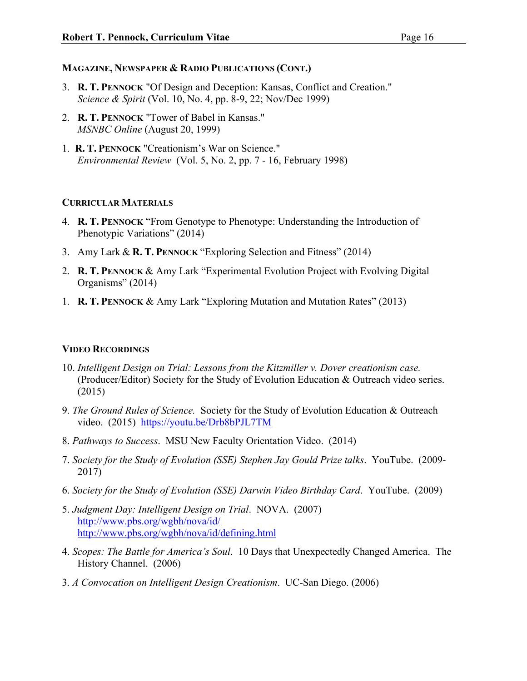#### **MAGAZINE, NEWSPAPER & RADIO PUBLICATIONS (CONT.)**

- 3. **R. T. PENNOCK** "Of Design and Deception: Kansas, Conflict and Creation." *Science & Spirit* (Vol. 10, No. 4, pp. 8-9, 22; Nov/Dec 1999)
- 2. **R. T. PENNOCK** "Tower of Babel in Kansas." *MSNBC Online* (August 20, 1999)
- 1. **R. T. PENNOCK** "Creationism's War on Science." *Environmental Review* (Vol. 5, No. 2, pp. 7 - 16, February 1998)

### **CURRICULAR MATERIALS**

- 4. **R. T. PENNOCK** "From Genotype to Phenotype: Understanding the Introduction of Phenotypic Variations" (2014)
- 3. Amy Lark & **R. T. PENNOCK** "Exploring Selection and Fitness" (2014)
- 2. **R. T. PENNOCK** & Amy Lark "Experimental Evolution Project with Evolving Digital Organisms" (2014)
- 1. **R. T. PENNOCK** & Amy Lark "Exploring Mutation and Mutation Rates" (2013)

## **VIDEO RECORDINGS**

- 10. *Intelligent Design on Trial: Lessons from the Kitzmiller v. Dover creationism case.* (Producer/Editor) Society for the Study of Evolution Education & Outreach video series. (2015)
- 9. *The Ground Rules of Science.* Society for the Study of Evolution Education & Outreach video. (2015) https://youtu.be/Drb8bPJL7TM
- 8. *Pathways to Success*. MSU New Faculty Orientation Video. (2014)
- 7. *Society for the Study of Evolution (SSE) Stephen Jay Gould Prize talks*. YouTube. (2009- 2017)
- 6. *Society for the Study of Evolution (SSE) Darwin Video Birthday Card*. YouTube. (2009)
- 5. *Judgment Day: Intelligent Design on Trial*. NOVA. (2007) http://www.pbs.org/wgbh/nova/id/ http://www.pbs.org/wgbh/nova/id/defining.html
- 4. *Scopes: The Battle for America's Soul*. 10 Days that Unexpectedly Changed America. The History Channel. (2006)
- 3. *A Convocation on Intelligent Design Creationism*. UC-San Diego. (2006)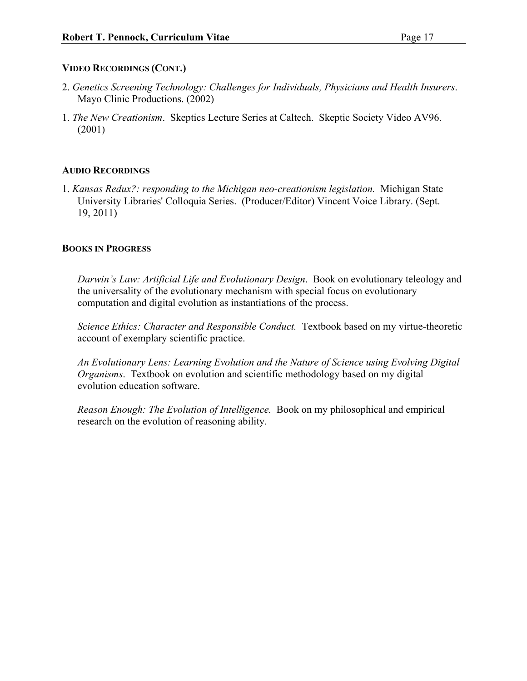## **VIDEO RECORDINGS (CONT.)**

- 2. *Genetics Screening Technology: Challenges for Individuals, Physicians and Health Insurers*. Mayo Clinic Productions. (2002)
- 1. *The New Creationism*. Skeptics Lecture Series at Caltech. Skeptic Society Video AV96. (2001)

## **AUDIO RECORDINGS**

1. *Kansas Redux?: responding to the Michigan neo-creationism legislation.* Michigan State University Libraries' Colloquia Series. (Producer/Editor) Vincent Voice Library. (Sept. 19, 2011)

## **BOOKS IN PROGRESS**

*Darwin's Law: Artificial Life and Evolutionary Design*. Book on evolutionary teleology and the universality of the evolutionary mechanism with special focus on evolutionary computation and digital evolution as instantiations of the process.

*Science Ethics: Character and Responsible Conduct.* Textbook based on my virtue-theoretic account of exemplary scientific practice.

*An Evolutionary Lens: Learning Evolution and the Nature of Science using Evolving Digital Organisms*. Textbook on evolution and scientific methodology based on my digital evolution education software.

*Reason Enough: The Evolution of Intelligence.* Book on my philosophical and empirical research on the evolution of reasoning ability.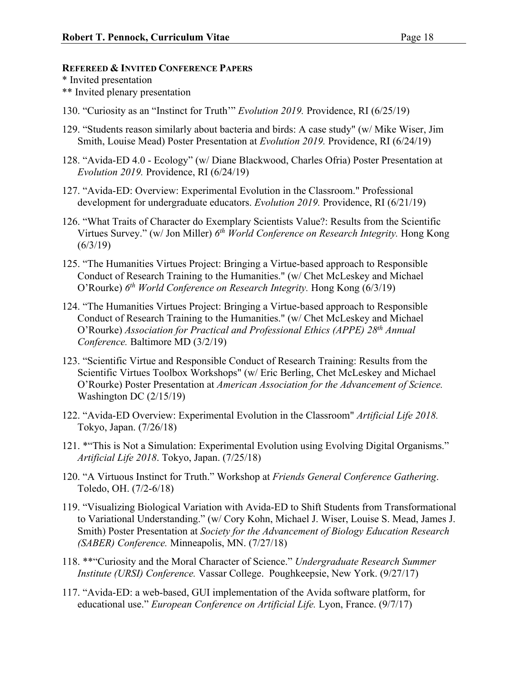### **REFEREED & INVITED CONFERENCE PAPERS**

\* Invited presentation

- \*\* Invited plenary presentation
- 130. "Curiosity as an "Instinct for Truth'" *Evolution 2019.* Providence, RI (6/25/19)
- 129. "Students reason similarly about bacteria and birds: A case study" (w/ Mike Wiser, Jim Smith, Louise Mead) Poster Presentation at *Evolution 2019.* Providence, RI (6/24/19)
- 128. "Avida-ED 4.0 Ecology" (w/ Diane Blackwood, Charles Ofria) Poster Presentation at *Evolution 2019.* Providence, RI (6/24/19)
- 127. "Avida-ED: Overview: Experimental Evolution in the Classroom." Professional development for undergraduate educators. *Evolution 2019.* Providence, RI (6/21/19)
- 126. "What Traits of Character do Exemplary Scientists Value?: Results from the Scientific Virtues Survey." (w/ Jon Miller) *6th World Conference on Research Integrity.* Hong Kong  $(6/3/19)$
- 125. "The Humanities Virtues Project: Bringing a Virtue-based approach to Responsible Conduct of Research Training to the Humanities." (w/ Chet McLeskey and Michael O'Rourke) *6th World Conference on Research Integrity.* Hong Kong (6/3/19)
- 124. "The Humanities Virtues Project: Bringing a Virtue-based approach to Responsible Conduct of Research Training to the Humanities." (w/ Chet McLeskey and Michael O'Rourke) *Association for Practical and Professional Ethics (APPE) 28th Annual Conference.* Baltimore MD (3/2/19)
- 123. "Scientific Virtue and Responsible Conduct of Research Training: Results from the Scientific Virtues Toolbox Workshops" (w/ Eric Berling, Chet McLeskey and Michael O'Rourke) Poster Presentation at *American Association for the Advancement of Science.* Washington DC (2/15/19)
- 122. "Avida-ED Overview: Experimental Evolution in the Classroom" *Artificial Life 2018.* Tokyo, Japan. (7/26/18)
- 121. \*"This is Not a Simulation: Experimental Evolution using Evolving Digital Organisms." *Artificial Life 2018*. Tokyo, Japan. (7/25/18)
- 120. "A Virtuous Instinct for Truth." Workshop at *Friends General Conference Gathering*. Toledo, OH. (7/2-6/18)
- 119. "Visualizing Biological Variation with Avida-ED to Shift Students from Transformational to Variational Understanding." (w/ Cory Kohn, Michael J. Wiser, Louise S. Mead, James J. Smith) Poster Presentation at *Society for the Advancement of Biology Education Research (SABER) Conference.* Minneapolis, MN. (7/27/18)
- 118. \*\*"Curiosity and the Moral Character of Science." *Undergraduate Research Summer Institute (URSI) Conference.* Vassar College. Poughkeepsie, New York. (9/27/17)
- 117. "Avida-ED: a web-based, GUI implementation of the Avida software platform, for educational use." *European Conference on Artificial Life.* Lyon, France. (9/7/17)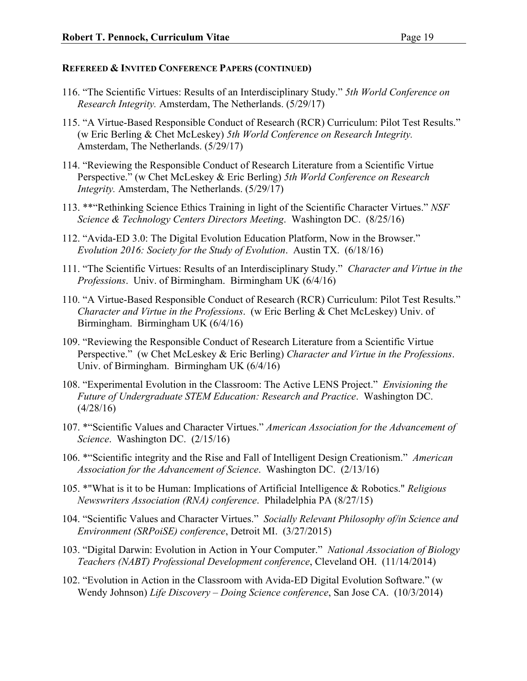- 116. "The Scientific Virtues: Results of an Interdisciplinary Study." *5th World Conference on Research Integrity.* Amsterdam, The Netherlands. (5/29/17)
- 115. "A Virtue-Based Responsible Conduct of Research (RCR) Curriculum: Pilot Test Results." (w Eric Berling & Chet McLeskey) *5th World Conference on Research Integrity.* Amsterdam, The Netherlands. (5/29/17)
- 114. "Reviewing the Responsible Conduct of Research Literature from a Scientific Virtue Perspective." (w Chet McLeskey & Eric Berling) *5th World Conference on Research Integrity.* Amsterdam, The Netherlands. (5/29/17)
- 113. \*\*"Rethinking Science Ethics Training in light of the Scientific Character Virtues." *NSF Science & Technology Centers Directors Meeting*. Washington DC. (8/25/16)
- 112. "Avida-ED 3.0: The Digital Evolution Education Platform, Now in the Browser." *Evolution 2016: Society for the Study of Evolution*. Austin TX. (6/18/16)
- 111. "The Scientific Virtues: Results of an Interdisciplinary Study." *Character and Virtue in the Professions*. Univ. of Birmingham. Birmingham UK (6/4/16)
- 110. "A Virtue-Based Responsible Conduct of Research (RCR) Curriculum: Pilot Test Results." *Character and Virtue in the Professions*. (w Eric Berling & Chet McLeskey) Univ. of Birmingham. Birmingham UK (6/4/16)
- 109. "Reviewing the Responsible Conduct of Research Literature from a Scientific Virtue Perspective." (w Chet McLeskey & Eric Berling) *Character and Virtue in the Professions*. Univ. of Birmingham. Birmingham UK (6/4/16)
- 108. "Experimental Evolution in the Classroom: The Active LENS Project." *Envisioning the Future of Undergraduate STEM Education: Research and Practice*. Washington DC.  $(4/28/16)$
- 107. \*"Scientific Values and Character Virtues." *American Association for the Advancement of Science*. Washington DC. (2/15/16)
- 106. \*"Scientific integrity and the Rise and Fall of Intelligent Design Creationism." *American Association for the Advancement of Science*. Washington DC. (2/13/16)
- 105. \*"What is it to be Human: Implications of Artificial Intelligence & Robotics." *Religious Newswriters Association (RNA) conference*. Philadelphia PA (8/27/15)
- 104. "Scientific Values and Character Virtues." *Socially Relevant Philosophy of/in Science and Environment (SRPoiSE) conference*, Detroit MI. (3/27/2015)
- 103. "Digital Darwin: Evolution in Action in Your Computer." *National Association of Biology Teachers (NABT) Professional Development conference*, Cleveland OH. (11/14/2014)
- 102. "Evolution in Action in the Classroom with Avida-ED Digital Evolution Software." (w Wendy Johnson) *Life Discovery – Doing Science conference*, San Jose CA. (10/3/2014)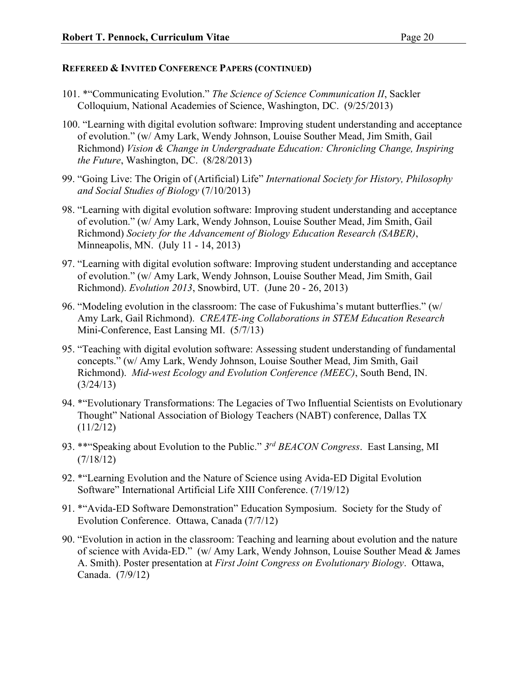- 101. \*"Communicating Evolution." *The Science of Science Communication II*, Sackler Colloquium, National Academies of Science, Washington, DC. (9/25/2013)
- 100. "Learning with digital evolution software: Improving student understanding and acceptance of evolution." (w/ Amy Lark, Wendy Johnson, Louise Souther Mead, Jim Smith, Gail Richmond) *Vision & Change in Undergraduate Education: Chronicling Change, Inspiring the Future*, Washington, DC. (8/28/2013)
- 99. "Going Live: The Origin of (Artificial) Life" *International Society for History, Philosophy and Social Studies of Biology* (7/10/2013)
- 98. "Learning with digital evolution software: Improving student understanding and acceptance of evolution." (w/ Amy Lark, Wendy Johnson, Louise Souther Mead, Jim Smith, Gail Richmond) *Society for the Advancement of Biology Education Research (SABER)*, Minneapolis, MN. (July 11 - 14, 2013)
- 97. "Learning with digital evolution software: Improving student understanding and acceptance of evolution." (w/ Amy Lark, Wendy Johnson, Louise Souther Mead, Jim Smith, Gail Richmond). *Evolution 2013*, Snowbird, UT. (June 20 - 26, 2013)
- 96. "Modeling evolution in the classroom: The case of Fukushima's mutant butterflies." (w/ Amy Lark, Gail Richmond). *CREATE-ing Collaborations in STEM Education Research* Mini-Conference, East Lansing MI. (5/7/13)
- 95. "Teaching with digital evolution software: Assessing student understanding of fundamental concepts." (w/ Amy Lark, Wendy Johnson, Louise Souther Mead, Jim Smith, Gail Richmond). *Mid-west Ecology and Evolution Conference (MEEC)*, South Bend, IN. (3/24/13)
- 94. \*"Evolutionary Transformations: The Legacies of Two Influential Scientists on Evolutionary Thought" National Association of Biology Teachers (NABT) conference, Dallas TX (11/2/12)
- 93. \*\*"Speaking about Evolution to the Public." *3rd BEACON Congress*. East Lansing, MI (7/18/12)
- 92. \*"Learning Evolution and the Nature of Science using Avida-ED Digital Evolution Software" International Artificial Life XIII Conference. (7/19/12)
- 91. \*"Avida-ED Software Demonstration" Education Symposium. Society for the Study of Evolution Conference. Ottawa, Canada (7/7/12)
- 90. "Evolution in action in the classroom: Teaching and learning about evolution and the nature of science with Avida-ED." (w/ Amy Lark, Wendy Johnson, Louise Souther Mead & James A. Smith). Poster presentation at *First Joint Congress on Evolutionary Biology*. Ottawa, Canada. (7/9/12)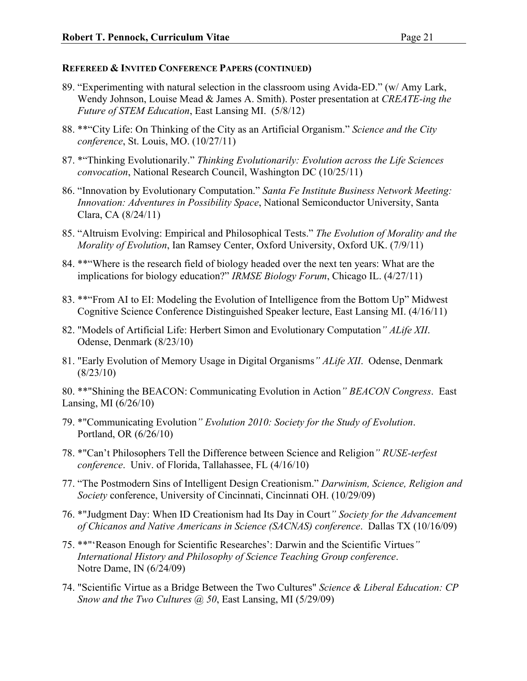- 89. "Experimenting with natural selection in the classroom using Avida-ED." (w/ Amy Lark, Wendy Johnson, Louise Mead & James A. Smith). Poster presentation at *CREATE-ing the Future of STEM Education*, East Lansing MI. (5/8/12)
- 88. \*\*"City Life: On Thinking of the City as an Artificial Organism." *Science and the City conference*, St. Louis, MO. (10/27/11)
- 87. \*"Thinking Evolutionarily." *Thinking Evolutionarily: Evolution across the Life Sciences convocation*, National Research Council, Washington DC (10/25/11)
- 86. "Innovation by Evolutionary Computation." *Santa Fe Institute Business Network Meeting: Innovation: Adventures in Possibility Space*, National Semiconductor University, Santa Clara, CA (8/24/11)
- 85. "Altruism Evolving: Empirical and Philosophical Tests." *The Evolution of Morality and the Morality of Evolution*, Ian Ramsey Center, Oxford University, Oxford UK. (7/9/11)
- 84. \*\*"Where is the research field of biology headed over the next ten years: What are the implications for biology education?" *IRMSE Biology Forum*, Chicago IL. (4/27/11)
- 83. \*\*"From AI to EI: Modeling the Evolution of Intelligence from the Bottom Up" Midwest Cognitive Science Conference Distinguished Speaker lecture, East Lansing MI. (4/16/11)
- 82. "Models of Artificial Life: Herbert Simon and Evolutionary Computation*" ALife XII*. Odense, Denmark (8/23/10)
- 81. "Early Evolution of Memory Usage in Digital Organisms*" ALife XII*. Odense, Denmark (8/23/10)

80. \*\*"Shining the BEACON: Communicating Evolution in Action*" BEACON Congress*. East Lansing, MI (6/26/10)

- 79. \*"Communicating Evolution*" Evolution 2010: Society for the Study of Evolution*. Portland, OR (6/26/10)
- 78. \*"Can't Philosophers Tell the Difference between Science and Religion*" RUSE-terfest conference*. Univ. of Florida, Tallahassee, FL (4/16/10)
- 77. "The Postmodern Sins of Intelligent Design Creationism." *Darwinism, Science, Religion and Society* conference, University of Cincinnati, Cincinnati OH. (10/29/09)
- 76. \*"Judgment Day: When ID Creationism had Its Day in Court*" Society for the Advancement of Chicanos and Native Americans in Science (SACNAS) conference*. Dallas TX (10/16/09)
- 75. \*\*"'Reason Enough for Scientific Researches': Darwin and the Scientific Virtues*" International History and Philosophy of Science Teaching Group conference*. Notre Dame, IN (6/24/09)
- 74. "Scientific Virtue as a Bridge Between the Two Cultures" *Science & Liberal Education: CP Snow and the Two Cultures @ 50*, East Lansing, MI (5/29/09)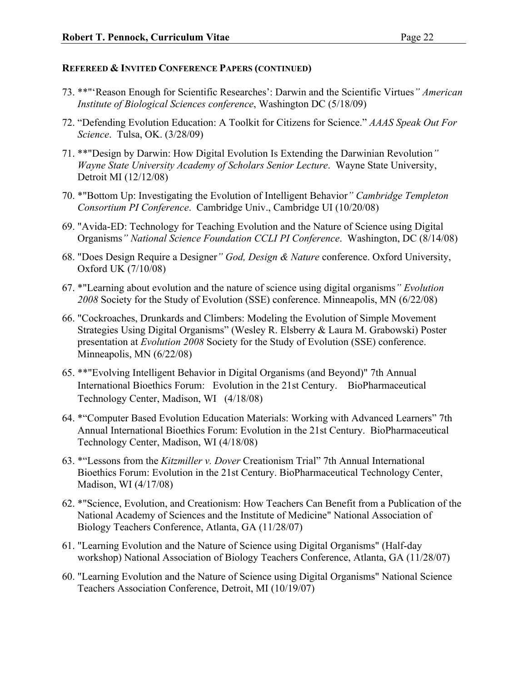- 73. \*\*"'Reason Enough for Scientific Researches': Darwin and the Scientific Virtues*" American Institute of Biological Sciences conference*, Washington DC (5/18/09)
- 72. "Defending Evolution Education: A Toolkit for Citizens for Science." *AAAS Speak Out For Science*. Tulsa, OK. (3/28/09)
- 71. \*\*"Design by Darwin: How Digital Evolution Is Extending the Darwinian Revolution*" Wayne State University Academy of Scholars Senior Lecture*. Wayne State University, Detroit MI (12/12/08)
- 70. \*"Bottom Up: Investigating the Evolution of Intelligent Behavior*" Cambridge Templeton Consortium PI Conference*. Cambridge Univ., Cambridge UI (10/20/08)
- 69. "Avida-ED: Technology for Teaching Evolution and the Nature of Science using Digital Organisms*" National Science Foundation CCLI PI Conference*. Washington, DC (8/14/08)
- 68. "Does Design Require a Designer*" God, Design & Nature* conference. Oxford University, Oxford UK (7/10/08)
- 67. \*"Learning about evolution and the nature of science using digital organisms*" Evolution 2008* Society for the Study of Evolution (SSE) conference. Minneapolis, MN (6/22/08)
- 66. "Cockroaches, Drunkards and Climbers: Modeling the Evolution of Simple Movement Strategies Using Digital Organisms" (Wesley R. Elsberry & Laura M. Grabowski) Poster presentation at *Evolution 2008* Society for the Study of Evolution (SSE) conference. Minneapolis, MN (6/22/08)
- 65. \*\*"Evolving Intelligent Behavior in Digital Organisms (and Beyond)" 7th Annual International Bioethics Forum: Evolution in the 21st Century. BioPharmaceutical Technology Center, Madison, WI (4/18/08)
- 64. \*"Computer Based Evolution Education Materials: Working with Advanced Learners" 7th Annual International Bioethics Forum: Evolution in the 21st Century. BioPharmaceutical Technology Center, Madison, WI (4/18/08)
- 63. \*"Lessons from the *Kitzmiller v. Dover* Creationism Trial" 7th Annual International Bioethics Forum: Evolution in the 21st Century. BioPharmaceutical Technology Center, Madison, WI (4/17/08)
- 62. \*"Science, Evolution, and Creationism: How Teachers Can Benefit from a Publication of the National Academy of Sciences and the Institute of Medicine" National Association of Biology Teachers Conference, Atlanta, GA (11/28/07)
- 61. "Learning Evolution and the Nature of Science using Digital Organisms" (Half-day workshop) National Association of Biology Teachers Conference, Atlanta, GA (11/28/07)
- 60. "Learning Evolution and the Nature of Science using Digital Organisms" National Science Teachers Association Conference, Detroit, MI (10/19/07)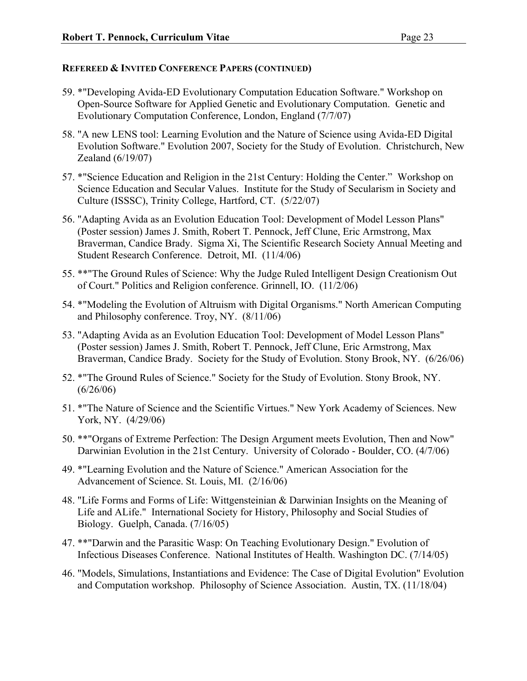- 59. \*"Developing Avida-ED Evolutionary Computation Education Software." Workshop on Open-Source Software for Applied Genetic and Evolutionary Computation. Genetic and Evolutionary Computation Conference, London, England (7/7/07)
- 58. "A new LENS tool: Learning Evolution and the Nature of Science using Avida-ED Digital Evolution Software." Evolution 2007, Society for the Study of Evolution. Christchurch, New Zealand (6/19/07)
- 57. \*"Science Education and Religion in the 21st Century: Holding the Center." Workshop on Science Education and Secular Values. Institute for the Study of Secularism in Society and Culture (ISSSC), Trinity College, Hartford, CT. (5/22/07)
- 56. "Adapting Avida as an Evolution Education Tool: Development of Model Lesson Plans" (Poster session) James J. Smith, Robert T. Pennock, Jeff Clune, Eric Armstrong, Max Braverman, Candice Brady. Sigma Xi, The Scientific Research Society Annual Meeting and Student Research Conference. Detroit, MI. (11/4/06)
- 55. \*\*"The Ground Rules of Science: Why the Judge Ruled Intelligent Design Creationism Out of Court." Politics and Religion conference. Grinnell, IO. (11/2/06)
- 54. \*"Modeling the Evolution of Altruism with Digital Organisms." North American Computing and Philosophy conference. Troy, NY. (8/11/06)
- 53. "Adapting Avida as an Evolution Education Tool: Development of Model Lesson Plans" (Poster session) James J. Smith, Robert T. Pennock, Jeff Clune, Eric Armstrong, Max Braverman, Candice Brady. Society for the Study of Evolution. Stony Brook, NY. (6/26/06)
- 52. \*"The Ground Rules of Science." Society for the Study of Evolution. Stony Brook, NY.  $(6/26/06)$
- 51. \*"The Nature of Science and the Scientific Virtues." New York Academy of Sciences. New York, NY. (4/29/06)
- 50. \*\*"Organs of Extreme Perfection: The Design Argument meets Evolution, Then and Now" Darwinian Evolution in the 21st Century. University of Colorado - Boulder, CO. (4/7/06)
- 49. \*"Learning Evolution and the Nature of Science." American Association for the Advancement of Science. St. Louis, MI. (2/16/06)
- 48. "Life Forms and Forms of Life: Wittgensteinian & Darwinian Insights on the Meaning of Life and ALife." International Society for History, Philosophy and Social Studies of Biology. Guelph, Canada. (7/16/05)
- 47. \*\*"Darwin and the Parasitic Wasp: On Teaching Evolutionary Design." Evolution of Infectious Diseases Conference. National Institutes of Health. Washington DC. (7/14/05)
- 46. "Models, Simulations, Instantiations and Evidence: The Case of Digital Evolution" Evolution and Computation workshop. Philosophy of Science Association. Austin, TX. (11/18/04)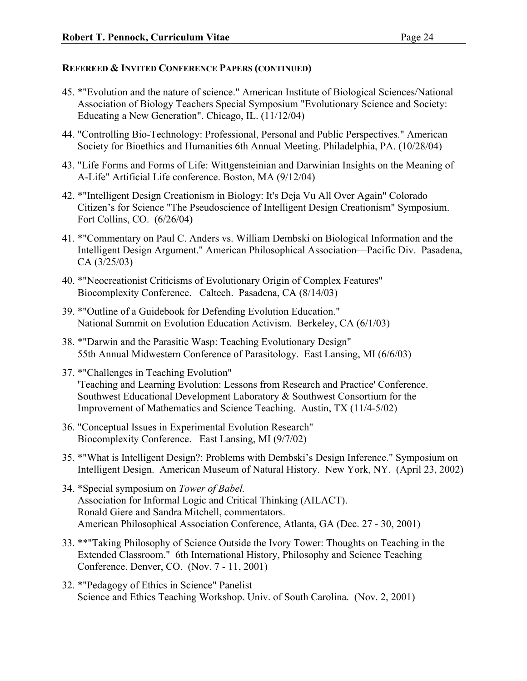- 45. \*"Evolution and the nature of science." American Institute of Biological Sciences/National Association of Biology Teachers Special Symposium "Evolutionary Science and Society: Educating a New Generation". Chicago, IL. (11/12/04)
- 44. "Controlling Bio-Technology: Professional, Personal and Public Perspectives." American Society for Bioethics and Humanities 6th Annual Meeting. Philadelphia, PA. (10/28/04)
- 43. "Life Forms and Forms of Life: Wittgensteinian and Darwinian Insights on the Meaning of A-Life" Artificial Life conference. Boston, MA (9/12/04)
- 42. \*"Intelligent Design Creationism in Biology: It's Deja Vu All Over Again" Colorado Citizen's for Science "The Pseudoscience of Intelligent Design Creationism" Symposium. Fort Collins, CO. (6/26/04)
- 41. \*"Commentary on Paul C. Anders vs. William Dembski on Biological Information and the Intelligent Design Argument." American Philosophical Association—Pacific Div. Pasadena, CA (3/25/03)
- 40. \*"Neocreationist Criticisms of Evolutionary Origin of Complex Features" Biocomplexity Conference. Caltech. Pasadena, CA (8/14/03)
- 39. \*"Outline of a Guidebook for Defending Evolution Education." National Summit on Evolution Education Activism. Berkeley, CA (6/1/03)
- 38. \*"Darwin and the Parasitic Wasp: Teaching Evolutionary Design" 55th Annual Midwestern Conference of Parasitology. East Lansing, MI (6/6/03)
- 37. \*"Challenges in Teaching Evolution" 'Teaching and Learning Evolution: Lessons from Research and Practice' Conference. Southwest Educational Development Laboratory & Southwest Consortium for the Improvement of Mathematics and Science Teaching. Austin, TX (11/4-5/02)
- 36. "Conceptual Issues in Experimental Evolution Research" Biocomplexity Conference. East Lansing, MI (9/7/02)
- 35. \*"What is Intelligent Design?: Problems with Dembski's Design Inference." Symposium on Intelligent Design. American Museum of Natural History. New York, NY. (April 23, 2002)
- 34. \*Special symposium on *Tower of Babel.* Association for Informal Logic and Critical Thinking (AILACT). Ronald Giere and Sandra Mitchell, commentators. American Philosophical Association Conference, Atlanta, GA (Dec. 27 - 30, 2001)
- 33. \*\*"Taking Philosophy of Science Outside the Ivory Tower: Thoughts on Teaching in the Extended Classroom." 6th International History, Philosophy and Science Teaching Conference. Denver, CO. (Nov. 7 - 11, 2001)
- 32. \*"Pedagogy of Ethics in Science" Panelist Science and Ethics Teaching Workshop. Univ. of South Carolina. (Nov. 2, 2001)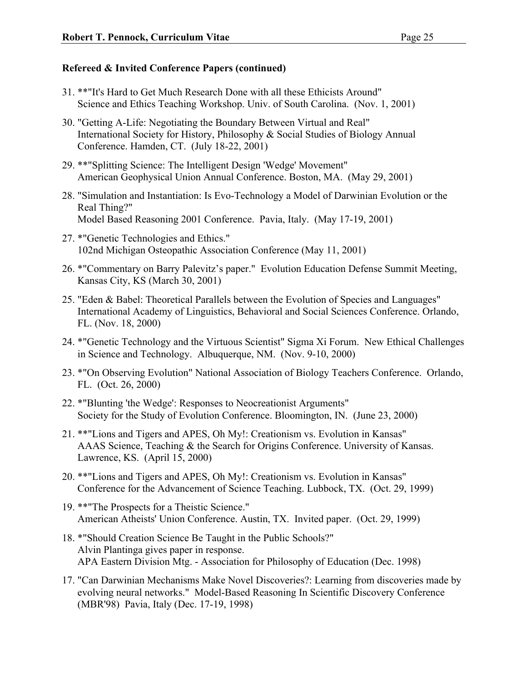- 31. \*\*"It's Hard to Get Much Research Done with all these Ethicists Around" Science and Ethics Teaching Workshop. Univ. of South Carolina. (Nov. 1, 2001)
- 30. "Getting A-Life: Negotiating the Boundary Between Virtual and Real" International Society for History, Philosophy & Social Studies of Biology Annual Conference. Hamden, CT. (July 18-22, 2001)
- 29. \*\*"Splitting Science: The Intelligent Design 'Wedge' Movement" American Geophysical Union Annual Conference. Boston, MA. (May 29, 2001)
- 28. "Simulation and Instantiation: Is Evo-Technology a Model of Darwinian Evolution or the Real Thing?" Model Based Reasoning 2001 Conference. Pavia, Italy. (May 17-19, 2001)
- 27. \*"Genetic Technologies and Ethics." 102nd Michigan Osteopathic Association Conference (May 11, 2001)
- 26. \*"Commentary on Barry Palevitz's paper." Evolution Education Defense Summit Meeting, Kansas City, KS (March 30, 2001)
- 25. "Eden & Babel: Theoretical Parallels between the Evolution of Species and Languages" International Academy of Linguistics, Behavioral and Social Sciences Conference. Orlando, FL. (Nov. 18, 2000)
- 24. \*"Genetic Technology and the Virtuous Scientist" Sigma Xi Forum. New Ethical Challenges in Science and Technology. Albuquerque, NM. (Nov. 9-10, 2000)
- 23. \*"On Observing Evolution" National Association of Biology Teachers Conference. Orlando, FL. (Oct. 26, 2000)
- 22. \*"Blunting 'the Wedge': Responses to Neocreationist Arguments" Society for the Study of Evolution Conference. Bloomington, IN. (June 23, 2000)
- 21. \*\*"Lions and Tigers and APES, Oh My!: Creationism vs. Evolution in Kansas" AAAS Science, Teaching & the Search for Origins Conference. University of Kansas. Lawrence, KS. (April 15, 2000)
- 20. \*\*"Lions and Tigers and APES, Oh My!: Creationism vs. Evolution in Kansas" Conference for the Advancement of Science Teaching. Lubbock, TX. (Oct. 29, 1999)
- 19. \*\*"The Prospects for a Theistic Science." American Atheists' Union Conference. Austin, TX. Invited paper. (Oct. 29, 1999)
- 18. \*"Should Creation Science Be Taught in the Public Schools?" Alvin Plantinga gives paper in response. APA Eastern Division Mtg. - Association for Philosophy of Education (Dec. 1998)
- 17. "Can Darwinian Mechanisms Make Novel Discoveries?: Learning from discoveries made by evolving neural networks." Model-Based Reasoning In Scientific Discovery Conference (MBR'98) Pavia, Italy (Dec. 17-19, 1998)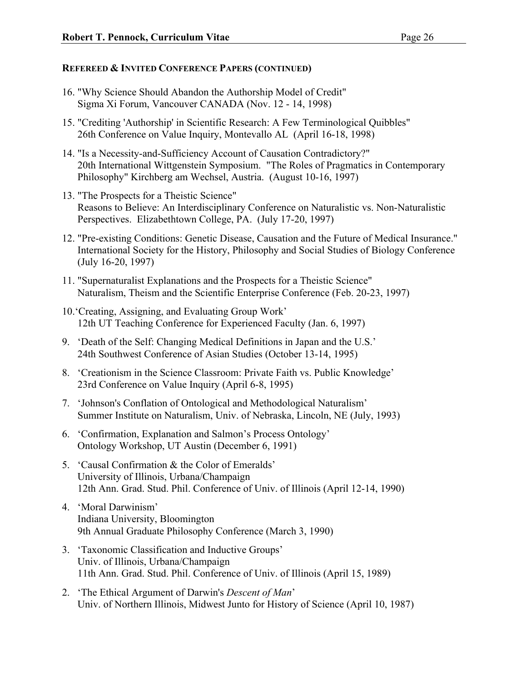- 16. "Why Science Should Abandon the Authorship Model of Credit" Sigma Xi Forum, Vancouver CANADA (Nov. 12 - 14, 1998)
- 15. "Crediting 'Authorship' in Scientific Research: A Few Terminological Quibbles" 26th Conference on Value Inquiry, Montevallo AL (April 16-18, 1998)
- 14. "Is a Necessity-and-Sufficiency Account of Causation Contradictory?" 20th International Wittgenstein Symposium. "The Roles of Pragmatics in Contemporary Philosophy" Kirchberg am Wechsel, Austria. (August 10-16, 1997)
- 13. "The Prospects for a Theistic Science" Reasons to Believe: An Interdisciplinary Conference on Naturalistic vs. Non-Naturalistic Perspectives. Elizabethtown College, PA. (July 17-20, 1997)
- 12. "Pre-existing Conditions: Genetic Disease, Causation and the Future of Medical Insurance." International Society for the History, Philosophy and Social Studies of Biology Conference (July 16-20, 1997)
- 11. "Supernaturalist Explanations and the Prospects for a Theistic Science" Naturalism, Theism and the Scientific Enterprise Conference (Feb. 20-23, 1997)
- 10.'Creating, Assigning, and Evaluating Group Work' 12th UT Teaching Conference for Experienced Faculty (Jan. 6, 1997)
- 9. 'Death of the Self: Changing Medical Definitions in Japan and the U.S.' 24th Southwest Conference of Asian Studies (October 13-14, 1995)
- 8. 'Creationism in the Science Classroom: Private Faith vs. Public Knowledge' 23rd Conference on Value Inquiry (April 6-8, 1995)
- 7. 'Johnson's Conflation of Ontological and Methodological Naturalism' Summer Institute on Naturalism, Univ. of Nebraska, Lincoln, NE (July, 1993)
- 6. 'Confirmation, Explanation and Salmon's Process Ontology' Ontology Workshop, UT Austin (December 6, 1991)
- 5. 'Causal Confirmation & the Color of Emeralds' University of Illinois, Urbana/Champaign 12th Ann. Grad. Stud. Phil. Conference of Univ. of Illinois (April 12-14, 1990)
- 4. 'Moral Darwinism' Indiana University, Bloomington 9th Annual Graduate Philosophy Conference (March 3, 1990)
- 3. 'Taxonomic Classification and Inductive Groups' Univ. of Illinois, Urbana/Champaign 11th Ann. Grad. Stud. Phil. Conference of Univ. of Illinois (April 15, 1989)
- 2. 'The Ethical Argument of Darwin's *Descent of Man*' Univ. of Northern Illinois, Midwest Junto for History of Science (April 10, 1987)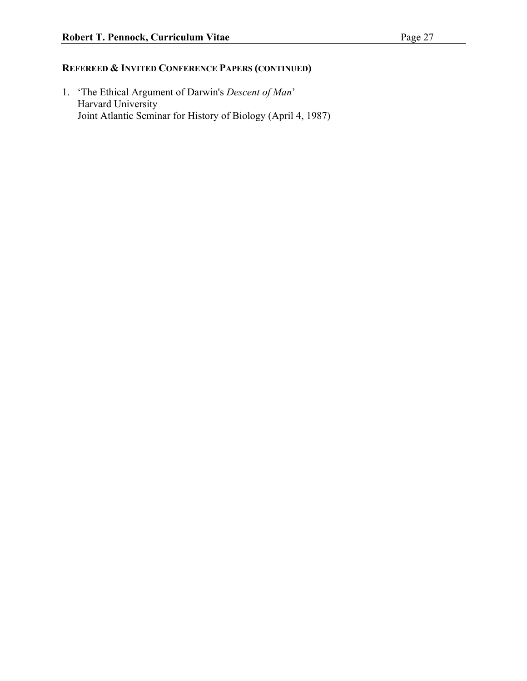1. 'The Ethical Argument of Darwin's *Descent of Man*' Harvard University Joint Atlantic Seminar for History of Biology (April 4, 1987)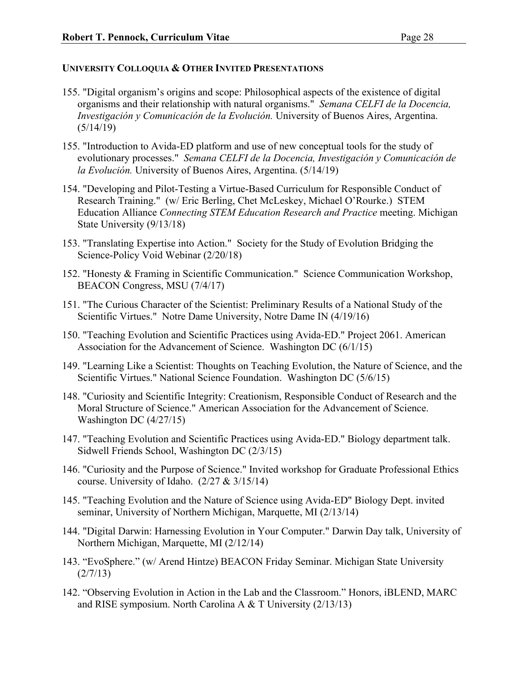## **UNIVERSITY COLLOQUIA & OTHER INVITED PRESENTATIONS**

- 155. "Digital organism's origins and scope: Philosophical aspects of the existence of digital organisms and their relationship with natural organisms." *Semana CELFI de la Docencia, Investigación y Comunicación de la Evolución.* University of Buenos Aires, Argentina.  $(5/14/19)$
- 155. "Introduction to Avida-ED platform and use of new conceptual tools for the study of evolutionary processes." *Semana CELFI de la Docencia, Investigación y Comunicación de la Evolución.* University of Buenos Aires, Argentina. (5/14/19)
- 154. "Developing and Pilot-Testing a Virtue-Based Curriculum for Responsible Conduct of Research Training." (w/ Eric Berling, Chet McLeskey, Michael O'Rourke.) STEM Education Alliance *Connecting STEM Education Research and Practice* meeting. Michigan State University (9/13/18)
- 153. "Translating Expertise into Action." Society for the Study of Evolution Bridging the Science-Policy Void Webinar (2/20/18)
- 152. "Honesty & Framing in Scientific Communication." Science Communication Workshop, BEACON Congress, MSU (7/4/17)
- 151. "The Curious Character of the Scientist: Preliminary Results of a National Study of the Scientific Virtues." Notre Dame University, Notre Dame IN (4/19/16)
- 150. "Teaching Evolution and Scientific Practices using Avida-ED." Project 2061. American Association for the Advancement of Science. Washington DC (6/1/15)
- 149. "Learning Like a Scientist: Thoughts on Teaching Evolution, the Nature of Science, and the Scientific Virtues." National Science Foundation. Washington DC (5/6/15)
- 148. "Curiosity and Scientific Integrity: Creationism, Responsible Conduct of Research and the Moral Structure of Science." American Association for the Advancement of Science. Washington DC (4/27/15)
- 147. "Teaching Evolution and Scientific Practices using Avida-ED." Biology department talk. Sidwell Friends School, Washington DC (2/3/15)
- 146. "Curiosity and the Purpose of Science." Invited workshop for Graduate Professional Ethics course. University of Idaho. (2/27 & 3/15/14)
- 145. "Teaching Evolution and the Nature of Science using Avida-ED" Biology Dept. invited seminar, University of Northern Michigan, Marquette, MI (2/13/14)
- 144. "Digital Darwin: Harnessing Evolution in Your Computer." Darwin Day talk, University of Northern Michigan, Marquette, MI (2/12/14)
- 143. "EvoSphere." (w/ Arend Hintze) BEACON Friday Seminar. Michigan State University  $(2/7/13)$
- 142. "Observing Evolution in Action in the Lab and the Classroom." Honors, iBLEND, MARC and RISE symposium. North Carolina A & T University (2/13/13)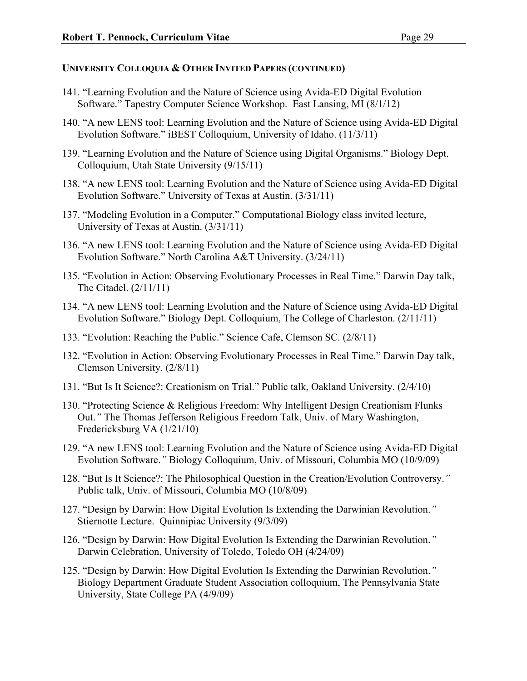- 141. "Learning Evolution and the Nature of Science using Avida-ED Digital Evolution Software." Tapestry Computer Science Workshop. East Lansing, MI (8/1/12)
- 140. "A new LENS tool: Learning Evolution and the Nature of Science using Avida-ED Digital Evolution Software." iBEST Colloquium, University of Idaho. (11/3/11)
- 139. "Learning Evolution and the Nature of Science using Digital Organisms." Biology Dept. Colloquium, Utah State University (9/15/11)
- 138. "A new LENS tool: Learning Evolution and the Nature of Science using Avida-ED Digital Evolution Software." University of Texas at Austin. (3/31/11)
- 137. "Modeling Evolution in a Computer." Computational Biology class invited lecture, University of Texas at Austin. (3/31/11)
- 136. "A new LENS tool: Learning Evolution and the Nature of Science using Avida-ED Digital Evolution Software." North Carolina A&T University. (3/24/11)
- 135. "Evolution in Action: Observing Evolutionary Processes in Real Time." Darwin Day talk, The Citadel. (2/11/11)
- 134. "A new LENS tool: Learning Evolution and the Nature of Science using Avida-ED Digital Evolution Software." Biology Dept. Colloquium, The College of Charleston. (2/11/11)
- 133. "Evolution: Reaching the Public." Science Cafe, Clemson SC. (2/8/11)
- 132. "Evolution in Action: Observing Evolutionary Processes in Real Time." Darwin Day talk, Clemson University. (2/8/11)
- 131. "But Is It Science?: Creationism on Trial." Public talk, Oakland University. (2/4/10)
- 130. "Protecting Science & Religious Freedom: Why Intelligent Design Creationism Flunks Out.*"* The Thomas Jefferson Religious Freedom Talk, Univ. of Mary Washington, Fredericksburg VA (1/21/10)
- 129. "A new LENS tool: Learning Evolution and the Nature of Science using Avida-ED Digital Evolution Software.*"* Biology Colloquium, Univ. of Missouri, Columbia MO (10/9/09)
- 128. "But Is It Science?: The Philosophical Question in the Creation/Evolution Controversy.*"* Public talk, Univ. of Missouri, Columbia MO (10/8/09)
- 127. "Design by Darwin: How Digital Evolution Is Extending the Darwinian Revolution.*"* Stiernotte Lecture. Quinnipiac University (9/3/09)
- 126. "Design by Darwin: How Digital Evolution Is Extending the Darwinian Revolution.*"* Darwin Celebration, University of Toledo, Toledo OH (4/24/09)
- 125. "Design by Darwin: How Digital Evolution Is Extending the Darwinian Revolution.*"* Biology Department Graduate Student Association colloquium, The Pennsylvania State University, State College PA (4/9/09)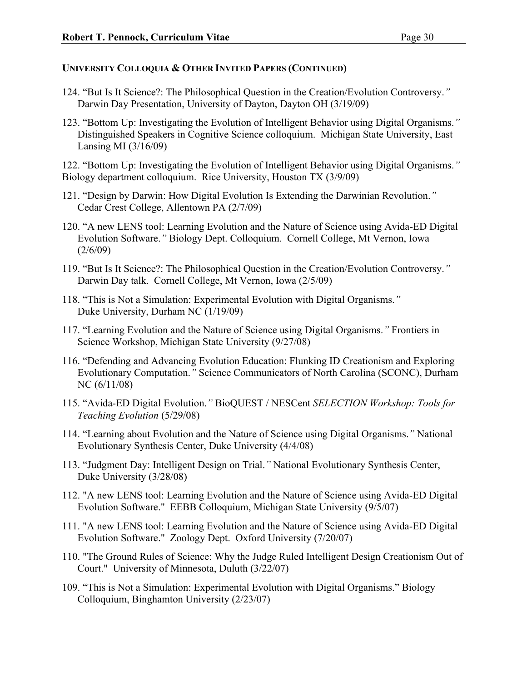- 124. "But Is It Science?: The Philosophical Question in the Creation/Evolution Controversy.*"* Darwin Day Presentation, University of Dayton, Dayton OH (3/19/09)
- 123. "Bottom Up: Investigating the Evolution of Intelligent Behavior using Digital Organisms.*"* Distinguished Speakers in Cognitive Science colloquium. Michigan State University, East Lansing MI (3/16/09)

122. "Bottom Up: Investigating the Evolution of Intelligent Behavior using Digital Organisms.*"* Biology department colloquium. Rice University, Houston TX (3/9/09)

- 121. "Design by Darwin: How Digital Evolution Is Extending the Darwinian Revolution.*"* Cedar Crest College, Allentown PA (2/7/09)
- 120. "A new LENS tool: Learning Evolution and the Nature of Science using Avida-ED Digital Evolution Software.*"* Biology Dept. Colloquium. Cornell College, Mt Vernon, Iowa  $(2/6/09)$
- 119. "But Is It Science?: The Philosophical Question in the Creation/Evolution Controversy.*"* Darwin Day talk. Cornell College, Mt Vernon, Iowa (2/5/09)
- 118. "This is Not a Simulation: Experimental Evolution with Digital Organisms.*"* Duke University, Durham NC (1/19/09)
- 117. "Learning Evolution and the Nature of Science using Digital Organisms.*"* Frontiers in Science Workshop, Michigan State University (9/27/08)
- 116. "Defending and Advancing Evolution Education: Flunking ID Creationism and Exploring Evolutionary Computation.*"* Science Communicators of North Carolina (SCONC), Durham NC (6/11/08)
- 115. "Avida-ED Digital Evolution.*"* BioQUEST / NESCent *SELECTION Workshop: Tools for Teaching Evolution* (5/29/08)
- 114. "Learning about Evolution and the Nature of Science using Digital Organisms.*"* National Evolutionary Synthesis Center, Duke University (4/4/08)
- 113. "Judgment Day: Intelligent Design on Trial.*"* National Evolutionary Synthesis Center, Duke University (3/28/08)
- 112. "A new LENS tool: Learning Evolution and the Nature of Science using Avida-ED Digital Evolution Software." EEBB Colloquium, Michigan State University (9/5/07)
- 111. "A new LENS tool: Learning Evolution and the Nature of Science using Avida-ED Digital Evolution Software." Zoology Dept. Oxford University (7/20/07)
- 110. "The Ground Rules of Science: Why the Judge Ruled Intelligent Design Creationism Out of Court." University of Minnesota, Duluth (3/22/07)
- 109. "This is Not a Simulation: Experimental Evolution with Digital Organisms." Biology Colloquium, Binghamton University (2/23/07)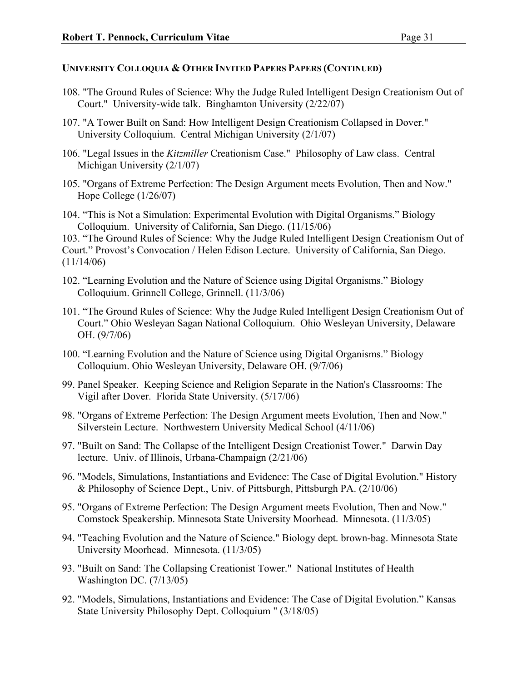- 108. "The Ground Rules of Science: Why the Judge Ruled Intelligent Design Creationism Out of Court." University-wide talk. Binghamton University (2/22/07)
- 107. "A Tower Built on Sand: How Intelligent Design Creationism Collapsed in Dover." University Colloquium. Central Michigan University (2/1/07)
- 106. "Legal Issues in the *Kitzmiller* Creationism Case." Philosophy of Law class. Central Michigan University (2/1/07)
- 105. "Organs of Extreme Perfection: The Design Argument meets Evolution, Then and Now." Hope College (1/26/07)
- 104. "This is Not a Simulation: Experimental Evolution with Digital Organisms." Biology Colloquium. University of California, San Diego. (11/15/06)

103. "The Ground Rules of Science: Why the Judge Ruled Intelligent Design Creationism Out of Court." Provost's Convocation / Helen Edison Lecture. University of California, San Diego.  $(11/14/06)$ 

- 102. "Learning Evolution and the Nature of Science using Digital Organisms." Biology Colloquium. Grinnell College, Grinnell. (11/3/06)
- 101. "The Ground Rules of Science: Why the Judge Ruled Intelligent Design Creationism Out of Court." Ohio Wesleyan Sagan National Colloquium. Ohio Wesleyan University, Delaware OH. (9/7/06)
- 100. "Learning Evolution and the Nature of Science using Digital Organisms." Biology Colloquium. Ohio Wesleyan University, Delaware OH. (9/7/06)
- 99. Panel Speaker. Keeping Science and Religion Separate in the Nation's Classrooms: The Vigil after Dover. Florida State University. (5/17/06)
- 98. "Organs of Extreme Perfection: The Design Argument meets Evolution, Then and Now." Silverstein Lecture. Northwestern University Medical School (4/11/06)
- 97. "Built on Sand: The Collapse of the Intelligent Design Creationist Tower." Darwin Day lecture. Univ. of Illinois, Urbana-Champaign (2/21/06)
- 96. "Models, Simulations, Instantiations and Evidence: The Case of Digital Evolution." History & Philosophy of Science Dept., Univ. of Pittsburgh, Pittsburgh PA. (2/10/06)
- 95. "Organs of Extreme Perfection: The Design Argument meets Evolution, Then and Now." Comstock Speakership. Minnesota State University Moorhead. Minnesota. (11/3/05)
- 94. "Teaching Evolution and the Nature of Science." Biology dept. brown-bag. Minnesota State University Moorhead. Minnesota. (11/3/05)
- 93. "Built on Sand: The Collapsing Creationist Tower." National Institutes of Health Washington DC. (7/13/05)
- 92. "Models, Simulations, Instantiations and Evidence: The Case of Digital Evolution." Kansas State University Philosophy Dept. Colloquium " (3/18/05)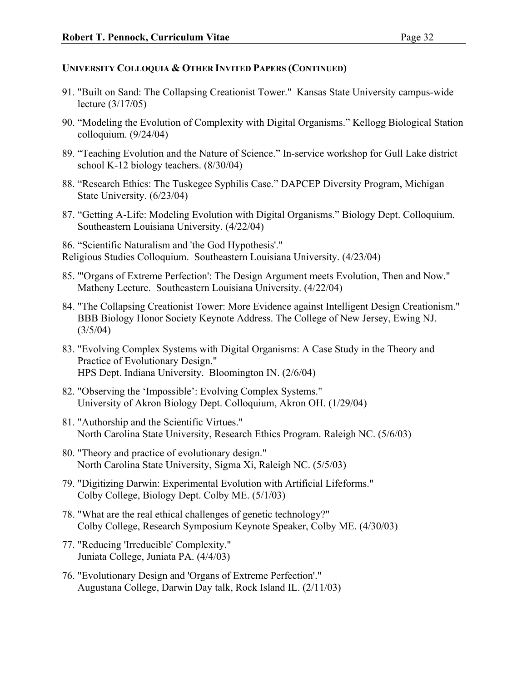- 91. "Built on Sand: The Collapsing Creationist Tower." Kansas State University campus-wide lecture (3/17/05)
- 90. "Modeling the Evolution of Complexity with Digital Organisms." Kellogg Biological Station colloquium. (9/24/04)
- 89. "Teaching Evolution and the Nature of Science." In-service workshop for Gull Lake district school K-12 biology teachers. (8/30/04)
- 88. "Research Ethics: The Tuskegee Syphilis Case." DAPCEP Diversity Program, Michigan State University. (6/23/04)
- 87. "Getting A-Life: Modeling Evolution with Digital Organisms." Biology Dept. Colloquium. Southeastern Louisiana University. (4/22/04)

86. "Scientific Naturalism and 'the God Hypothesis'." Religious Studies Colloquium. Southeastern Louisiana University. (4/23/04)

- 85. "'Organs of Extreme Perfection': The Design Argument meets Evolution, Then and Now." Matheny Lecture. Southeastern Louisiana University. (4/22/04)
- 84. "The Collapsing Creationist Tower: More Evidence against Intelligent Design Creationism." BBB Biology Honor Society Keynote Address. The College of New Jersey, Ewing NJ.  $(3/5/04)$
- 83. "Evolving Complex Systems with Digital Organisms: A Case Study in the Theory and Practice of Evolutionary Design." HPS Dept. Indiana University. Bloomington IN. (2/6/04)
- 82. "Observing the 'Impossible': Evolving Complex Systems." University of Akron Biology Dept. Colloquium, Akron OH. (1/29/04)
- 81. "Authorship and the Scientific Virtues." North Carolina State University, Research Ethics Program. Raleigh NC. (5/6/03)
- 80. "Theory and practice of evolutionary design." North Carolina State University, Sigma Xi, Raleigh NC. (5/5/03)
- 79. "Digitizing Darwin: Experimental Evolution with Artificial Lifeforms." Colby College, Biology Dept. Colby ME. (5/1/03)
- 78. "What are the real ethical challenges of genetic technology?" Colby College, Research Symposium Keynote Speaker, Colby ME. (4/30/03)
- 77. "Reducing 'Irreducible' Complexity." Juniata College, Juniata PA. (4/4/03)
- 76. "Evolutionary Design and 'Organs of Extreme Perfection'." Augustana College, Darwin Day talk, Rock Island IL. (2/11/03)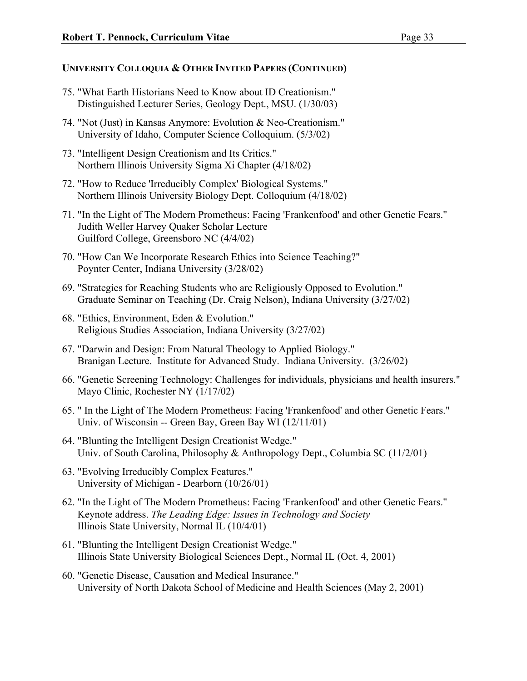- 75. "What Earth Historians Need to Know about ID Creationism." Distinguished Lecturer Series, Geology Dept., MSU. (1/30/03)
- 74. "Not (Just) in Kansas Anymore: Evolution & Neo-Creationism." University of Idaho, Computer Science Colloquium. (5/3/02)
- 73. "Intelligent Design Creationism and Its Critics." Northern Illinois University Sigma Xi Chapter (4/18/02)
- 72. "How to Reduce 'Irreducibly Complex' Biological Systems." Northern Illinois University Biology Dept. Colloquium (4/18/02)
- 71. "In the Light of The Modern Prometheus: Facing 'Frankenfood' and other Genetic Fears." Judith Weller Harvey Quaker Scholar Lecture Guilford College, Greensboro NC (4/4/02)
- 70. "How Can We Incorporate Research Ethics into Science Teaching?" Poynter Center, Indiana University (3/28/02)
- 69. "Strategies for Reaching Students who are Religiously Opposed to Evolution." Graduate Seminar on Teaching (Dr. Craig Nelson), Indiana University (3/27/02)
- 68. "Ethics, Environment, Eden & Evolution." Religious Studies Association, Indiana University (3/27/02)
- 67. "Darwin and Design: From Natural Theology to Applied Biology." Branigan Lecture. Institute for Advanced Study. Indiana University. (3/26/02)
- 66. "Genetic Screening Technology: Challenges for individuals, physicians and health insurers." Mayo Clinic, Rochester NY (1/17/02)
- 65. " In the Light of The Modern Prometheus: Facing 'Frankenfood' and other Genetic Fears." Univ. of Wisconsin -- Green Bay, Green Bay WI (12/11/01)
- 64. "Blunting the Intelligent Design Creationist Wedge." Univ. of South Carolina, Philosophy & Anthropology Dept., Columbia SC (11/2/01)
- 63. "Evolving Irreducibly Complex Features." University of Michigan - Dearborn (10/26/01)
- 62. "In the Light of The Modern Prometheus: Facing 'Frankenfood' and other Genetic Fears." Keynote address. *The Leading Edge: Issues in Technology and Society* Illinois State University, Normal IL (10/4/01)
- 61. "Blunting the Intelligent Design Creationist Wedge." Illinois State University Biological Sciences Dept., Normal IL (Oct. 4, 2001)
- 60. "Genetic Disease, Causation and Medical Insurance." University of North Dakota School of Medicine and Health Sciences (May 2, 2001)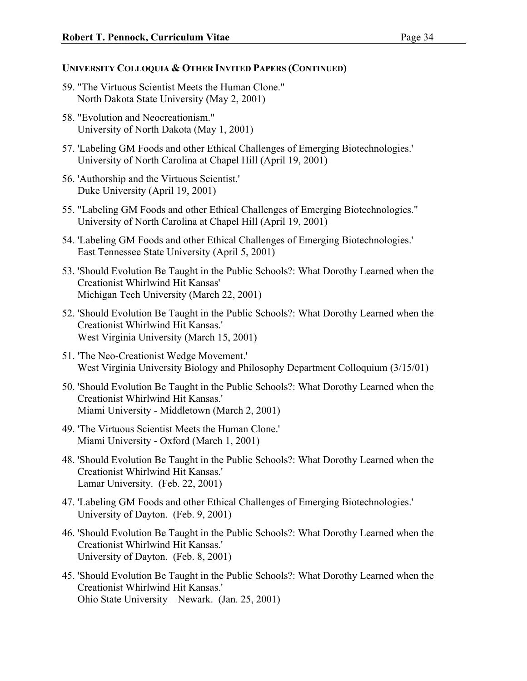- 59. "The Virtuous Scientist Meets the Human Clone." North Dakota State University (May 2, 2001)
- 58. "Evolution and Neocreationism." University of North Dakota (May 1, 2001)
- 57. 'Labeling GM Foods and other Ethical Challenges of Emerging Biotechnologies.' University of North Carolina at Chapel Hill (April 19, 2001)
- 56. 'Authorship and the Virtuous Scientist.' Duke University (April 19, 2001)
- 55. "Labeling GM Foods and other Ethical Challenges of Emerging Biotechnologies." University of North Carolina at Chapel Hill (April 19, 2001)
- 54. 'Labeling GM Foods and other Ethical Challenges of Emerging Biotechnologies.' East Tennessee State University (April 5, 2001)
- 53. 'Should Evolution Be Taught in the Public Schools?: What Dorothy Learned when the Creationist Whirlwind Hit Kansas' Michigan Tech University (March 22, 2001)
- 52. 'Should Evolution Be Taught in the Public Schools?: What Dorothy Learned when the Creationist Whirlwind Hit Kansas.' West Virginia University (March 15, 2001)
- 51. 'The Neo-Creationist Wedge Movement.' West Virginia University Biology and Philosophy Department Colloquium (3/15/01)
- 50. 'Should Evolution Be Taught in the Public Schools?: What Dorothy Learned when the Creationist Whirlwind Hit Kansas.' Miami University - Middletown (March 2, 2001)
- 49. 'The Virtuous Scientist Meets the Human Clone.' Miami University - Oxford (March 1, 2001)
- 48. 'Should Evolution Be Taught in the Public Schools?: What Dorothy Learned when the Creationist Whirlwind Hit Kansas.' Lamar University. (Feb. 22, 2001)
- 47. 'Labeling GM Foods and other Ethical Challenges of Emerging Biotechnologies.' University of Dayton. (Feb. 9, 2001)
- 46. 'Should Evolution Be Taught in the Public Schools?: What Dorothy Learned when the Creationist Whirlwind Hit Kansas.' University of Dayton. (Feb. 8, 2001)
- 45. 'Should Evolution Be Taught in the Public Schools?: What Dorothy Learned when the Creationist Whirlwind Hit Kansas.' Ohio State University – Newark. (Jan. 25, 2001)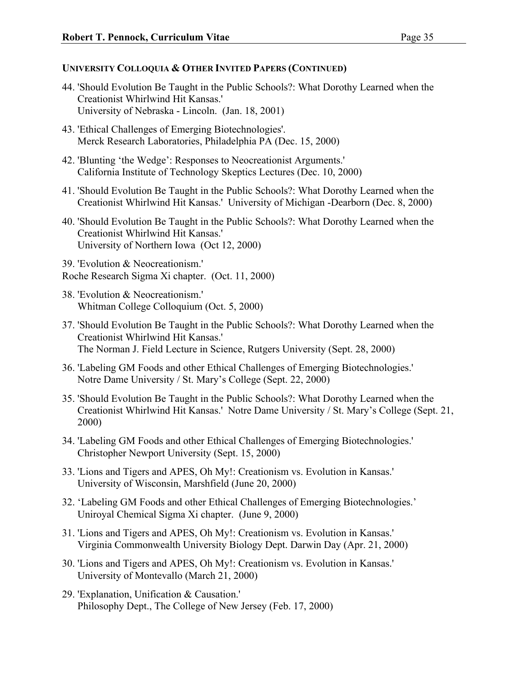- 44. 'Should Evolution Be Taught in the Public Schools?: What Dorothy Learned when the Creationist Whirlwind Hit Kansas.' University of Nebraska - Lincoln. (Jan. 18, 2001)
- 43. 'Ethical Challenges of Emerging Biotechnologies'. Merck Research Laboratories, Philadelphia PA (Dec. 15, 2000)
- 42. 'Blunting 'the Wedge': Responses to Neocreationist Arguments.' California Institute of Technology Skeptics Lectures (Dec. 10, 2000)
- 41. 'Should Evolution Be Taught in the Public Schools?: What Dorothy Learned when the Creationist Whirlwind Hit Kansas.' University of Michigan -Dearborn (Dec. 8, 2000)
- 40. 'Should Evolution Be Taught in the Public Schools?: What Dorothy Learned when the Creationist Whirlwind Hit Kansas.' University of Northern Iowa (Oct 12, 2000)
- 39. 'Evolution & Neocreationism.' Roche Research Sigma Xi chapter. (Oct. 11, 2000)
- 38. 'Evolution & Neocreationism.' Whitman College Colloquium (Oct. 5, 2000)
- 37. 'Should Evolution Be Taught in the Public Schools?: What Dorothy Learned when the Creationist Whirlwind Hit Kansas.' The Norman J. Field Lecture in Science, Rutgers University (Sept. 28, 2000)
- 36. 'Labeling GM Foods and other Ethical Challenges of Emerging Biotechnologies.' Notre Dame University / St. Mary's College (Sept. 22, 2000)
- 35. 'Should Evolution Be Taught in the Public Schools?: What Dorothy Learned when the Creationist Whirlwind Hit Kansas.' Notre Dame University / St. Mary's College (Sept. 21, 2000)
- 34. 'Labeling GM Foods and other Ethical Challenges of Emerging Biotechnologies.' Christopher Newport University (Sept. 15, 2000)
- 33. 'Lions and Tigers and APES, Oh My!: Creationism vs. Evolution in Kansas.' University of Wisconsin, Marshfield (June 20, 2000)
- 32. 'Labeling GM Foods and other Ethical Challenges of Emerging Biotechnologies.' Uniroyal Chemical Sigma Xi chapter. (June 9, 2000)
- 31. 'Lions and Tigers and APES, Oh My!: Creationism vs. Evolution in Kansas.' Virginia Commonwealth University Biology Dept. Darwin Day (Apr. 21, 2000)
- 30. 'Lions and Tigers and APES, Oh My!: Creationism vs. Evolution in Kansas.' University of Montevallo (March 21, 2000)
- 29. 'Explanation, Unification & Causation.' Philosophy Dept., The College of New Jersey (Feb. 17, 2000)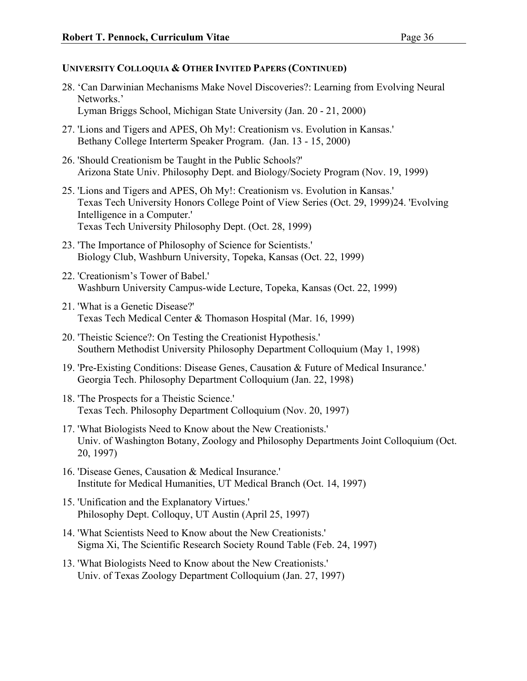- 28. 'Can Darwinian Mechanisms Make Novel Discoveries?: Learning from Evolving Neural Networks.' Lyman Briggs School, Michigan State University (Jan. 20 - 21, 2000)
- 27. 'Lions and Tigers and APES, Oh My!: Creationism vs. Evolution in Kansas.' Bethany College Interterm Speaker Program. (Jan. 13 - 15, 2000)
- 26. 'Should Creationism be Taught in the Public Schools?' Arizona State Univ. Philosophy Dept. and Biology/Society Program (Nov. 19, 1999)
- 25. 'Lions and Tigers and APES, Oh My!: Creationism vs. Evolution in Kansas.' Texas Tech University Honors College Point of View Series (Oct. 29, 1999)24. 'Evolving Intelligence in a Computer.' Texas Tech University Philosophy Dept. (Oct. 28, 1999)
- 23. 'The Importance of Philosophy of Science for Scientists.' Biology Club, Washburn University, Topeka, Kansas (Oct. 22, 1999)
- 22. 'Creationism's Tower of Babel.' Washburn University Campus-wide Lecture, Topeka, Kansas (Oct. 22, 1999)
- 21. 'What is a Genetic Disease?' Texas Tech Medical Center & Thomason Hospital (Mar. 16, 1999)
- 20. 'Theistic Science?: On Testing the Creationist Hypothesis.' Southern Methodist University Philosophy Department Colloquium (May 1, 1998)
- 19. 'Pre-Existing Conditions: Disease Genes, Causation & Future of Medical Insurance.' Georgia Tech. Philosophy Department Colloquium (Jan. 22, 1998)
- 18. 'The Prospects for a Theistic Science.' Texas Tech. Philosophy Department Colloquium (Nov. 20, 1997)
- 17. 'What Biologists Need to Know about the New Creationists.' Univ. of Washington Botany, Zoology and Philosophy Departments Joint Colloquium (Oct. 20, 1997)
- 16. 'Disease Genes, Causation & Medical Insurance.' Institute for Medical Humanities, UT Medical Branch (Oct. 14, 1997)
- 15. 'Unification and the Explanatory Virtues.' Philosophy Dept. Colloquy, UT Austin (April 25, 1997)
- 14. 'What Scientists Need to Know about the New Creationists.' Sigma Xi, The Scientific Research Society Round Table (Feb. 24, 1997)
- 13. 'What Biologists Need to Know about the New Creationists.' Univ. of Texas Zoology Department Colloquium (Jan. 27, 1997)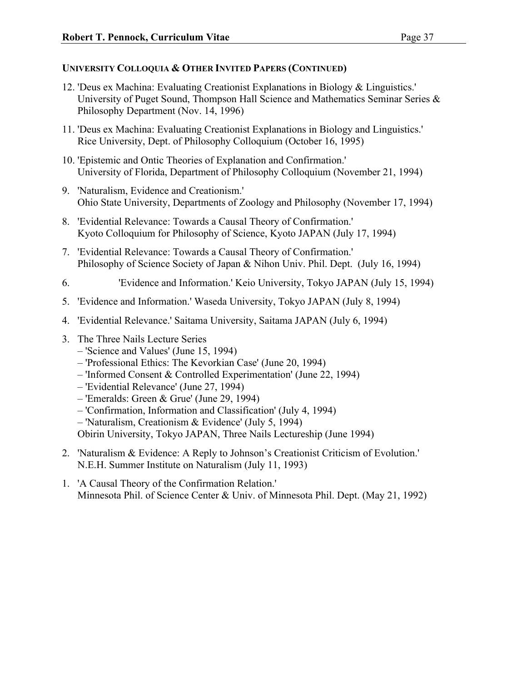- 12. 'Deus ex Machina: Evaluating Creationist Explanations in Biology & Linguistics.' University of Puget Sound, Thompson Hall Science and Mathematics Seminar Series & Philosophy Department (Nov. 14, 1996)
- 11. 'Deus ex Machina: Evaluating Creationist Explanations in Biology and Linguistics.' Rice University, Dept. of Philosophy Colloquium (October 16, 1995)
- 10. 'Epistemic and Ontic Theories of Explanation and Confirmation.' University of Florida, Department of Philosophy Colloquium (November 21, 1994)
- 9. 'Naturalism, Evidence and Creationism.' Ohio State University, Departments of Zoology and Philosophy (November 17, 1994)
- 8. 'Evidential Relevance: Towards a Causal Theory of Confirmation.' Kyoto Colloquium for Philosophy of Science, Kyoto JAPAN (July 17, 1994)
- 7. 'Evidential Relevance: Towards a Causal Theory of Confirmation.' Philosophy of Science Society of Japan & Nihon Univ. Phil. Dept. (July 16, 1994)
- 6. 'Evidence and Information.' Keio University, Tokyo JAPAN (July 15, 1994)
- 5. 'Evidence and Information.' Waseda University, Tokyo JAPAN (July 8, 1994)
- 4. 'Evidential Relevance.' Saitama University, Saitama JAPAN (July 6, 1994)
- 3. The Three Nails Lecture Series
	- 'Science and Values' (June 15, 1994)
	- 'Professional Ethics: The Kevorkian Case' (June 20, 1994)
	- 'Informed Consent & Controlled Experimentation' (June 22, 1994)
	- 'Evidential Relevance' (June 27, 1994)
	- 'Emeralds: Green & Grue' (June 29, 1994)
	- 'Confirmation, Information and Classification' (July 4, 1994)
	- 'Naturalism, Creationism & Evidence' (July 5, 1994)

Obirin University, Tokyo JAPAN, Three Nails Lectureship (June 1994)

- 2. 'Naturalism & Evidence: A Reply to Johnson's Creationist Criticism of Evolution.' N.E.H. Summer Institute on Naturalism (July 11, 1993)
- 1. 'A Causal Theory of the Confirmation Relation.' Minnesota Phil. of Science Center & Univ. of Minnesota Phil. Dept. (May 21, 1992)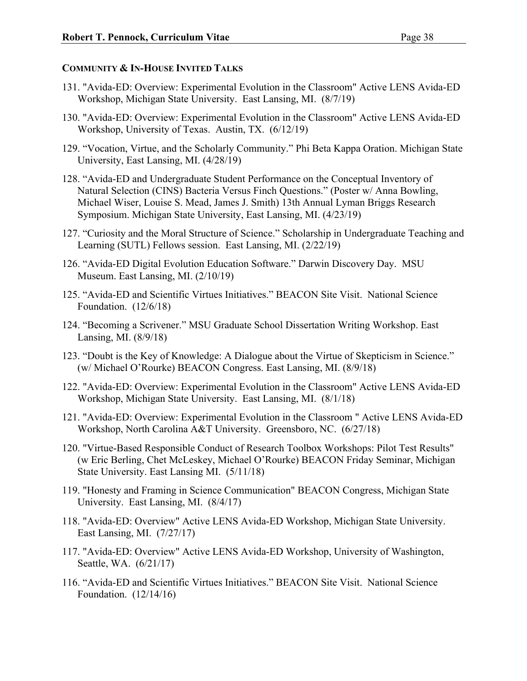#### **COMMUNITY & IN-HOUSE INVITED TALKS**

- 131. "Avida-ED: Overview: Experimental Evolution in the Classroom" Active LENS Avida-ED Workshop, Michigan State University. East Lansing, MI. (8/7/19)
- 130. "Avida-ED: Overview: Experimental Evolution in the Classroom" Active LENS Avida-ED Workshop, University of Texas. Austin, TX. (6/12/19)
- 129. "Vocation, Virtue, and the Scholarly Community." Phi Beta Kappa Oration. Michigan State University, East Lansing, MI. (4/28/19)
- 128. "Avida-ED and Undergraduate Student Performance on the Conceptual Inventory of Natural Selection (CINS) Bacteria Versus Finch Questions." (Poster w/ Anna Bowling, Michael Wiser, Louise S. Mead, James J. Smith) 13th Annual Lyman Briggs Research Symposium. Michigan State University, East Lansing, MI. (4/23/19)
- 127. "Curiosity and the Moral Structure of Science." Scholarship in Undergraduate Teaching and Learning (SUTL) Fellows session. East Lansing, MI. (2/22/19)
- 126. "Avida-ED Digital Evolution Education Software." Darwin Discovery Day. MSU Museum. East Lansing, MI. (2/10/19)
- 125. "Avida-ED and Scientific Virtues Initiatives." BEACON Site Visit. National Science Foundation. (12/6/18)
- 124. "Becoming a Scrivener." MSU Graduate School Dissertation Writing Workshop. East Lansing, MI. (8/9/18)
- 123. "Doubt is the Key of Knowledge: A Dialogue about the Virtue of Skepticism in Science." (w/ Michael O'Rourke) BEACON Congress. East Lansing, MI. (8/9/18)
- 122. "Avida-ED: Overview: Experimental Evolution in the Classroom" Active LENS Avida-ED Workshop, Michigan State University. East Lansing, MI. (8/1/18)
- 121. "Avida-ED: Overview: Experimental Evolution in the Classroom " Active LENS Avida-ED Workshop, North Carolina A&T University. Greensboro, NC. (6/27/18)
- 120. "Virtue-Based Responsible Conduct of Research Toolbox Workshops: Pilot Test Results" (w Eric Berling, Chet McLeskey, Michael O'Rourke) BEACON Friday Seminar, Michigan State University. East Lansing MI. (5/11/18)
- 119. "Honesty and Framing in Science Communication" BEACON Congress, Michigan State University. East Lansing, MI. (8/4/17)
- 118. "Avida-ED: Overview" Active LENS Avida-ED Workshop, Michigan State University. East Lansing, MI. (7/27/17)
- 117. "Avida-ED: Overview" Active LENS Avida-ED Workshop, University of Washington, Seattle, WA. (6/21/17)
- 116. "Avida-ED and Scientific Virtues Initiatives." BEACON Site Visit. National Science Foundation. (12/14/16)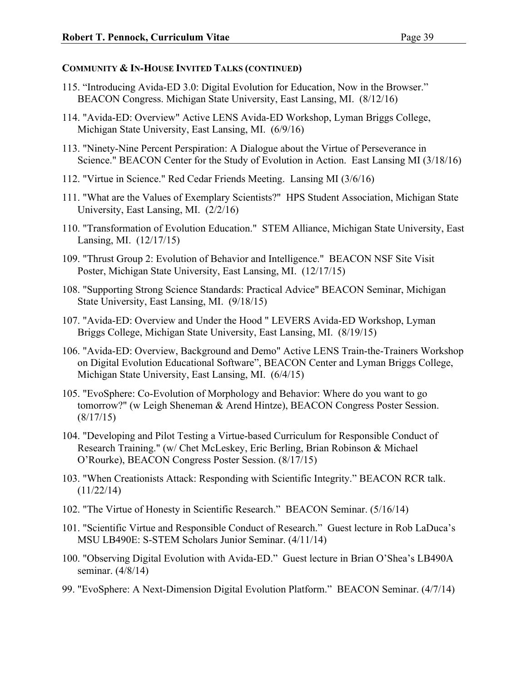- 115. "Introducing Avida-ED 3.0: Digital Evolution for Education, Now in the Browser." BEACON Congress. Michigan State University, East Lansing, MI. (8/12/16)
- 114. "Avida-ED: Overview" Active LENS Avida-ED Workshop, Lyman Briggs College, Michigan State University, East Lansing, MI. (6/9/16)
- 113. "Ninety-Nine Percent Perspiration: A Dialogue about the Virtue of Perseverance in Science." BEACON Center for the Study of Evolution in Action. East Lansing MI (3/18/16)
- 112. "Virtue in Science." Red Cedar Friends Meeting. Lansing MI (3/6/16)
- 111. "What are the Values of Exemplary Scientists?" HPS Student Association, Michigan State University, East Lansing, MI. (2/2/16)
- 110. "Transformation of Evolution Education." STEM Alliance, Michigan State University, East Lansing, MI. (12/17/15)
- 109. "Thrust Group 2: Evolution of Behavior and Intelligence." BEACON NSF Site Visit Poster, Michigan State University, East Lansing, MI. (12/17/15)
- 108. "Supporting Strong Science Standards: Practical Advice" BEACON Seminar, Michigan State University, East Lansing, MI. (9/18/15)
- 107. "Avida-ED: Overview and Under the Hood " LEVERS Avida-ED Workshop, Lyman Briggs College, Michigan State University, East Lansing, MI. (8/19/15)
- 106. "Avida-ED: Overview, Background and Demo" Active LENS Train-the-Trainers Workshop on Digital Evolution Educational Software", BEACON Center and Lyman Briggs College, Michigan State University, East Lansing, MI. (6/4/15)
- 105. "EvoSphere: Co-Evolution of Morphology and Behavior: Where do you want to go tomorrow?" (w Leigh Sheneman & Arend Hintze), BEACON Congress Poster Session. (8/17/15)
- 104. "Developing and Pilot Testing a Virtue-based Curriculum for Responsible Conduct of Research Training." (w/ Chet McLeskey, Eric Berling, Brian Robinson & Michael O'Rourke), BEACON Congress Poster Session. (8/17/15)
- 103. "When Creationists Attack: Responding with Scientific Integrity." BEACON RCR talk. (11/22/14)
- 102. "The Virtue of Honesty in Scientific Research." BEACON Seminar. (5/16/14)
- 101. "Scientific Virtue and Responsible Conduct of Research." Guest lecture in Rob LaDuca's MSU LB490E: S-STEM Scholars Junior Seminar. (4/11/14)
- 100. "Observing Digital Evolution with Avida-ED." Guest lecture in Brian O'Shea's LB490A seminar. (4/8/14)
- 99. "EvoSphere: A Next-Dimension Digital Evolution Platform." BEACON Seminar. (4/7/14)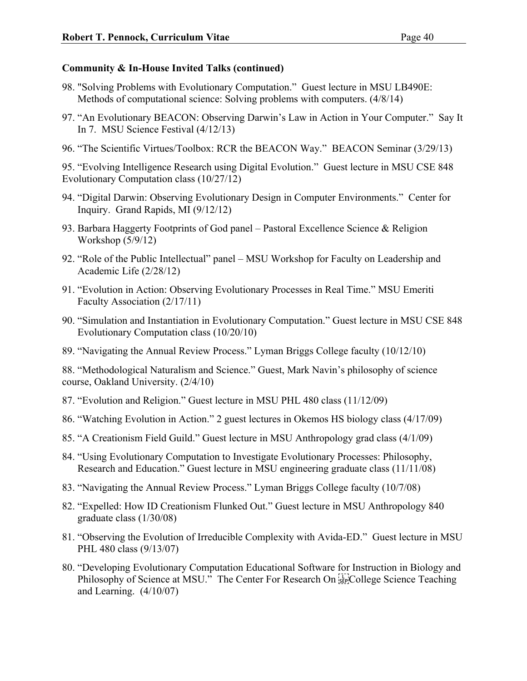#### **Community & In-House Invited Talks (continued)**

- 98. "Solving Problems with Evolutionary Computation." Guest lecture in MSU LB490E: Methods of computational science: Solving problems with computers. (4/8/14)
- 97. "An Evolutionary BEACON: Observing Darwin's Law in Action in Your Computer." Say It In 7. MSU Science Festival (4/12/13)
- 96. "The Scientific Virtues/Toolbox: RCR the BEACON Way." BEACON Seminar (3/29/13)

95. "Evolving Intelligence Research using Digital Evolution." Guest lecture in MSU CSE 848 Evolutionary Computation class (10/27/12)

- 94. "Digital Darwin: Observing Evolutionary Design in Computer Environments." Center for Inquiry. Grand Rapids, MI (9/12/12)
- 93. Barbara Haggerty Footprints of God panel Pastoral Excellence Science & Religion Workshop (5/9/12)
- 92. "Role of the Public Intellectual" panel MSU Workshop for Faculty on Leadership and Academic Life (2/28/12)
- 91. "Evolution in Action: Observing Evolutionary Processes in Real Time." MSU Emeriti Faculty Association (2/17/11)
- 90. "Simulation and Instantiation in Evolutionary Computation." Guest lecture in MSU CSE 848 Evolutionary Computation class (10/20/10)
- 89. "Navigating the Annual Review Process." Lyman Briggs College faculty (10/12/10)

88. "Methodological Naturalism and Science." Guest, Mark Navin's philosophy of science course, Oakland University. (2/4/10)

- 87. "Evolution and Religion." Guest lecture in MSU PHL 480 class (11/12/09)
- 86. "Watching Evolution in Action." 2 guest lectures in Okemos HS biology class (4/17/09)
- 85. "A Creationism Field Guild." Guest lecture in MSU Anthropology grad class (4/1/09)
- 84. "Using Evolutionary Computation to Investigate Evolutionary Processes: Philosophy, Research and Education." Guest lecture in MSU engineering graduate class (11/11/08)
- 83. "Navigating the Annual Review Process." Lyman Briggs College faculty (10/7/08)
- 82. "Expelled: How ID Creationism Flunked Out." Guest lecture in MSU Anthropology 840 graduate class (1/30/08)
- 81. "Observing the Evolution of Irreducible Complexity with Avida-ED." Guest lecture in MSU PHL 480 class (9/13/07)
- 80. "Developing Evolutionary Computation Educational Software for Instruction in Biology and Philosophy of Science at MSU." The Center For Research On  $\frac{[1]}{[1]}$  College Science Teaching and Learning. (4/10/07)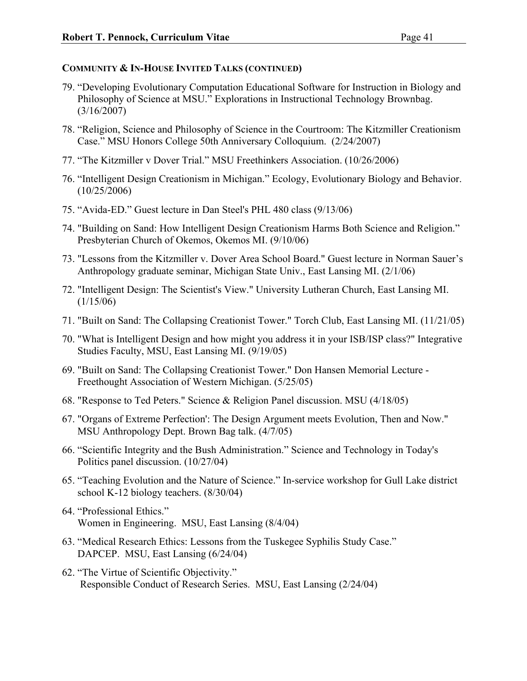- 79. "Developing Evolutionary Computation Educational Software for Instruction in Biology and Philosophy of Science at MSU." Explorations in Instructional Technology Brownbag. (3/16/2007)
- 78. "Religion, Science and Philosophy of Science in the Courtroom: The Kitzmiller Creationism Case." MSU Honors College 50th Anniversary Colloquium. (2/24/2007)
- 77. "The Kitzmiller v Dover Trial." MSU Freethinkers Association. (10/26/2006)
- 76. "Intelligent Design Creationism in Michigan." Ecology, Evolutionary Biology and Behavior. (10/25/2006)
- 75. "Avida-ED." Guest lecture in Dan Steel's PHL 480 class (9/13/06)
- 74. "Building on Sand: How Intelligent Design Creationism Harms Both Science and Religion." Presbyterian Church of Okemos, Okemos MI. (9/10/06)
- 73. "Lessons from the Kitzmiller v. Dover Area School Board." Guest lecture in Norman Sauer's Anthropology graduate seminar, Michigan State Univ., East Lansing MI. (2/1/06)
- 72. "Intelligent Design: The Scientist's View." University Lutheran Church, East Lansing MI. (1/15/06)
- 71. "Built on Sand: The Collapsing Creationist Tower." Torch Club, East Lansing MI. (11/21/05)
- 70. "What is Intelligent Design and how might you address it in your ISB/ISP class?" Integrative Studies Faculty, MSU, East Lansing MI. (9/19/05)
- 69. "Built on Sand: The Collapsing Creationist Tower." Don Hansen Memorial Lecture Freethought Association of Western Michigan. (5/25/05)
- 68. "Response to Ted Peters." Science & Religion Panel discussion. MSU (4/18/05)
- 67. "Organs of Extreme Perfection': The Design Argument meets Evolution, Then and Now." MSU Anthropology Dept. Brown Bag talk. (4/7/05)
- 66. "Scientific Integrity and the Bush Administration." Science and Technology in Today's Politics panel discussion. (10/27/04)
- 65. "Teaching Evolution and the Nature of Science." In-service workshop for Gull Lake district school K-12 biology teachers. (8/30/04)
- 64. "Professional Ethics." Women in Engineering. MSU, East Lansing (8/4/04)
- 63. "Medical Research Ethics: Lessons from the Tuskegee Syphilis Study Case." DAPCEP. MSU, East Lansing (6/24/04)
- 62. "The Virtue of Scientific Objectivity." Responsible Conduct of Research Series. MSU, East Lansing (2/24/04)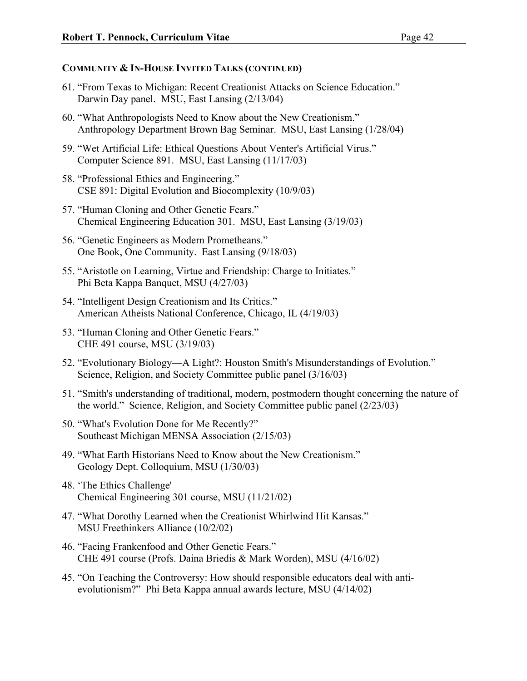- 61. "From Texas to Michigan: Recent Creationist Attacks on Science Education." Darwin Day panel. MSU, East Lansing (2/13/04)
- 60. "What Anthropologists Need to Know about the New Creationism." Anthropology Department Brown Bag Seminar. MSU, East Lansing (1/28/04)
- 59. "Wet Artificial Life: Ethical Questions About Venter's Artificial Virus." Computer Science 891. MSU, East Lansing (11/17/03)
- 58. "Professional Ethics and Engineering." CSE 891: Digital Evolution and Biocomplexity (10/9/03)
- 57. "Human Cloning and Other Genetic Fears." Chemical Engineering Education 301. MSU, East Lansing (3/19/03)
- 56. "Genetic Engineers as Modern Prometheans." One Book, One Community. East Lansing (9/18/03)
- 55. "Aristotle on Learning, Virtue and Friendship: Charge to Initiates." Phi Beta Kappa Banquet, MSU (4/27/03)
- 54. "Intelligent Design Creationism and Its Critics." American Atheists National Conference, Chicago, IL (4/19/03)
- 53. "Human Cloning and Other Genetic Fears." CHE 491 course, MSU (3/19/03)
- 52. "Evolutionary Biology—A Light?: Houston Smith's Misunderstandings of Evolution." Science, Religion, and Society Committee public panel (3/16/03)
- 51. "Smith's understanding of traditional, modern, postmodern thought concerning the nature of the world." Science, Religion, and Society Committee public panel (2/23/03)
- 50. "What's Evolution Done for Me Recently?" Southeast Michigan MENSA Association (2/15/03)
- 49. "What Earth Historians Need to Know about the New Creationism." Geology Dept. Colloquium, MSU (1/30/03)
- 48. 'The Ethics Challenge' Chemical Engineering 301 course, MSU (11/21/02)
- 47. "What Dorothy Learned when the Creationist Whirlwind Hit Kansas." MSU Freethinkers Alliance (10/2/02)
- 46. "Facing Frankenfood and Other Genetic Fears." CHE 491 course (Profs. Daina Briedis & Mark Worden), MSU (4/16/02)
- 45. "On Teaching the Controversy: How should responsible educators deal with antievolutionism?" Phi Beta Kappa annual awards lecture, MSU (4/14/02)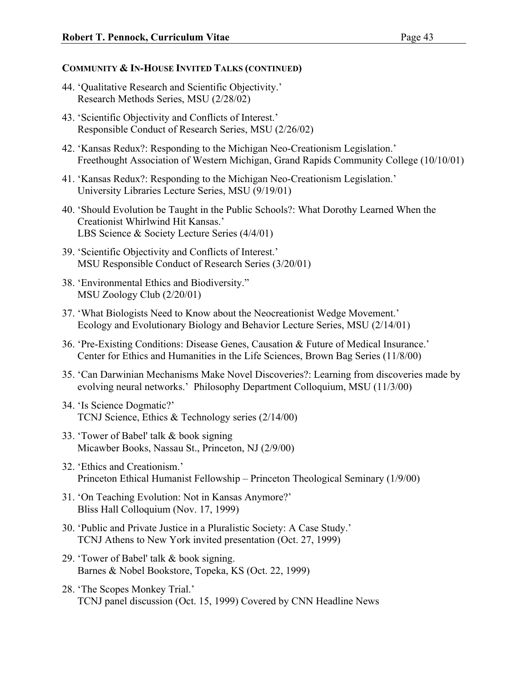- 44. 'Qualitative Research and Scientific Objectivity.' Research Methods Series, MSU (2/28/02)
- 43. 'Scientific Objectivity and Conflicts of Interest.' Responsible Conduct of Research Series, MSU (2/26/02)
- 42. 'Kansas Redux?: Responding to the Michigan Neo-Creationism Legislation.' Freethought Association of Western Michigan, Grand Rapids Community College (10/10/01)
- 41. 'Kansas Redux?: Responding to the Michigan Neo-Creationism Legislation.' University Libraries Lecture Series, MSU (9/19/01)
- 40. 'Should Evolution be Taught in the Public Schools?: What Dorothy Learned When the Creationist Whirlwind Hit Kansas.' LBS Science & Society Lecture Series (4/4/01)
- 39. 'Scientific Objectivity and Conflicts of Interest.' MSU Responsible Conduct of Research Series (3/20/01)
- 38. 'Environmental Ethics and Biodiversity." MSU Zoology Club (2/20/01)
- 37. 'What Biologists Need to Know about the Neocreationist Wedge Movement.' Ecology and Evolutionary Biology and Behavior Lecture Series, MSU (2/14/01)
- 36. 'Pre-Existing Conditions: Disease Genes, Causation & Future of Medical Insurance.' Center for Ethics and Humanities in the Life Sciences, Brown Bag Series (11/8/00)
- 35. 'Can Darwinian Mechanisms Make Novel Discoveries?: Learning from discoveries made by evolving neural networks.' Philosophy Department Colloquium, MSU (11/3/00)
- 34. 'Is Science Dogmatic?' TCNJ Science, Ethics & Technology series (2/14/00)
- 33. 'Tower of Babel' talk & book signing Micawber Books, Nassau St., Princeton, NJ (2/9/00)
- 32. 'Ethics and Creationism.' Princeton Ethical Humanist Fellowship – Princeton Theological Seminary (1/9/00)
- 31. 'On Teaching Evolution: Not in Kansas Anymore?' Bliss Hall Colloquium (Nov. 17, 1999)
- 30. 'Public and Private Justice in a Pluralistic Society: A Case Study.' TCNJ Athens to New York invited presentation (Oct. 27, 1999)
- 29. 'Tower of Babel' talk & book signing. Barnes & Nobel Bookstore, Topeka, KS (Oct. 22, 1999)
- 28. 'The Scopes Monkey Trial.' TCNJ panel discussion (Oct. 15, 1999) Covered by CNN Headline News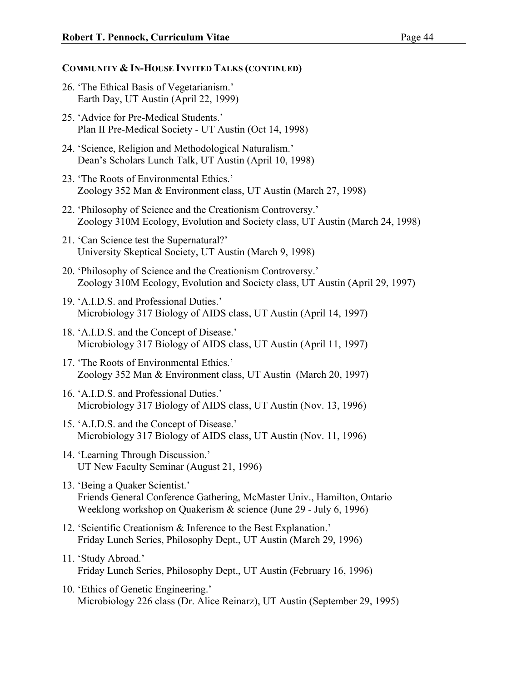- 26. 'The Ethical Basis of Vegetarianism.' Earth Day, UT Austin (April 22, 1999)
- 25. 'Advice for Pre-Medical Students.' Plan II Pre-Medical Society - UT Austin (Oct 14, 1998)
- 24. 'Science, Religion and Methodological Naturalism.' Dean's Scholars Lunch Talk, UT Austin (April 10, 1998)
- 23. 'The Roots of Environmental Ethics.' Zoology 352 Man & Environment class, UT Austin (March 27, 1998)
- 22. 'Philosophy of Science and the Creationism Controversy.' Zoology 310M Ecology, Evolution and Society class, UT Austin (March 24, 1998)
- 21. 'Can Science test the Supernatural?' University Skeptical Society, UT Austin (March 9, 1998)
- 20. 'Philosophy of Science and the Creationism Controversy.' Zoology 310M Ecology, Evolution and Society class, UT Austin (April 29, 1997)
- 19. 'A.I.D.S. and Professional Duties.' Microbiology 317 Biology of AIDS class, UT Austin (April 14, 1997)
- 18. 'A.I.D.S. and the Concept of Disease.' Microbiology 317 Biology of AIDS class, UT Austin (April 11, 1997)
- 17. 'The Roots of Environmental Ethics.' Zoology 352 Man & Environment class, UT Austin (March 20, 1997)
- 16. 'A.I.D.S. and Professional Duties.' Microbiology 317 Biology of AIDS class, UT Austin (Nov. 13, 1996)
- 15. 'A.I.D.S. and the Concept of Disease.' Microbiology 317 Biology of AIDS class, UT Austin (Nov. 11, 1996)
- 14. 'Learning Through Discussion.' UT New Faculty Seminar (August 21, 1996)
- 13. 'Being a Quaker Scientist.' Friends General Conference Gathering, McMaster Univ., Hamilton, Ontario Weeklong workshop on Quakerism & science (June 29 - July 6, 1996)
- 12. 'Scientific Creationism & Inference to the Best Explanation.' Friday Lunch Series, Philosophy Dept., UT Austin (March 29, 1996)
- 11. 'Study Abroad.' Friday Lunch Series, Philosophy Dept., UT Austin (February 16, 1996)
- 10. 'Ethics of Genetic Engineering.' Microbiology 226 class (Dr. Alice Reinarz), UT Austin (September 29, 1995)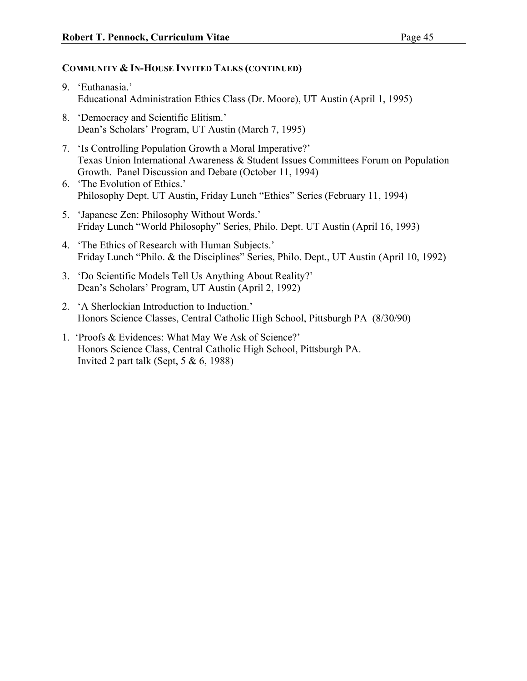- 9. 'Euthanasia.' Educational Administration Ethics Class (Dr. Moore), UT Austin (April 1, 1995)
- 8. 'Democracy and Scientific Elitism.' Dean's Scholars' Program, UT Austin (March 7, 1995)
- 7. 'Is Controlling Population Growth a Moral Imperative?' Texas Union International Awareness & Student Issues Committees Forum on Population Growth. Panel Discussion and Debate (October 11, 1994)
- 6. 'The Evolution of Ethics.' Philosophy Dept. UT Austin, Friday Lunch "Ethics" Series (February 11, 1994)
- 5. 'Japanese Zen: Philosophy Without Words.' Friday Lunch "World Philosophy" Series, Philo. Dept. UT Austin (April 16, 1993)
- 4. 'The Ethics of Research with Human Subjects.' Friday Lunch "Philo. & the Disciplines" Series, Philo. Dept., UT Austin (April 10, 1992)
- 3. 'Do Scientific Models Tell Us Anything About Reality?' Dean's Scholars' Program, UT Austin (April 2, 1992)
- 2. 'A Sherlockian Introduction to Induction.' Honors Science Classes, Central Catholic High School, Pittsburgh PA (8/30/90)
- 1. 'Proofs & Evidences: What May We Ask of Science?' Honors Science Class, Central Catholic High School, Pittsburgh PA. Invited 2 part talk (Sept,  $5 & 6, 1988$ )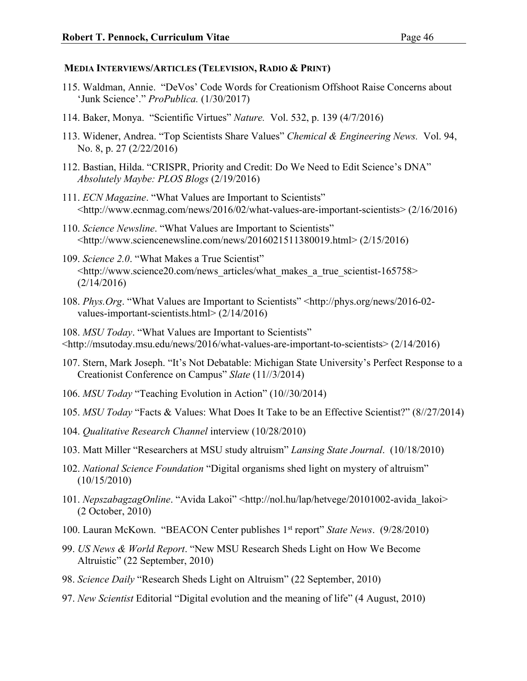#### **MEDIA INTERVIEWS/ARTICLES (TELEVISION, RADIO & PRINT)**

- 115. Waldman, Annie. "DeVos' Code Words for Creationism Offshoot Raise Concerns about 'Junk Science'." *ProPublica.* (1/30/2017)
- 114. Baker, Monya. "Scientific Virtues" *Nature.* Vol. 532, p. 139 (4/7/2016)
- 113. Widener, Andrea. "Top Scientists Share Values" *Chemical & Engineering News.* Vol. 94, No. 8, p. 27 (2/22/2016)
- 112. Bastian, Hilda. "CRISPR, Priority and Credit: Do We Need to Edit Science's DNA" *Absolutely Maybe: PLOS Blogs* (2/19/2016)
- 111. *ECN Magazine*. "What Values are Important to Scientists" <http://www.ecnmag.com/news/2016/02/what-values-are-important-scientists> (2/16/2016)
- 110. *Science Newsline*. "What Values are Important to Scientists"  $\langle$ http://www.sciencenewsline.com/news/2016021511380019.html> (2/15/2016)
- 109. *Science 2.0*. "What Makes a True Scientist" <http://www.science20.com/news\_articles/what\_makes\_a\_true\_scientist-165758> (2/14/2016)
- 108. *Phys.Org*. "What Values are Important to Scientists" <http://phys.org/news/2016-02 values-important-scientists.html> (2/14/2016)

108. *MSU Today*. "What Values are Important to Scientists"

- $\lt$ http://msutoday.msu.edu/news/2016/what-values-are-important-to-scientists $> (2/14/2016)$
- 107. Stern, Mark Joseph. "It's Not Debatable: Michigan State University's Perfect Response to a Creationist Conference on Campus" *Slate* (11//3/2014)
- 106. *MSU Today* "Teaching Evolution in Action" (10//30/2014)
- 105. *MSU Today* "Facts & Values: What Does It Take to be an Effective Scientist?" (8//27/2014)
- 104. *Qualitative Research Channel* interview (10/28/2010)
- 103. Matt Miller "Researchers at MSU study altruism" *Lansing State Journal*. (10/18/2010)
- 102. *National Science Foundation* "Digital organisms shed light on mystery of altruism" (10/15/2010)
- 101. *NepszabagzagOnline*. "Avida Lakoi" <http://nol.hu/lap/hetvege/20101002-avida lakoi> (2 October, 2010)
- 100. Lauran McKown. "BEACON Center publishes 1st report" *State News*. (9/28/2010)
- 99. *US News & World Report*. "New MSU Research Sheds Light on How We Become Altruistic" (22 September, 2010)
- 98. *Science Daily* "Research Sheds Light on Altruism" (22 September, 2010)
- 97. *New Scientist* Editorial "Digital evolution and the meaning of life" (4 August, 2010)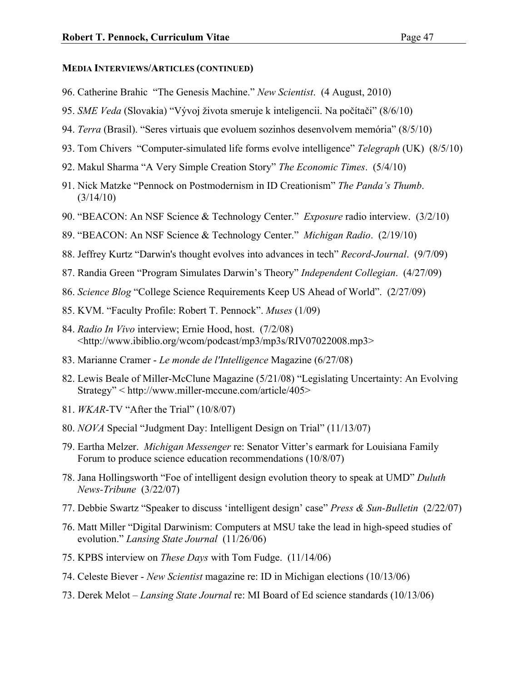#### **MEDIA INTERVIEWS/ARTICLES (CONTINUED)**

- 96. Catherine Brahic "The Genesis Machine." *New Scientist*. (4 August, 2010)
- 95. *SME Veda* (Slovakia) "Vývoj života smeruje k inteligencii. Na počítači" (8/6/10)
- 94. *Terra* (Brasil). "Seres virtuais que evoluem sozinhos desenvolvem memória" (8/5/10)
- 93. Tom Chivers "Computer-simulated life forms evolve intelligence" *Telegraph* (UK) (8/5/10)
- 92. Makul Sharma "A Very Simple Creation Story" *The Economic Times*. (5/4/10)
- 91. Nick Matzke "Pennock on Postmodernism in ID Creationism" *The Panda's Thumb*.  $(3/14/10)$
- 90. "BEACON: An NSF Science & Technology Center." *Exposure* radio interview. (3/2/10)
- 89. "BEACON: An NSF Science & Technology Center." *Michigan Radio*. (2/19/10)
- 88. Jeffrey Kurtz "Darwin's thought evolves into advances in tech" *Record-Journal*. (9/7/09)
- 87. Randia Green "Program Simulates Darwin's Theory" *Independent Collegian*. (4/27/09)
- 86. *Science Blog* "College Science Requirements Keep US Ahead of World". (2/27/09)
- 85. KVM. "Faculty Profile: Robert T. Pennock". *Muses* (1/09)
- 84. *Radio In Vivo* interview; Ernie Hood, host. (7/2/08) <http://www.ibiblio.org/wcom/podcast/mp3/mp3s/RIV07022008.mp3>
- 83. Marianne Cramer *Le monde de l'Intelligence* Magazine (6/27/08)
- 82. Lewis Beale of Miller-McClune Magazine (5/21/08) "Legislating Uncertainty: An Evolving Strategy" < http://www.miller-mccune.com/article/405>
- 81. *WKAR*-TV "After the Trial" (10/8/07)
- 80. *NOVA* Special "Judgment Day: Intelligent Design on Trial" (11/13/07)
- 79. Eartha Melzer. *Michigan Messenger* re: Senator Vitter's earmark for Louisiana Family Forum to produce science education recommendations (10/8/07)
- 78. Jana Hollingsworth "Foe of intelligent design evolution theory to speak at UMD" *Duluth News-Tribune* (3/22/07)
- 77. Debbie Swartz "Speaker to discuss 'intelligent design' case" *Press & Sun-Bulletin* (2/22/07)
- 76. Matt Miller "Digital Darwinism: Computers at MSU take the lead in high-speed studies of evolution." *Lansing State Journal* (11/26/06)
- 75. KPBS interview on *These Days* with Tom Fudge. (11/14/06)
- 74. Celeste Biever *New Scientist* magazine re: ID in Michigan elections (10/13/06)
- 73. Derek Melot *Lansing State Journal* re: MI Board of Ed science standards (10/13/06)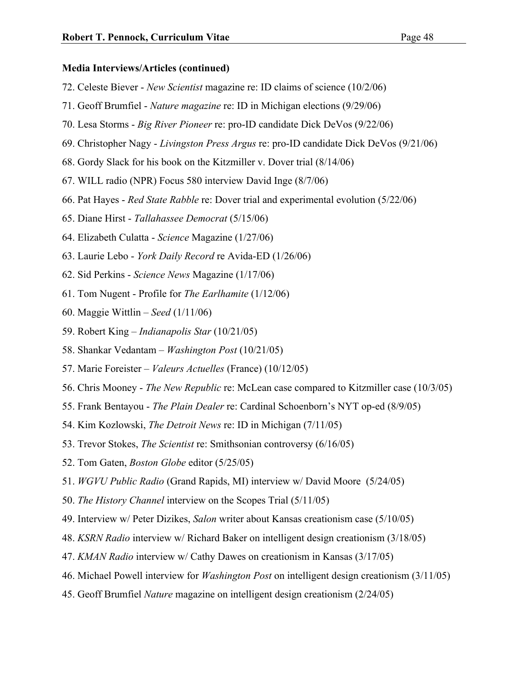- 72. Celeste Biever *New Scientist* magazine re: ID claims of science (10/2/06)
- 71. Geoff Brumfiel *Nature magazine* re: ID in Michigan elections (9/29/06)
- 70. Lesa Storms *Big River Pioneer* re: pro-ID candidate Dick DeVos (9/22/06)
- 69. Christopher Nagy *Livingston Press Argus* re: pro-ID candidate Dick DeVos (9/21/06)
- 68. Gordy Slack for his book on the Kitzmiller v. Dover trial (8/14/06)
- 67. WILL radio (NPR) Focus 580 interview David Inge (8/7/06)
- 66. Pat Hayes *Red State Rabble* re: Dover trial and experimental evolution (5/22/06)
- 65. Diane Hirst *Tallahassee Democrat* (5/15/06)
- 64. Elizabeth Culatta *Science* Magazine (1/27/06)
- 63. Laurie Lebo *York Daily Record* re Avida-ED (1/26/06)
- 62. Sid Perkins *Science News* Magazine (1/17/06)
- 61. Tom Nugent Profile for *The Earlhamite* (1/12/06)
- 60. Maggie Wittlin *Seed* (1/11/06)
- 59. Robert King *Indianapolis Star* (10/21/05)
- 58. Shankar Vedantam *Washington Post* (10/21/05)
- 57. Marie Foreister *Valeurs Actuelles* (France) (10/12/05)
- 56. Chris Mooney *The New Republic* re: McLean case compared to Kitzmiller case (10/3/05)
- 55. Frank Bentayou *The Plain Dealer* re: Cardinal Schoenborn's NYT op-ed (8/9/05)
- 54. Kim Kozlowski, *The Detroit News* re: ID in Michigan (7/11/05)
- 53. Trevor Stokes, *The Scientist* re: Smithsonian controversy (6/16/05)
- 52. Tom Gaten, *Boston Globe* editor (5/25/05)
- 51. *WGVU Public Radio* (Grand Rapids, MI) interview w/ David Moore (5/24/05)
- 50. *The History Channel* interview on the Scopes Trial (5/11/05)
- 49. Interview w/ Peter Dizikes, *Salon* writer about Kansas creationism case (5/10/05)
- 48. *KSRN Radio* interview w/ Richard Baker on intelligent design creationism (3/18/05)
- 47. *KMAN Radio* interview w/ Cathy Dawes on creationism in Kansas (3/17/05)
- 46. Michael Powell interview for *Washington Post* on intelligent design creationism (3/11/05)
- 45. Geoff Brumfiel *Nature* magazine on intelligent design creationism (2/24/05)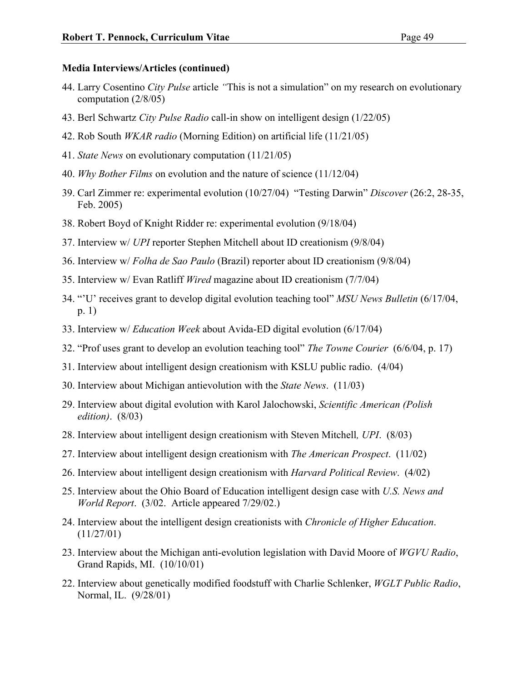- 44. Larry Cosentino *City Pulse* article *"*This is not a simulation" on my research on evolutionary computation (2/8/05)
- 43. Berl Schwartz *City Pulse Radio* call-in show on intelligent design (1/22/05)
- 42. Rob South *WKAR radio* (Morning Edition) on artificial life (11/21/05)
- 41. *State News* on evolutionary computation (11/21/05)
- 40. *Why Bother Films* on evolution and the nature of science (11/12/04)
- 39. Carl Zimmer re: experimental evolution (10/27/04) "Testing Darwin" *Discover* (26:2, 28-35, Feb. 2005)
- 38. Robert Boyd of Knight Ridder re: experimental evolution (9/18/04)
- 37. Interview w/ *UPI* reporter Stephen Mitchell about ID creationism (9/8/04)
- 36. Interview w/ *Folha de Sao Paulo* (Brazil) reporter about ID creationism (9/8/04)
- 35. Interview w/ Evan Ratliff *Wired* magazine about ID creationism (7/7/04)
- 34. "'U' receives grant to develop digital evolution teaching tool" *MSU News Bulletin* (6/17/04, p. 1)
- 33. Interview w/ *Education Week* about Avida-ED digital evolution (6/17/04)
- 32. "Prof uses grant to develop an evolution teaching tool" *The Towne Courier* (6/6/04, p. 17)
- 31. Interview about intelligent design creationism with KSLU public radio. (4/04)
- 30. Interview about Michigan antievolution with the *State News*. (11/03)
- 29. Interview about digital evolution with Karol Jalochowski, *Scientific American (Polish edition)*. (8/03)
- 28. Interview about intelligent design creationism with Steven Mitchell*, UPI*. (8/03)
- 27. Interview about intelligent design creationism with *The American Prospect*. (11/02)
- 26. Interview about intelligent design creationism with *Harvard Political Review*. (4/02)
- 25. Interview about the Ohio Board of Education intelligent design case with *U.S. News and World Report*. (3/02. Article appeared 7/29/02.)
- 24. Interview about the intelligent design creationists with *Chronicle of Higher Education*. (11/27/01)
- 23. Interview about the Michigan anti-evolution legislation with David Moore of *WGVU Radio*, Grand Rapids, MI. (10/10/01)
- 22. Interview about genetically modified foodstuff with Charlie Schlenker, *WGLT Public Radio*, Normal, IL. (9/28/01)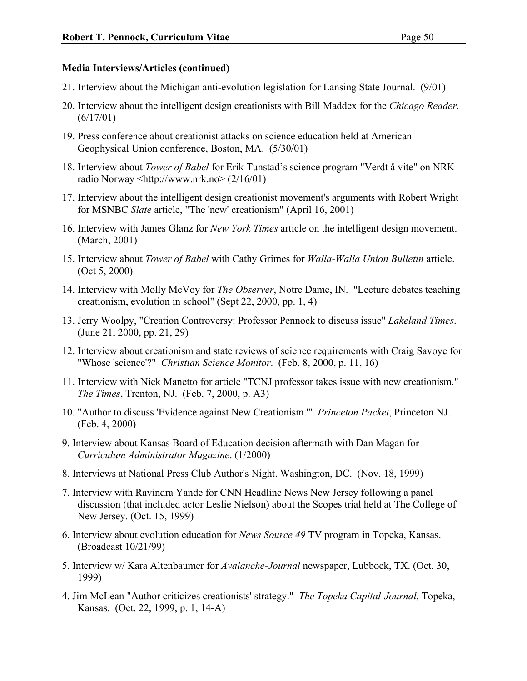- 21. Interview about the Michigan anti-evolution legislation for Lansing State Journal. (9/01)
- 20. Interview about the intelligent design creationists with Bill Maddex for the *Chicago Reader*. (6/17/01)
- 19. Press conference about creationist attacks on science education held at American Geophysical Union conference, Boston, MA. (5/30/01)
- 18. Interview about *Tower of Babel* for Erik Tunstad's science program "Verdt å vite" on NRK radio Norway <http://www.nrk.no> (2/16/01)
- 17. Interview about the intelligent design creationist movement's arguments with Robert Wright for MSNBC *Slate* article, "The 'new' creationism" (April 16, 2001)
- 16. Interview with James Glanz for *New York Times* article on the intelligent design movement. (March, 2001)
- 15. Interview about *Tower of Babel* with Cathy Grimes for *Walla-Walla Union Bulletin* article. (Oct 5, 2000)
- 14. Interview with Molly McVoy for *The Observer*, Notre Dame, IN. "Lecture debates teaching creationism, evolution in school" (Sept 22, 2000, pp. 1, 4)
- 13. Jerry Woolpy, "Creation Controversy: Professor Pennock to discuss issue" *Lakeland Times*. (June 21, 2000, pp. 21, 29)
- 12. Interview about creationism and state reviews of science requirements with Craig Savoye for "Whose 'science'?" *Christian Science Monitor*. (Feb. 8, 2000, p. 11, 16)
- 11. Interview with Nick Manetto for article "TCNJ professor takes issue with new creationism." *The Times*, Trenton, NJ. (Feb. 7, 2000, p. A3)
- 10. "Author to discuss 'Evidence against New Creationism.'" *Princeton Packet*, Princeton NJ. (Feb. 4, 2000)
- 9. Interview about Kansas Board of Education decision aftermath with Dan Magan for *Curriculum Administrator Magazine*. (1/2000)
- 8. Interviews at National Press Club Author's Night. Washington, DC. (Nov. 18, 1999)
- 7. Interview with Ravindra Yande for CNN Headline News New Jersey following a panel discussion (that included actor Leslie Nielson) about the Scopes trial held at The College of New Jersey. (Oct. 15, 1999)
- 6. Interview about evolution education for *News Source 49* TV program in Topeka, Kansas. (Broadcast 10/21/99)
- 5. Interview w/ Kara Altenbaumer for *Avalanche-Journal* newspaper, Lubbock, TX. (Oct. 30, 1999)
- 4. Jim McLean "Author criticizes creationists' strategy." *The Topeka Capital-Journal*, Topeka, Kansas. (Oct. 22, 1999, p. 1, 14-A)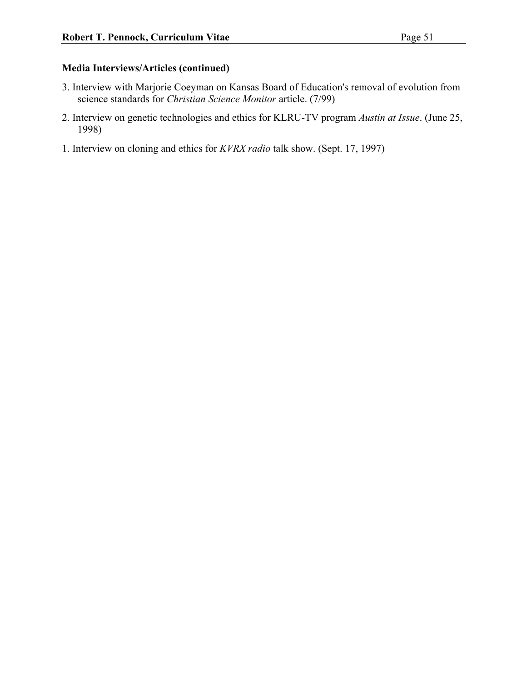- 3. Interview with Marjorie Coeyman on Kansas Board of Education's removal of evolution from science standards for *Christian Science Monitor* article. (7/99)
- 2. Interview on genetic technologies and ethics for KLRU-TV program *Austin at Issue*. (June 25, 1998)
- 1. Interview on cloning and ethics for *KVRX radio* talk show. (Sept. 17, 1997)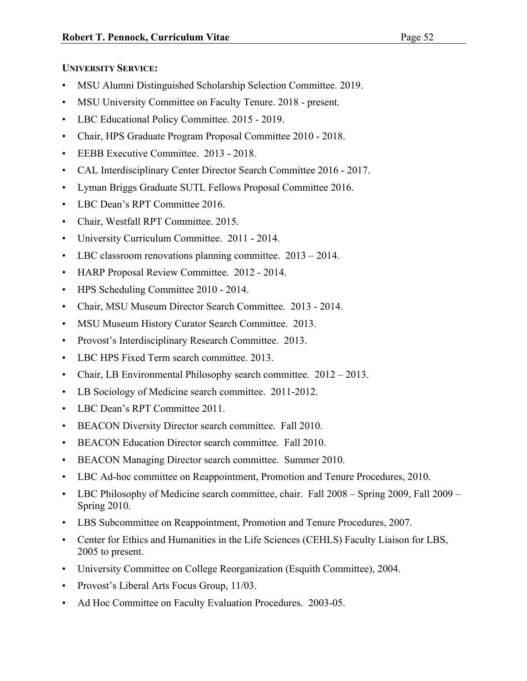## **UNIVERSITY SERVICE:**

- MSU Alumni Distinguished Scholarship Selection Committee. 2019.
- MSU University Committee on Faculty Tenure. 2018 present.
- LBC Educational Policy Committee. 2015 2019.
- Chair, HPS Graduate Program Proposal Committee 2010 2018.
- EEBB Executive Committee. 2013 2018.
- CAL Interdisciplinary Center Director Search Committee 2016 2017.
- Lyman Briggs Graduate SUTL Fellows Proposal Committee 2016.
- LBC Dean's RPT Committee 2016.
- Chair, Westfall RPT Committee. 2015.
- University Curriculum Committee. 2011 2014.
- LBC classroom renovations planning committee. 2013 2014.
- HARP Proposal Review Committee. 2012 2014.
- HPS Scheduling Committee 2010 2014.
- Chair, MSU Museum Director Search Committee. 2013 2014.
- MSU Museum History Curator Search Committee. 2013.
- Provost's Interdisciplinary Research Committee. 2013.
- LBC HPS Fixed Term search committee. 2013.
- Chair, LB Environmental Philosophy search committee. 2012 2013.
- LB Sociology of Medicine search committee. 2011-2012.
- LBC Dean's RPT Committee 2011.
- BEACON Diversity Director search committee. Fall 2010.
- BEACON Education Director search committee. Fall 2010.
- BEACON Managing Director search committee. Summer 2010.
- LBC Ad-hoc committee on Reappointment, Promotion and Tenure Procedures, 2010.
- LBC Philosophy of Medicine search committee, chair. Fall 2008 Spring 2009, Fall 2009 Spring 2010.
- LBS Subcommittee on Reappointment, Promotion and Tenure Procedures, 2007.
- Center for Ethics and Humanities in the Life Sciences (CEHLS) Faculty Liaison for LBS, 2005 to present.
- University Committee on College Reorganization (Esquith Committee), 2004.
- Provost's Liberal Arts Focus Group, 11/03.
- Ad Hoc Committee on Faculty Evaluation Procedures. 2003-05.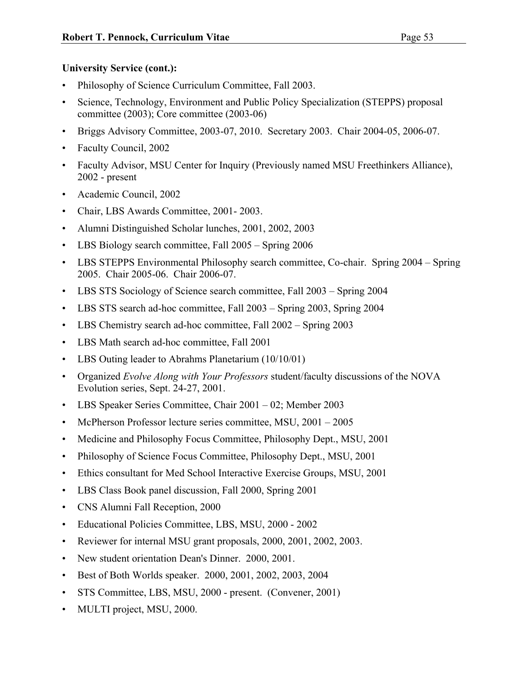## **University Service (cont.):**

- Philosophy of Science Curriculum Committee, Fall 2003.
- Science, Technology, Environment and Public Policy Specialization (STEPPS) proposal committee (2003); Core committee (2003-06)
- Briggs Advisory Committee, 2003-07, 2010. Secretary 2003. Chair 2004-05, 2006-07.
- Faculty Council, 2002
- Faculty Advisor, MSU Center for Inquiry (Previously named MSU Freethinkers Alliance), 2002 - present
- Academic Council, 2002
- Chair, LBS Awards Committee, 2001- 2003.
- Alumni Distinguished Scholar lunches, 2001, 2002, 2003
- LBS Biology search committee, Fall 2005 Spring 2006
- LBS STEPPS Environmental Philosophy search committee, Co-chair. Spring 2004 Spring 2005. Chair 2005-06. Chair 2006-07.
- LBS STS Sociology of Science search committee, Fall 2003 Spring 2004
- LBS STS search ad-hoc committee, Fall 2003 Spring 2003, Spring 2004
- LBS Chemistry search ad-hoc committee, Fall 2002 Spring 2003
- LBS Math search ad-hoc committee, Fall 2001
- LBS Outing leader to Abrahms Planetarium (10/10/01)
- Organized *Evolve Along with Your Professors* student/faculty discussions of the NOVA Evolution series, Sept. 24-27, 2001.
- LBS Speaker Series Committee, Chair 2001 02; Member 2003
- McPherson Professor lecture series committee, MSU, 2001 2005
- Medicine and Philosophy Focus Committee, Philosophy Dept., MSU, 2001
- Philosophy of Science Focus Committee, Philosophy Dept., MSU, 2001
- Ethics consultant for Med School Interactive Exercise Groups, MSU, 2001
- LBS Class Book panel discussion, Fall 2000, Spring 2001
- CNS Alumni Fall Reception, 2000
- Educational Policies Committee, LBS, MSU, 2000 2002
- Reviewer for internal MSU grant proposals, 2000, 2001, 2002, 2003.
- New student orientation Dean's Dinner. 2000, 2001.
- Best of Both Worlds speaker. 2000, 2001, 2002, 2003, 2004
- STS Committee, LBS, MSU, 2000 present. (Convener, 2001)
- MULTI project, MSU, 2000.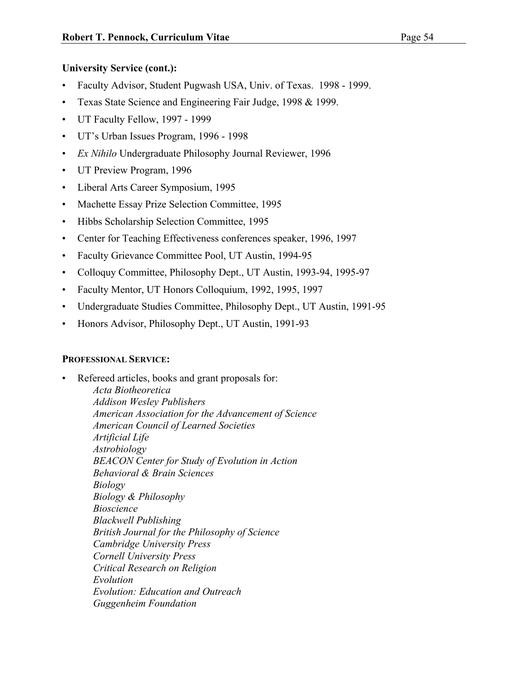## **University Service (cont.):**

- Faculty Advisor, Student Pugwash USA, Univ. of Texas. 1998 1999.
- Texas State Science and Engineering Fair Judge, 1998 & 1999.
- UT Faculty Fellow, 1997 1999
- UT's Urban Issues Program, 1996 1998
- *Ex Nihilo* Undergraduate Philosophy Journal Reviewer, 1996
- UT Preview Program, 1996
- Liberal Arts Career Symposium, 1995
- Machette Essay Prize Selection Committee, 1995
- Hibbs Scholarship Selection Committee, 1995
- Center for Teaching Effectiveness conferences speaker, 1996, 1997
- Faculty Grievance Committee Pool, UT Austin, 1994-95
- Colloquy Committee, Philosophy Dept., UT Austin, 1993-94, 1995-97
- Faculty Mentor, UT Honors Colloquium, 1992, 1995, 1997
- Undergraduate Studies Committee, Philosophy Dept., UT Austin, 1991-95
- Honors Advisor, Philosophy Dept., UT Austin, 1991-93

## **PROFESSIONAL SERVICE:**

Refereed articles, books and grant proposals for: *Acta Biotheoretica Addison Wesley Publishers American Association for the Advancement of Science American Council of Learned Societies Artificial Life Astrobiology BEACON Center for Study of Evolution in Action Behavioral & Brain Sciences Biology Biology & Philosophy Bioscience Blackwell Publishing British Journal for the Philosophy of Science Cambridge University Press Cornell University Press Critical Research on Religion Evolution Evolution: Education and Outreach Guggenheim Foundation*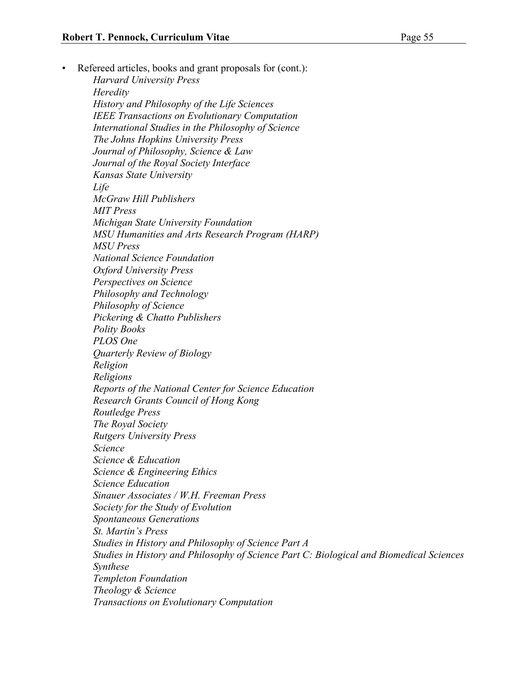Refereed articles, books and grant proposals for (cont.): *Harvard University Press Heredity History and Philosophy of the Life Sciences IEEE Transactions on Evolutionary Computation International Studies in the Philosophy of Science The Johns Hopkins University Press Journal of Philosophy, Science & Law Journal of the Royal Society Interface Kansas State University Life McGraw Hill Publishers MIT Press Michigan State University Foundation*

*MSU Humanities and Arts Research Program (HARP) MSU Press National Science Foundation*

*Oxford University Press Perspectives on Science Philosophy and Technology*

*Philosophy of Science*

*Pickering & Chatto Publishers*

*Polity Books*

*PLOS One*

*Quarterly Review of Biology*

*Religion*

*Religions*

*Reports of the National Center for Science Education Research Grants Council of Hong Kong*

*Routledge Press*

*The Royal Society*

*Rutgers University Press*

*Science* 

*Science & Education*

*Science & Engineering Ethics*

*Science Education Sinauer Associates / W.H. Freeman Press*

*Society for the Study of Evolution*

*Spontaneous Generations*

*St. Martin's Press*

*Studies in History and Philosophy of Science Part A Studies in History and Philosophy of Science Part C: Biological and Biomedical Sciences*

*Synthese*

*Templeton Foundation*

*Theology & Science*

*Transactions on Evolutionary Computation*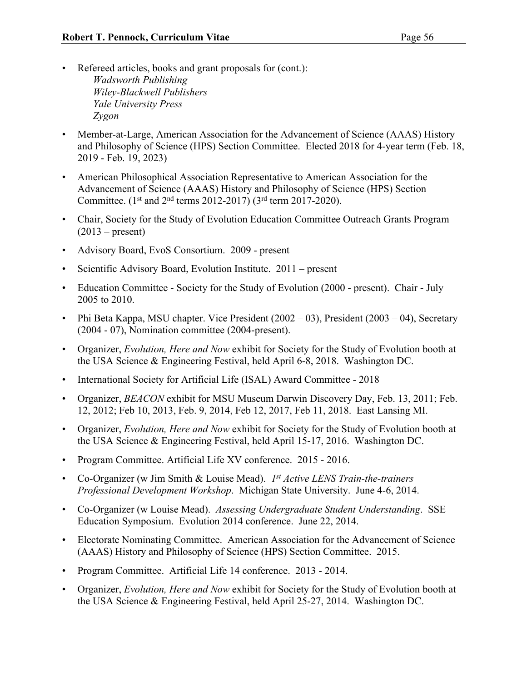- Refereed articles, books and grant proposals for (cont.): *Wadsworth Publishing Wiley-Blackwell Publishers Yale University Press Zygon*
- Member-at-Large, American Association for the Advancement of Science (AAAS) History and Philosophy of Science (HPS) Section Committee. Elected 2018 for 4-year term (Feb. 18, 2019 - Feb. 19, 2023)
- American Philosophical Association Representative to American Association for the Advancement of Science (AAAS) History and Philosophy of Science (HPS) Section Committee.  $(1^{st}$  and  $2^{nd}$  terms 2012-2017)  $(3^{rd}$  term 2017-2020).
- Chair, Society for the Study of Evolution Education Committee Outreach Grants Program  $(2013 - present)$
- Advisory Board, EvoS Consortium. 2009 present
- Scientific Advisory Board, Evolution Institute. 2011 present
- Education Committee Society for the Study of Evolution (2000 present). Chair July 2005 to 2010.
- Phi Beta Kappa, MSU chapter. Vice President (2002 03), President (2003 04), Secretary (2004 - 07), Nomination committee (2004-present).
- Organizer, *Evolution, Here and Now* exhibit for Society for the Study of Evolution booth at the USA Science & Engineering Festival, held April 6-8, 2018. Washington DC.
- International Society for Artificial Life (ISAL) Award Committee 2018
- Organizer, *BEACON* exhibit for MSU Museum Darwin Discovery Day, Feb. 13, 2011; Feb. 12, 2012; Feb 10, 2013, Feb. 9, 2014, Feb 12, 2017, Feb 11, 2018. East Lansing MI.
- Organizer, *Evolution, Here and Now* exhibit for Society for the Study of Evolution booth at the USA Science & Engineering Festival, held April 15-17, 2016. Washington DC.
- Program Committee. Artificial Life XV conference. 2015 2016.
- Co-Organizer (w Jim Smith & Louise Mead). *1st Active LENS Train-the-trainers Professional Development Workshop*. Michigan State University. June 4-6, 2014.
- Co-Organizer (w Louise Mead). *Assessing Undergraduate Student Understanding*. SSE Education Symposium. Evolution 2014 conference. June 22, 2014.
- Electorate Nominating Committee. American Association for the Advancement of Science (AAAS) History and Philosophy of Science (HPS) Section Committee. 2015.
- Program Committee. Artificial Life 14 conference. 2013 2014.
- Organizer, *Evolution, Here and Now* exhibit for Society for the Study of Evolution booth at the USA Science & Engineering Festival, held April 25-27, 2014. Washington DC.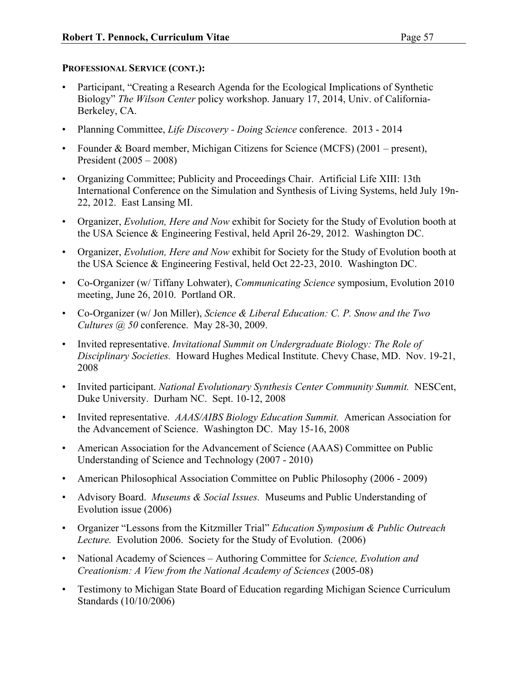## **PROFESSIONAL SERVICE (CONT.):**

- Participant, "Creating a Research Agenda for the Ecological Implications of Synthetic Biology" *The Wilson Center* policy workshop. January 17, 2014, Univ. of California-Berkeley, CA.
- Planning Committee, *Life Discovery - Doing Science* conference. 2013 2014
- Founder & Board member, Michigan Citizens for Science (MCFS) (2001 present), President (2005 – 2008)
- Organizing Committee; Publicity and Proceedings Chair. Artificial Life XIII: 13th International Conference on the Simulation and Synthesis of Living Systems, held July 19n-22, 2012. East Lansing MI.
- Organizer, *Evolution, Here and Now* exhibit for Society for the Study of Evolution booth at the USA Science & Engineering Festival, held April 26-29, 2012. Washington DC.
- Organizer, *Evolution, Here and Now* exhibit for Society for the Study of Evolution booth at the USA Science & Engineering Festival, held Oct 22-23, 2010. Washington DC.
- Co-Organizer (w/ Tiffany Lohwater), *Communicating Science* symposium, Evolution 2010 meeting, June 26, 2010. Portland OR.
- Co-Organizer (w/ Jon Miller), *Science & Liberal Education: C. P. Snow and the Two Cultures @ 50* conference. May 28-30, 2009.
- Invited representative. *Invitational Summit on Undergraduate Biology: The Role of Disciplinary Societies.* Howard Hughes Medical Institute. Chevy Chase, MD. Nov. 19-21, 2008
- Invited participant. *National Evolutionary Synthesis Center Community Summit.* NESCent, Duke University. Durham NC. Sept. 10-12, 2008
- Invited representative. *AAAS/AIBS Biology Education Summit.* American Association for the Advancement of Science. Washington DC. May 15-16, 2008
- American Association for the Advancement of Science (AAAS) Committee on Public Understanding of Science and Technology (2007 - 2010)
- American Philosophical Association Committee on Public Philosophy (2006 2009)
- Advisory Board. *Museums & Social Issues.* Museums and Public Understanding of Evolution issue (2006)
- Organizer "Lessons from the Kitzmiller Trial" *Education Symposium & Public Outreach Lecture.* Evolution 2006. Society for the Study of Evolution.(2006)
- National Academy of Sciences Authoring Committee for *Science, Evolution and Creationism: A View from the National Academy of Sciences* (2005-08)
- Testimony to Michigan State Board of Education regarding Michigan Science Curriculum Standards (10/10/2006)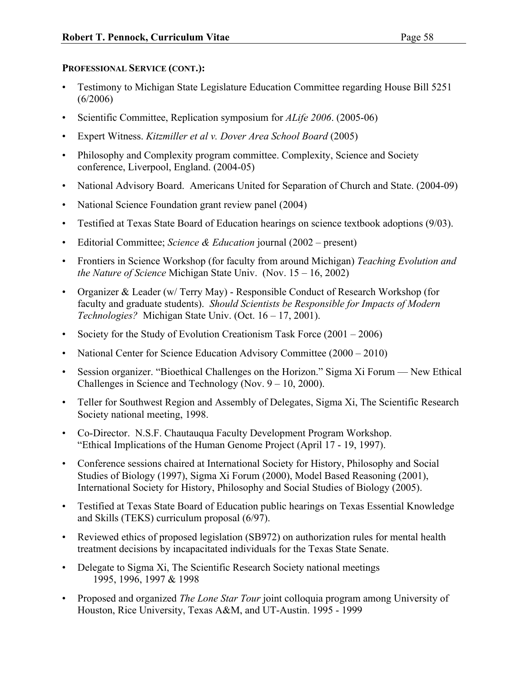## **PROFESSIONAL SERVICE (CONT.):**

- Testimony to Michigan State Legislature Education Committee regarding House Bill 5251 (6/2006)
- Scientific Committee, Replication symposium for *ALife 2006*. (2005-06)
- Expert Witness. *Kitzmiller et al v. Dover Area School Board* (2005)
- Philosophy and Complexity program committee. Complexity, Science and Society conference, Liverpool, England. (2004-05)
- National Advisory Board. Americans United for Separation of Church and State. (2004-09)
- National Science Foundation grant review panel (2004)
- Testified at Texas State Board of Education hearings on science textbook adoptions (9/03).
- Editorial Committee; *Science & Education* journal (2002 present)
- Frontiers in Science Workshop (for faculty from around Michigan) *Teaching Evolution and the Nature of Science* Michigan State Univ. (Nov. 15 – 16, 2002)
- Organizer & Leader (w/ Terry May) Responsible Conduct of Research Workshop (for faculty and graduate students). *Should Scientists be Responsible for Impacts of Modern Technologies?* Michigan State Univ. (Oct. 16 – 17, 2001).
- Society for the Study of Evolution Creationism Task Force  $(2001 2006)$
- National Center for Science Education Advisory Committee (2000 2010)
- Session organizer. "Bioethical Challenges on the Horizon." Sigma Xi Forum New Ethical Challenges in Science and Technology (Nov.  $9 - 10$ , 2000).
- Teller for Southwest Region and Assembly of Delegates, Sigma Xi, The Scientific Research Society national meeting, 1998.
- Co-Director. N.S.F. Chautauqua Faculty Development Program Workshop. "Ethical Implications of the Human Genome Project (April 17 - 19, 1997).
- Conference sessions chaired at International Society for History, Philosophy and Social Studies of Biology (1997), Sigma Xi Forum (2000), Model Based Reasoning (2001), International Society for History, Philosophy and Social Studies of Biology (2005).
- Testified at Texas State Board of Education public hearings on Texas Essential Knowledge and Skills (TEKS) curriculum proposal (6/97).
- Reviewed ethics of proposed legislation (SB972) on authorization rules for mental health treatment decisions by incapacitated individuals for the Texas State Senate.
- Delegate to Sigma Xi, The Scientific Research Society national meetings 1995, 1996, 1997 & 1998
- Proposed and organized *The Lone Star Tour* joint colloquia program among University of Houston, Rice University, Texas A&M, and UT-Austin. 1995 - 1999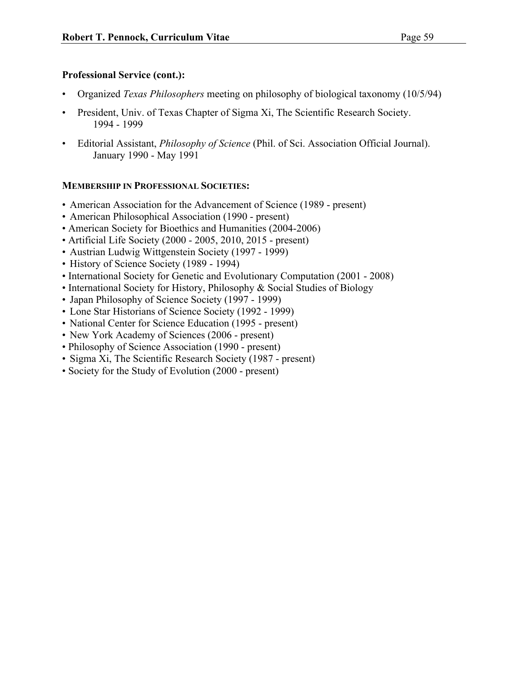## **Professional Service (cont.):**

- Organized *Texas Philosophers* meeting on philosophy of biological taxonomy (10/5/94)
- President, Univ. of Texas Chapter of Sigma Xi, The Scientific Research Society. 1994 - 1999
- Editorial Assistant, *Philosophy of Science* (Phil. of Sci. Association Official Journal). January 1990 - May 1991

## **MEMBERSHIP IN PROFESSIONAL SOCIETIES:**

- American Association for the Advancement of Science (1989 present)
- American Philosophical Association (1990 present)
- American Society for Bioethics and Humanities (2004-2006)
- Artificial Life Society (2000 2005, 2010, 2015 present)
- Austrian Ludwig Wittgenstein Society (1997 1999)
- History of Science Society (1989 1994)
- International Society for Genetic and Evolutionary Computation (2001 2008)
- International Society for History, Philosophy & Social Studies of Biology
- Japan Philosophy of Science Society (1997 1999)
- Lone Star Historians of Science Society (1992 1999)
- National Center for Science Education (1995 present)
- New York Academy of Sciences (2006 present)
- Philosophy of Science Association (1990 present)
- Sigma Xi, The Scientific Research Society (1987 present)
- Society for the Study of Evolution (2000 present)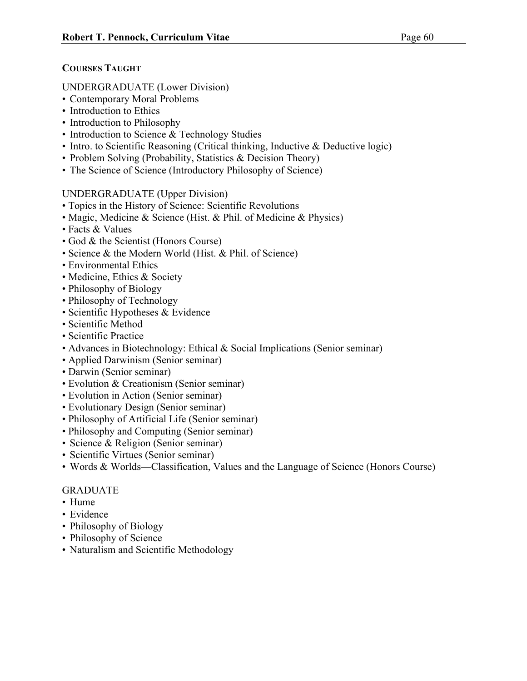## **COURSES TAUGHT**

## UNDERGRADUATE (Lower Division)

- Contemporary Moral Problems
- Introduction to Ethics
- Introduction to Philosophy
- Introduction to Science & Technology Studies
- Intro. to Scientific Reasoning (Critical thinking, Inductive & Deductive logic)
- Problem Solving (Probability, Statistics & Decision Theory)
- The Science of Science (Introductory Philosophy of Science)

## UNDERGRADUATE (Upper Division)

- Topics in the History of Science: Scientific Revolutions
- Magic, Medicine & Science (Hist. & Phil. of Medicine & Physics)
- Facts & Values
- God & the Scientist (Honors Course)
- Science & the Modern World (Hist. & Phil. of Science)
- Environmental Ethics
- Medicine, Ethics & Society
- Philosophy of Biology
- Philosophy of Technology
- Scientific Hypotheses & Evidence
- Scientific Method
- Scientific Practice
- Advances in Biotechnology: Ethical & Social Implications (Senior seminar)
- Applied Darwinism (Senior seminar)
- Darwin (Senior seminar)
- Evolution & Creationism (Senior seminar)
- Evolution in Action (Senior seminar)
- Evolutionary Design (Senior seminar)
- Philosophy of Artificial Life (Senior seminar)
- Philosophy and Computing (Senior seminar)
- Science & Religion (Senior seminar)
- Scientific Virtues (Senior seminar)
- Words & Worlds—Classification, Values and the Language of Science (Honors Course)

## GRADUATE

- Hume
- Evidence
- Philosophy of Biology
- Philosophy of Science
- Naturalism and Scientific Methodology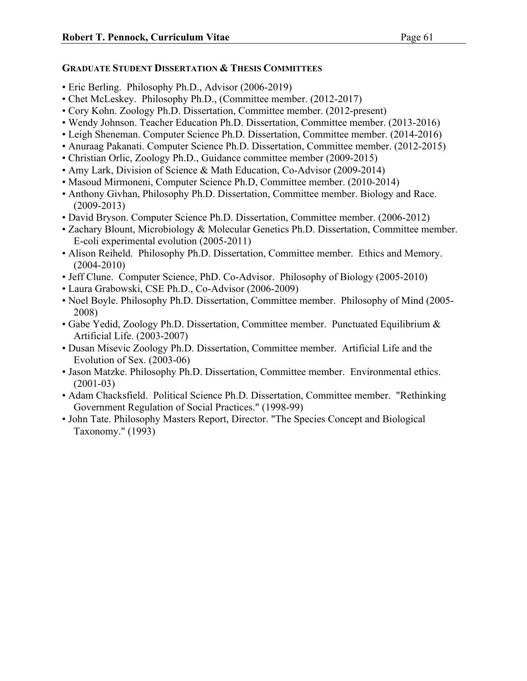## **GRADUATE STUDENT DISSERTATION & THESIS COMMITTEES**

- Eric Berling. Philosophy Ph.D., Advisor (2006-2019)
- Chet McLeskey. Philosophy Ph.D., (Committee member. (2012-2017)
- Cory Kohn. Zoology Ph.D. Dissertation, Committee member. (2012-present)
- Wendy Johnson. Teacher Education Ph.D. Dissertation, Committee member. (2013-2016)
- Leigh Sheneman. Computer Science Ph.D. Dissertation, Committee member. (2014-2016)
- Anuraag Pakanati. Computer Science Ph.D. Dissertation, Committee member. (2012-2015)
- Christian Orlic, Zoology Ph.D., Guidance committee member (2009-2015)
- Amy Lark, Division of Science & Math Education, Co-Advisor (2009-2014)
- Masoud Mirmoneni, Computer Science Ph.D, Committee member. (2010-2014)
- Anthony Givhan, Philosophy Ph.D. Dissertation, Committee member. Biology and Race. (2009-2013)
- David Bryson. Computer Science Ph.D. Dissertation, Committee member. (2006-2012)
- Zachary Blount, Microbiology & Molecular Genetics Ph.D. Dissertation, Committee member. E-coli experimental evolution (2005-2011)
- Alison Reiheld. Philosophy Ph.D. Dissertation, Committee member. Ethics and Memory. (2004-2010)
- Jeff Clune. Computer Science, PhD. Co-Advisor. Philosophy of Biology (2005-2010)
- Laura Grabowski, CSE Ph.D., Co-Advisor (2006-2009)
- Noel Boyle. Philosophy Ph.D. Dissertation, Committee member. Philosophy of Mind (2005- 2008)
- Gabe Yedid, Zoology Ph.D. Dissertation, Committee member. Punctuated Equilibrium & Artificial Life. (2003-2007)
- Dusan Misevic Zoology Ph.D. Dissertation, Committee member. Artificial Life and the Evolution of Sex. (2003-06)
- Jason Matzke. Philosophy Ph.D. Dissertation, Committee member. Environmental ethics. (2001-03)
- Adam Chacksfield. Political Science Ph.D. Dissertation, Committee member. "Rethinking Government Regulation of Social Practices." (1998-99)
- John Tate. Philosophy Masters Report, Director. "The Species Concept and Biological Taxonomy." (1993)